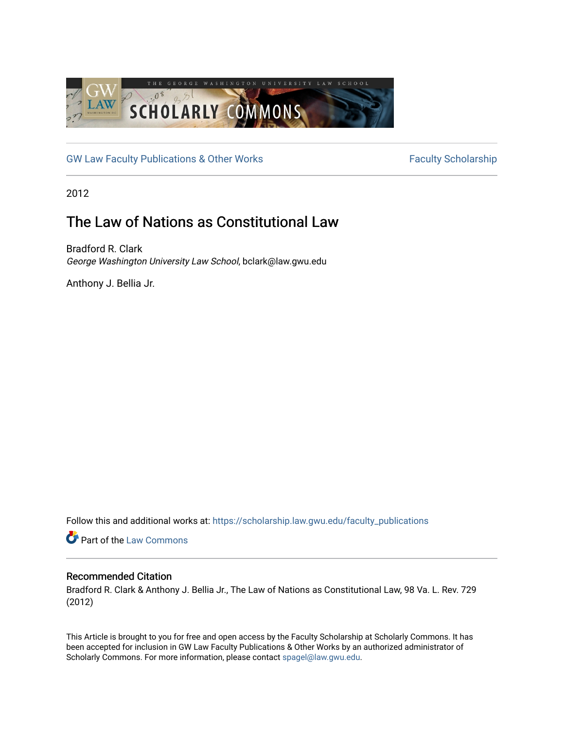

[GW Law Faculty Publications & Other Works](https://scholarship.law.gwu.edu/faculty_publications) Faculty Scholarship

2012

## The Law of Nations as Constitutional Law

Bradford R. Clark George Washington University Law School, bclark@law.gwu.edu

Anthony J. Bellia Jr.

Follow this and additional works at: [https://scholarship.law.gwu.edu/faculty\\_publications](https://scholarship.law.gwu.edu/faculty_publications?utm_source=scholarship.law.gwu.edu%2Ffaculty_publications%2F434&utm_medium=PDF&utm_campaign=PDFCoverPages) 

Part of the [Law Commons](http://network.bepress.com/hgg/discipline/578?utm_source=scholarship.law.gwu.edu%2Ffaculty_publications%2F434&utm_medium=PDF&utm_campaign=PDFCoverPages)

### Recommended Citation

Bradford R. Clark & Anthony J. Bellia Jr., The Law of Nations as Constitutional Law, 98 Va. L. Rev. 729 (2012)

This Article is brought to you for free and open access by the Faculty Scholarship at Scholarly Commons. It has been accepted for inclusion in GW Law Faculty Publications & Other Works by an authorized administrator of Scholarly Commons. For more information, please contact [spagel@law.gwu.edu](mailto:spagel@law.gwu.edu).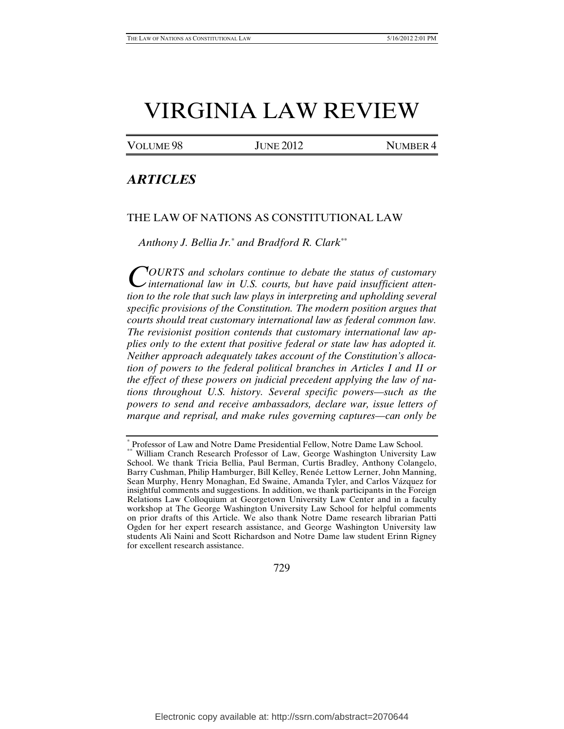# VIRGINIA LAW REVIEW

VOLUME 98 JUNE 2012 NUMBER 4

### *ARTICLES*

#### THE LAW OF NATIONS AS CONSTITUTIONAL LAW

*Anthony J. Bellia Jr.*[\\*](#page-1-0)  *and Bradford R. Clark*[\\*\\*](#page-1-1)

*OURTS and scholars continue to debate the status of customary*  COURTS and scholars continue to debate the status of customary<br>international law in U.S. courts, but have paid insufficient atten*tion to the role that such law plays in interpreting and upholding several specific provisions of the Constitution. The modern position argues that courts should treat customary international law as federal common law. The revisionist position contends that customary international law applies only to the extent that positive federal or state law has adopted it. Neither approach adequately takes account of the Constitution's allocation of powers to the federal political branches in Articles I and II or the effect of these powers on judicial precedent applying the law of nations throughout U.S. history. Several specific powers—such as the powers to send and receive ambassadors, declare war, issue letters of marque and reprisal, and make rules governing captures—can only be* 

729

<span id="page-1-1"></span><span id="page-1-0"></span><sup>\*</sup> Professor of Law and Notre Dame Presidential Fellow, Notre Dame Law School. \*\* William Cranch Research Professor of Law, George Washington University Law School. We thank Tricia Bellia, Paul Berman, Curtis Bradley, Anthony Colangelo, Barry Cushman, Philip Hamburger, Bill Kelley, Renée Lettow Lerner, John Manning, Sean Murphy, Henry Monaghan, Ed Swaine, Amanda Tyler, and Carlos Vázquez for insightful comments and suggestions. In addition, we thank participants in the Foreign Relations Law Colloquium at Georgetown University Law Center and in a faculty workshop at The George Washington University Law School for helpful comments on prior drafts of this Article. We also thank Notre Dame research librarian Patti Ogden for her expert research assistance, and George Washington University law students Ali Naini and Scott Richardson and Notre Dame law student Erinn Rigney for excellent research assistance.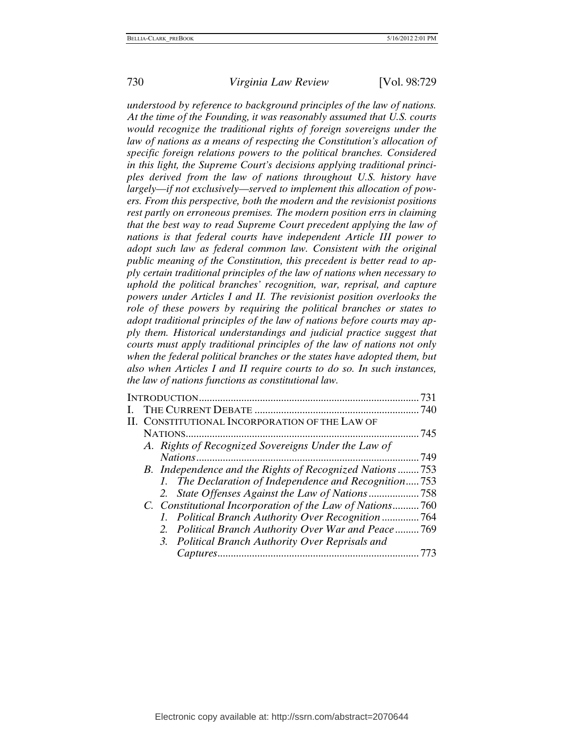*understood by reference to background principles of the law of nations. At the time of the Founding, it was reasonably assumed that U.S. courts would recognize the traditional rights of foreign sovereigns under the law of nations as a means of respecting the Constitution's allocation of specific foreign relations powers to the political branches. Considered in this light, the Supreme Court's decisions applying traditional principles derived from the law of nations throughout U.S. history have largely—if not exclusively—served to implement this allocation of powers. From this perspective, both the modern and the revisionist positions rest partly on erroneous premises. The modern position errs in claiming that the best way to read Supreme Court precedent applying the law of nations is that federal courts have independent Article III power to adopt such law as federal common law. Consistent with the original public meaning of the Constitution, this precedent is better read to apply certain traditional principles of the law of nations when necessary to uphold the political branches' recognition, war, reprisal, and capture powers under Articles I and II. The revisionist position overlooks the role of these powers by requiring the political branches or states to adopt traditional principles of the law of nations before courts may apply them. Historical understandings and judicial practice suggest that courts must apply traditional principles of the law of nations not only when the federal political branches or the states have adopted them, but also when Articles I and II require courts to do so. In such instances, the law of nations functions as constitutional law.* 

| INTRODUCTION.                                            | 731 |
|----------------------------------------------------------|-----|
|                                                          | 740 |
| II. CONSTITUTIONAL INCORPORATION OF THE LAW OF           |     |
|                                                          | 745 |
| A. Rights of Recognized Sovereigns Under the Law of      |     |
|                                                          | 749 |
| B. Independence and the Rights of Recognized Nations753  |     |
| 1. The Declaration of Independence and Recognition753    |     |
|                                                          |     |
| C. Constitutional Incorporation of the Law of Nations760 |     |
| 1. Political Branch Authority Over Recognition 764       |     |
| 2. Political Branch Authority Over War and Peace769      |     |
| 3. Political Branch Authority Over Reprisals and         |     |
|                                                          | 773 |
|                                                          |     |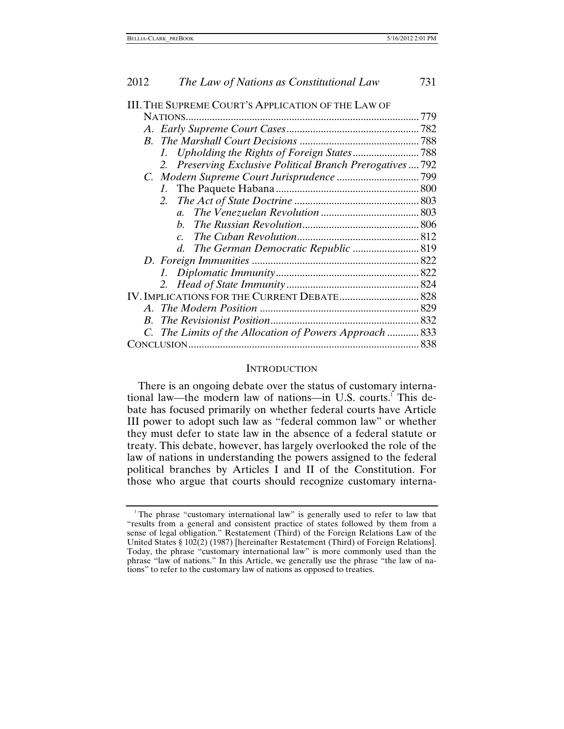<span id="page-3-0"></span>

| III. THE SUPREME COURT'S APPLICATION OF THE LAW OF         |  |
|------------------------------------------------------------|--|
| NATIONS.                                                   |  |
|                                                            |  |
|                                                            |  |
| $\mathcal{L}$                                              |  |
| 2. Preserving Exclusive Political Branch Prerogatives  792 |  |
|                                                            |  |
|                                                            |  |
| 2.                                                         |  |
| $\mathfrak{a}$ .                                           |  |
| h.                                                         |  |
| $\overline{c}$ .                                           |  |
|                                                            |  |
|                                                            |  |
|                                                            |  |
|                                                            |  |
|                                                            |  |
| $\bm{A}$                                                   |  |
|                                                            |  |
| C. The Limits of the Allocation of Powers Approach  833    |  |
|                                                            |  |
|                                                            |  |

#### **INTRODUCTION**

 There is an ongoing debate over the status of customary international law—the modern law of nations—in U.S. courts.<sup>1</sup> This debate has focused primarily on whether federal courts have Article III power to adopt such law as "federal common law" or whether they must defer to state law in the absence of a federal statute or treaty. This debate, however, has largely overlooked the role of the law of nations in understanding the powers assigned to the federal political branches by Articles I and II of the Constitution. For those who argue that courts should recognize customary interna-

<span id="page-3-1"></span><sup>&</sup>lt;sup>1</sup>The phrase "customary international law" is generally used to refer to law that "results from a general and consistent practice of states followed by them from a sense of legal obligation." Restatement (Third) of the Foreign Relations Law of the United States § 102(2) (1987) [hereinafter Restatement (Third) of Foreign Relations]. Today, the phrase "customary international law" is more commonly used than the phrase "law of nations." In this Article, we generally use the phrase "the law of nations" to refer to the customary law of nations as opposed to treaties.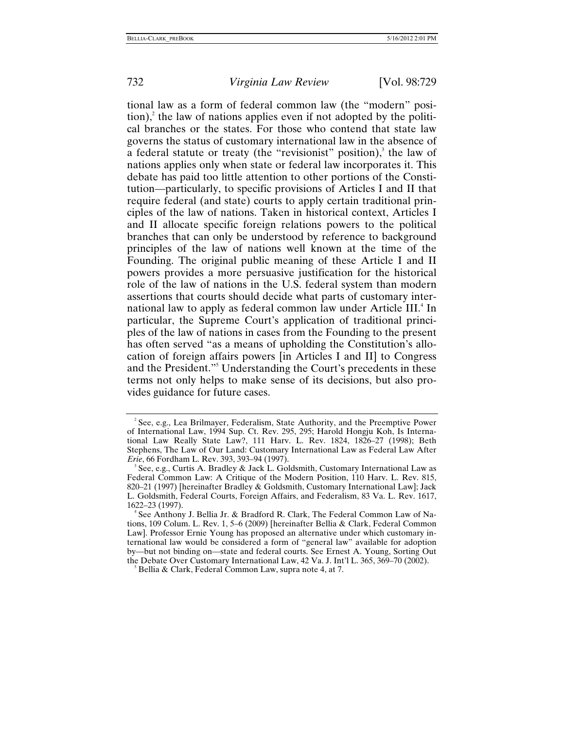tional law as a form of federal common law (the "modern" posi- $\chi$  the law of nations applies even if not adopted by the political branches or the states. For those who contend that state law governs the status of customary international law in the absence of a federal statute or treaty (the "revisionist" position), $3$  the law of nations applies only when state or federal law incorporates it. This debate has paid too little attention to other portions of the Constitution—particularly, to specific provisions of Articles I and II that require federal (and state) courts to apply certain traditional principles of the law of nations. Taken in historical context, Articles I and II allocate specific foreign relations powers to the political branches that can only be understood by reference to background principles of the law of nations well known at the time of the Founding. The original public meaning of these Article I and II powers provides a more persuasive justification for the historical role of the law of nations in the U.S. federal system than modern assertions that courts should decide what parts of customary inter-national law to apply as federal common law under Article III.<sup>[4](#page-4-2)</sup> In particular, the Supreme Court's application of traditional principles of the law of nations in cases from the Founding to the present has often served "as a means of upholding the Constitution's allocation of foreign affairs powers [in Articles I and II] to Congress and the President."<sup>[5](#page-4-3)</sup> Understanding the Court's precedents in these terms not only helps to make sense of its decisions, but also provides guidance for future cases.

<span id="page-4-3"></span>Bellia & Clark, Federal Common Law, supra note 4, at 7.

<span id="page-4-0"></span> $2^2$  See, e.g., Lea Brilmayer, Federalism, State Authority, and the Preemptive Power of International Law, 1994 Sup. Ct. Rev. 295, 295; Harold Hongju Koh, Is International Law Really State Law?, 111 Harv. L. Rev. 1824, 1826–27 (1998); Beth Stephens, The Law of Our Land: Customary International Law as Federal Law After *Erie*, 66 Fordham L. Rev. 393, 393-94 (1997).

<span id="page-4-1"></span>See, e.g., Curtis A. Bradley & Jack L. Goldsmith, Customary International Law as Federal Common Law: A Critique of the Modern Position, 110 Harv. L. Rev. 815, 820–21 (1997) [hereinafter Bradley & Goldsmith, Customary International Law]; Jack L. Goldsmith, Federal Courts, Foreign Affairs, and Federalism, 83 Va. L. Rev. 1617, 1622–23 (1997). 4

<span id="page-4-2"></span><sup>&</sup>lt;sup>4</sup> See Anthony J. Bellia Jr. & Bradford R. Clark, The Federal Common Law of Nations, 109 Colum. L. Rev. 1, 5–6 (2009) [hereinafter Bellia & Clark, Federal Common Law]. Professor Ernie Young has proposed an alternative under which customary international law would be considered a form of "general law" available for adoption by—but not binding on—state and federal courts. See Ernest A. Young, Sorting Out the Debate Over Customary International Law, 42 Va. J. Int'l L. 365, 369-70 (2002).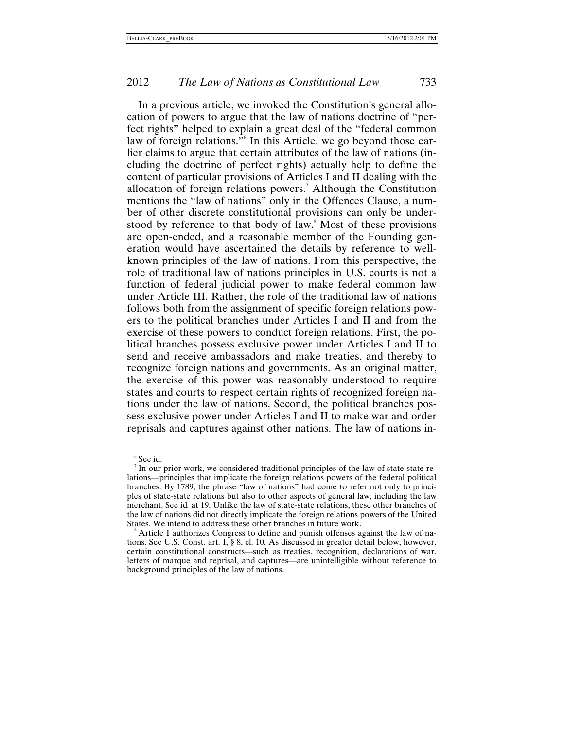In a previous article, we invoked the Constitution's general allocation of powers to argue that the law of nations doctrine of "perfect rights" helped to explain a great deal of the "federal common law of foreign relations."<sup>[6](#page-5-0)</sup> In this Article, we go beyond those earlier claims to argue that certain attributes of the law of nations (including the doctrine of perfect rights) actually help to define the content of particular provisions of Articles I and II dealing with the allocation of foreign relations powers.<sup>7</sup> Although the Constitution mentions the "law of nations" only in the Offences Clause, a number of other discrete constitutional provisions can only be under-stood by reference to that body of law.<sup>[8](#page-5-2)</sup> Most of these provisions are open-ended, and a reasonable member of the Founding generation would have ascertained the details by reference to wellknown principles of the law of nations. From this perspective, the role of traditional law of nations principles in U.S. courts is not a function of federal judicial power to make federal common law under Article III. Rather, the role of the traditional law of nations follows both from the assignment of specific foreign relations powers to the political branches under Articles I and II and from the exercise of these powers to conduct foreign relations. First, the political branches possess exclusive power under Articles I and II to send and receive ambassadors and make treaties, and thereby to recognize foreign nations and governments. As an original matter, the exercise of this power was reasonably understood to require states and courts to respect certain rights of recognized foreign nations under the law of nations. Second, the political branches possess exclusive power under Articles I and II to make war and order reprisals and captures against other nations. The law of nations in-

<span id="page-5-0"></span><sup>6</sup> See id.

<span id="page-5-1"></span>In our prior work, we considered traditional principles of the law of state-state relations—principles that implicate the foreign relations powers of the federal political branches. By 1789, the phrase "law of nations" had come to refer not only to principles of state-state relations but also to other aspects of general law, including the law merchant. See id*.* at 19. Unlike the law of state-state relations, these other branches of the law of nations did not directly implicate the foreign relations powers of the United States. We intend to address these other branches in future work.

<span id="page-5-2"></span>Article I authorizes Congress to define and punish offenses against the law of nations. See U.S. Const. art. I, § 8, cl. 10. As discussed in greater detail below, however, certain constitutional constructs—such as treaties, recognition, declarations of war, letters of marque and reprisal, and captures—are unintelligible without reference to background principles of the law of nations.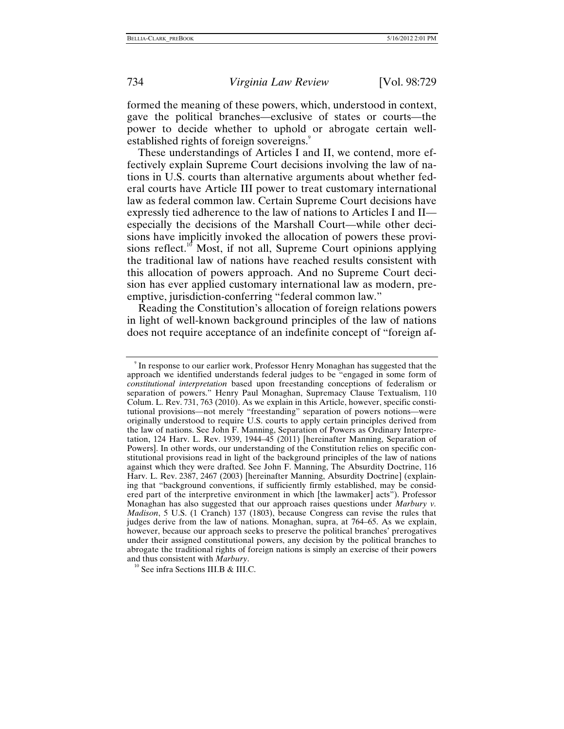formed the meaning of these powers, which, understood in context, gave the political branches—exclusive of states or courts—the power to decide whether to uphold or abrogate certain well-established rights of foreign sovereigns.<sup>[9](#page-6-0)</sup>

These understandings of Articles I and II, we contend, more effectively explain Supreme Court decisions involving the law of nations in U.S. courts than alternative arguments about whether federal courts have Article III power to treat customary international law as federal common law. Certain Supreme Court decisions have expressly tied adherence to the law of nations to Articles I and II especially the decisions of the Marshall Court—while other decisions have implicitly invoked the allocation of powers these provisions reflect.<sup>10</sup> Most, if not all, Supreme Court opinions applying the traditional law of nations have reached results consistent with this allocation of powers approach. And no Supreme Court decision has ever applied customary international law as modern, preemptive, jurisdiction-conferring "federal common law."

Reading the Constitution's allocation of foreign relations powers in light of well-known background principles of the law of nations does not require acceptance of an indefinite concept of "foreign af-

<span id="page-6-1"></span><sup>10</sup> See infra Sections III.B & III.C.

<span id="page-6-0"></span><sup>9</sup> In response to our earlier work, Professor Henry Monaghan has suggested that the approach we identified understands federal judges to be "engaged in some form of *constitutional interpretation* based upon freestanding conceptions of federalism or separation of powers." Henry Paul Monaghan, Supremacy Clause Textualism, 110 Colum. L. Rev. 731, 763 (2010). As we explain in this Article, however, specific constitutional provisions—not merely "freestanding" separation of powers notions—were originally understood to require U.S. courts to apply certain principles derived from the law of nations. See John F. Manning, Separation of Powers as Ordinary Interpretation, 124 Harv. L. Rev. 1939, 1944–45 (2011) [hereinafter Manning, Separation of Powers]. In other words, our understanding of the Constitution relies on specific constitutional provisions read in light of the background principles of the law of nations against which they were drafted. See John F. Manning, The Absurdity Doctrine, 116 Harv. L. Rev. 2387, 2467 (2003) [hereinafter Manning, Absurdity Doctrine] (explaining that "background conventions, if sufficiently firmly established, may be considered part of the interpretive environment in which [the lawmaker] acts"). Professor Monaghan has also suggested that our approach raises questions under *Marbury v. Madison*, 5 U.S. (1 Cranch) 137 (1803), because Congress can revise the rules that judges derive from the law of nations. Monaghan, supra, at 764–65. As we explain, however, because our approach seeks to preserve the political branches' prerogatives under their assigned constitutional powers, any decision by the political branches to abrogate the traditional rights of foreign nations is simply an exercise of their powers and thus consistent with *Marbury*.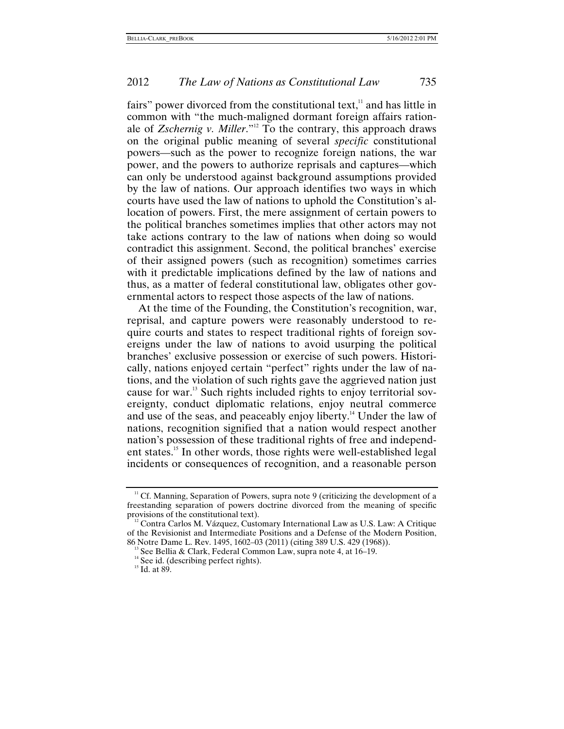fairs" power divorced from the constitutional text, $<sup>11</sup>$  and has little in</sup> common with "the much-maligned dormant foreign affairs rationale of *Zschernig v. Miller*."[12](#page-7-1) To the contrary, this approach draws on the original public meaning of several *specific* constitutional powers—such as the power to recognize foreign nations, the war power, and the powers to authorize reprisals and captures—which can only be understood against background assumptions provided by the law of nations. Our approach identifies two ways in which courts have used the law of nations to uphold the Constitution's allocation of powers. First, the mere assignment of certain powers to the political branches sometimes implies that other actors may not take actions contrary to the law of nations when doing so would contradict this assignment. Second, the political branches' exercise of their assigned powers (such as recognition) sometimes carries with it predictable implications defined by the law of nations and thus, as a matter of federal constitutional law, obligates other governmental actors to respect those aspects of the law of nations.

At the time of the Founding, the Constitution's recognition, war, reprisal, and capture powers were reasonably understood to require courts and states to respect traditional rights of foreign sovereigns under the law of nations to avoid usurping the political branches' exclusive possession or exercise of such powers. Historically, nations enjoyed certain "perfect" rights under the law of nations, and the violation of such rights gave the aggrieved nation just cause for war[.13](#page-7-2) Such rights included rights to enjoy territorial sovereignty, conduct diplomatic relations, enjoy neutral commerce and use of the seas, and peaceably enjoy liberty.<sup>14</sup> Under the law of nations, recognition signified that a nation would respect another nation's possession of these traditional rights of free and independent states.<sup>15</sup> In other words, those rights were well-established legal incidents or consequences of recognition, and a reasonable person

<span id="page-7-0"></span><sup>&</sup>lt;sup>11</sup> Cf. Manning, Separation of Powers, supra note 9 (criticizing the development of a freestanding separation of powers doctrine divorced from the meaning of specific provisions of the constitutional text).<br><sup>12</sup> Contra Carlos M. Vázquez, Customary International Law as U.S. Law: A Critique

<span id="page-7-1"></span>of the Revisionist and Intermediate Positions and a Defense of the Modern Position, 86 Notre Dame L. Rev. 1495, 1602–03 (2011) (citing 389 U.S. 429 (1968)).

<span id="page-7-2"></span><sup>&</sup>lt;sup>13</sup> See Bellia & Clark, Federal Common Law, supra note 4, at 16–19.<br><sup>14</sup> See id. (describing perfect rights). <sup>15</sup> Id. at 89.

<span id="page-7-3"></span>

<span id="page-7-4"></span>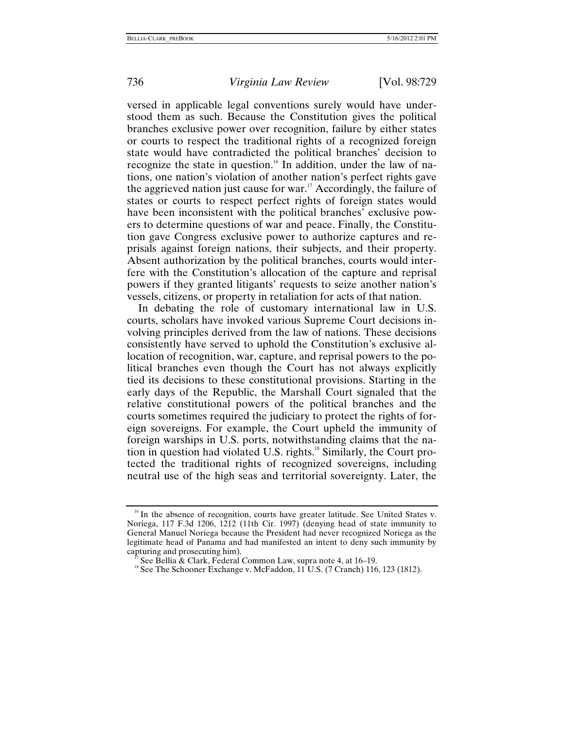versed in applicable legal conventions surely would have understood them as such. Because the Constitution gives the political branches exclusive power over recognition, failure by either states or courts to respect the traditional rights of a recognized foreign state would have contradicted the political branches' decision to recognize the state in question.<sup>16</sup> In addition, under the law of nations, one nation's violation of another nation's perfect rights gave the aggrieved nation just cause for war.<sup>17</sup> Accordingly, the failure of states or courts to respect perfect rights of foreign states would have been inconsistent with the political branches' exclusive powers to determine questions of war and peace. Finally, the Constitution gave Congress exclusive power to authorize captures and reprisals against foreign nations, their subjects, and their property. Absent authorization by the political branches, courts would interfere with the Constitution's allocation of the capture and reprisal powers if they granted litigants' requests to seize another nation's vessels, citizens, or property in retaliation for acts of that nation.

In debating the role of customary international law in U.S. courts, scholars have invoked various Supreme Court decisions involving principles derived from the law of nations. These decisions consistently have served to uphold the Constitution's exclusive allocation of recognition, war, capture, and reprisal powers to the political branches even though the Court has not always explicitly tied its decisions to these constitutional provisions. Starting in the early days of the Republic, the Marshall Court signaled that the relative constitutional powers of the political branches and the courts sometimes required the judiciary to protect the rights of foreign sovereigns. For example, the Court upheld the immunity of foreign warships in U.S. ports, notwithstanding claims that the nation in question had violated U.S. rights.<sup>18</sup> Similarly, the Court protected the traditional rights of recognized sovereigns, including neutral use of the high seas and territorial sovereignty. Later, the

<span id="page-8-0"></span><sup>&</sup>lt;sup>16</sup> In the absence of recognition, courts have greater latitude. See United States v. Noriega, 117 F.3d 1206, 1212 (11th Cir. 1997) (denying head of state immunity to General Manuel Noriega because the President had never recognized Noriega as the legitimate head of Panama and had manifested an intent to deny such immunity by

<span id="page-8-2"></span>

<span id="page-8-1"></span><sup>&</sup>lt;sup>17</sup> See Bellia & Clark, Federal Common Law, supra note 4, at 16–19.<br><sup>18</sup> See The Schooner Exchange v. McFaddon, 11 U.S. (7 Cranch) 116, 123 (1812).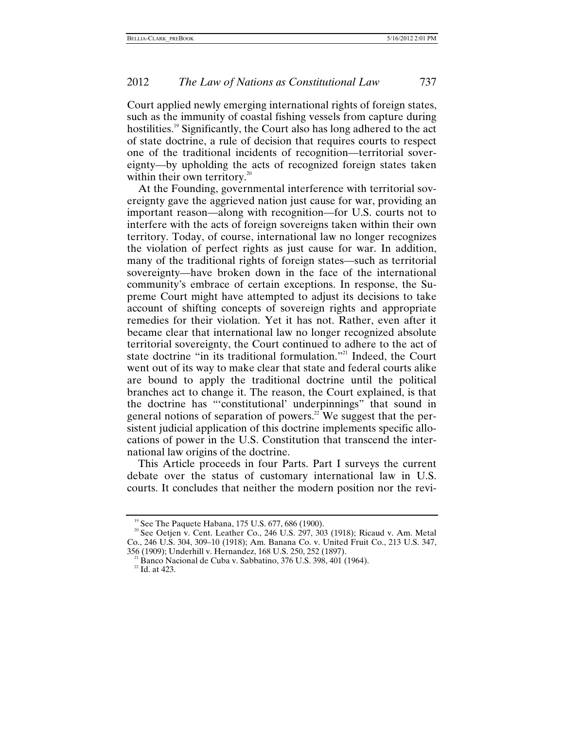Court applied newly emerging international rights of foreign states, such as the immunity of coastal fishing vessels from capture during hostilities.<sup>19</sup> Significantly, the Court also has long adhered to the act of state doctrine, a rule of decision that requires courts to respect one of the traditional incidents of recognition—territorial sovereignty—by upholding the acts of recognized foreign states taken within their own territory.<sup>[20](#page-9-1)</sup>

At the Founding, governmental interference with territorial sovereignty gave the aggrieved nation just cause for war, providing an important reason—along with recognition—for U.S. courts not to interfere with the acts of foreign sovereigns taken within their own territory. Today, of course, international law no longer recognizes the violation of perfect rights as just cause for war. In addition, many of the traditional rights of foreign states—such as territorial sovereignty—have broken down in the face of the international community's embrace of certain exceptions. In response, the Supreme Court might have attempted to adjust its decisions to take account of shifting concepts of sovereign rights and appropriate remedies for their violation. Yet it has not. Rather, even after it became clear that international law no longer recognized absolute territorial sovereignty, the Court continued to adhere to the act of state doctrine "in its traditional formulation.["21](#page-9-2) Indeed, the Court went out of its way to make clear that state and federal courts alike are bound to apply the traditional doctrine until the political branches act to change it. The reason, the Court explained, is that the doctrine has "'constitutional' underpinnings" that sound in general notions of separation of powers.<sup>22</sup> We suggest that the persistent judicial application of this doctrine implements specific allocations of power in the U.S. Constitution that transcend the international law origins of the doctrine.

This Article proceeds in four Parts. Part I surveys the current debate over the status of customary international law in U.S. courts. It concludes that neither the modern position nor the revi-

<span id="page-9-1"></span><span id="page-9-0"></span><sup>&</sup>lt;sup>19</sup> See The Paquete Habana, 175 U.S. 677, 686 (1900).<br><sup>20</sup> See Oetjen v. Cent. Leather Co., 246 U.S. 297, 303 (1918); Ricaud v. Am. Metal Co., 246 U.S. 304, 309–10 (1918); Am. Banana Co. v. United Fruit Co., 213 U.S. 347,

<span id="page-9-2"></span><sup>&</sup>lt;sup>21</sup> Banco Nacional de Cuba v. Sabbatino, 376 U.S. 398, 401 (1964). <sup>22</sup> Id. at 423.

<span id="page-9-3"></span>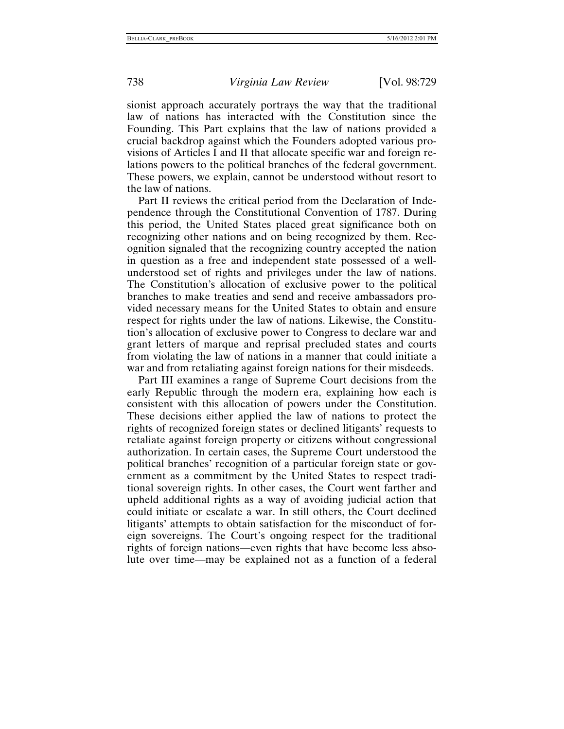sionist approach accurately portrays the way that the traditional law of nations has interacted with the Constitution since the Founding. This Part explains that the law of nations provided a crucial backdrop against which the Founders adopted various provisions of Articles I and II that allocate specific war and foreign relations powers to the political branches of the federal government. These powers, we explain, cannot be understood without resort to the law of nations.

Part II reviews the critical period from the Declaration of Independence through the Constitutional Convention of 1787. During this period, the United States placed great significance both on recognizing other nations and on being recognized by them. Recognition signaled that the recognizing country accepted the nation in question as a free and independent state possessed of a wellunderstood set of rights and privileges under the law of nations. The Constitution's allocation of exclusive power to the political branches to make treaties and send and receive ambassadors provided necessary means for the United States to obtain and ensure respect for rights under the law of nations. Likewise, the Constitution's allocation of exclusive power to Congress to declare war and grant letters of marque and reprisal precluded states and courts from violating the law of nations in a manner that could initiate a war and from retaliating against foreign nations for their misdeeds.

Part III examines a range of Supreme Court decisions from the early Republic through the modern era, explaining how each is consistent with this allocation of powers under the Constitution. These decisions either applied the law of nations to protect the rights of recognized foreign states or declined litigants' requests to retaliate against foreign property or citizens without congressional authorization. In certain cases, the Supreme Court understood the political branches' recognition of a particular foreign state or government as a commitment by the United States to respect traditional sovereign rights. In other cases, the Court went farther and upheld additional rights as a way of avoiding judicial action that could initiate or escalate a war. In still others, the Court declined litigants' attempts to obtain satisfaction for the misconduct of foreign sovereigns. The Court's ongoing respect for the traditional rights of foreign nations—even rights that have become less absolute over time—may be explained not as a function of a federal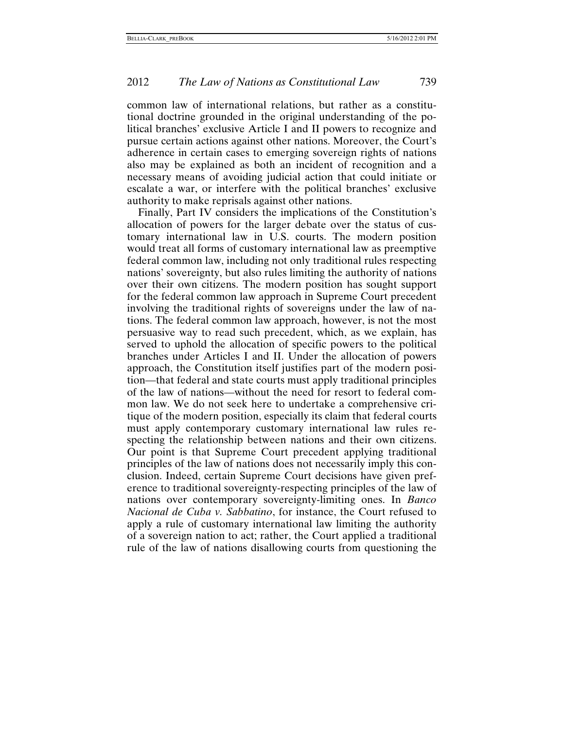common law of international relations, but rather as a constitutional doctrine grounded in the original understanding of the political branches' exclusive Article I and II powers to recognize and pursue certain actions against other nations. Moreover, the Court's adherence in certain cases to emerging sovereign rights of nations also may be explained as both an incident of recognition and a necessary means of avoiding judicial action that could initiate or escalate a war, or interfere with the political branches' exclusive authority to make reprisals against other nations.

Finally, Part IV considers the implications of the Constitution's allocation of powers for the larger debate over the status of customary international law in U.S. courts. The modern position would treat all forms of customary international law as preemptive federal common law, including not only traditional rules respecting nations' sovereignty, but also rules limiting the authority of nations over their own citizens. The modern position has sought support for the federal common law approach in Supreme Court precedent involving the traditional rights of sovereigns under the law of nations. The federal common law approach, however, is not the most persuasive way to read such precedent, which, as we explain, has served to uphold the allocation of specific powers to the political branches under Articles I and II. Under the allocation of powers approach, the Constitution itself justifies part of the modern position—that federal and state courts must apply traditional principles of the law of nations—without the need for resort to federal common law. We do not seek here to undertake a comprehensive critique of the modern position, especially its claim that federal courts must apply contemporary customary international law rules respecting the relationship between nations and their own citizens. Our point is that Supreme Court precedent applying traditional principles of the law of nations does not necessarily imply this conclusion. Indeed, certain Supreme Court decisions have given preference to traditional sovereignty-respecting principles of the law of nations over contemporary sovereignty-limiting ones. In *Banco Nacional de Cuba v. Sabbatino*, for instance, the Court refused to apply a rule of customary international law limiting the authority of a sovereign nation to act; rather, the Court applied a traditional rule of the law of nations disallowing courts from questioning the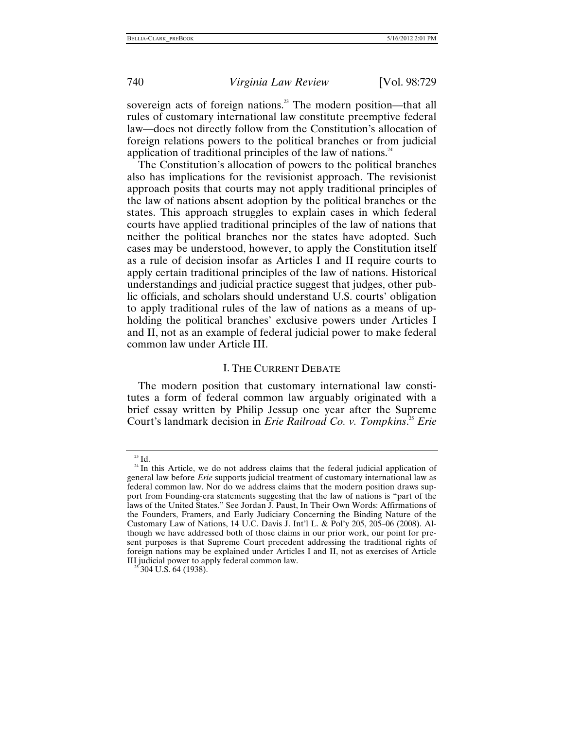<span id="page-12-0"></span>

sovereign acts of foreign nations.<sup>23</sup> The modern position—that all rules of customary international law constitute preemptive federal law—does not directly follow from the Constitution's allocation of foreign relations powers to the political branches or from judicial application of traditional principles of the law of nations. $24$ 

The Constitution's allocation of powers to the political branches also has implications for the revisionist approach. The revisionist approach posits that courts may not apply traditional principles of the law of nations absent adoption by the political branches or the states. This approach struggles to explain cases in which federal courts have applied traditional principles of the law of nations that neither the political branches nor the states have adopted. Such cases may be understood, however, to apply the Constitution itself as a rule of decision insofar as Articles I and II require courts to apply certain traditional principles of the law of nations. Historical understandings and judicial practice suggest that judges, other public officials, and scholars should understand U.S. courts' obligation to apply traditional rules of the law of nations as a means of upholding the political branches' exclusive powers under Articles I and II, not as an example of federal judicial power to make federal common law under Article III.

#### I. THE CURRENT DEBATE

The modern position that customary international law constitutes a form of federal common law arguably originated with a brief essay written by Philip Jessup one year after the Supreme Court's landmark decision in *Erie Railroad Co. v. Tompkins*. [25](#page-12-3) *Erie*

<span id="page-12-2"></span>

<span id="page-12-1"></span> $23 \text{ Id.}$ <br><sup>24</sup> In this Article, we do not address claims that the federal judicial application of general law before *Erie* supports judicial treatment of customary international law as federal common law. Nor do we address claims that the modern position draws support from Founding-era statements suggesting that the law of nations is "part of the laws of the United States." See Jordan J. Paust, In Their Own Words: Affirmations of the Founders, Framers, and Early Judiciary Concerning the Binding Nature of the Customary Law of Nations, 14 U.C. Davis J. Int'l L. & Pol'y 205, 205–06 (2008). Although we have addressed both of those claims in our prior work, our point for present purposes is that Supreme Court precedent addressing the traditional rights of foreign nations may be explained under Articles I and II, not as exercises of Article III judicial power to apply federal common law. 25 304 U.S. 64 (1938).

<span id="page-12-3"></span>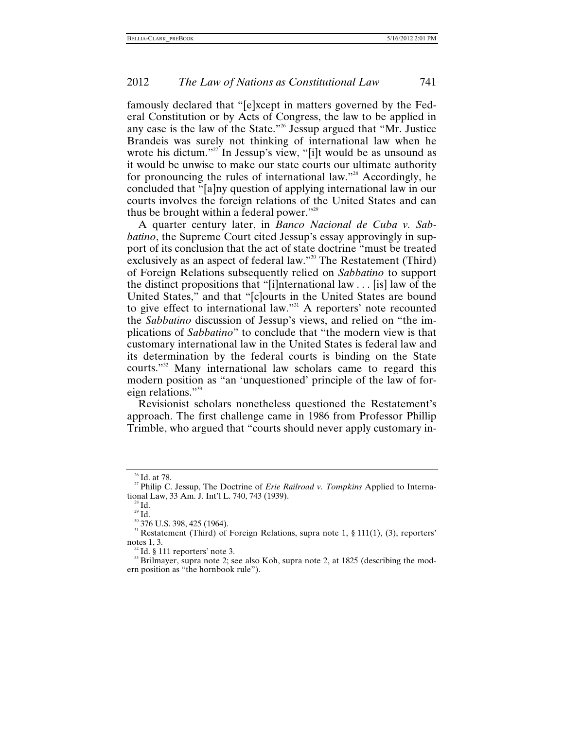famously declared that "[e]xcept in matters governed by the Federal Constitution or by Acts of Congress, the law to be applied in any case is the law of the State."[26](#page-13-0) Jessup argued that "Mr. Justice Brandeis was surely not thinking of international law when he wrote his dictum."<sup>27</sup> In Jessup's view, "[i]t would be as unsound as it would be unwise to make our state courts our ultimate authority for pronouncing the rules of international law."<sup>28</sup> Accordingly, he concluded that "[a]ny question of applying international law in our courts involves the foreign relations of the United States and can thus be brought within a federal power."<sup>29</sup>

A quarter century later, in *Banco Nacional de Cuba v. Sabbatino*, the Supreme Court cited Jessup's essay approvingly in support of its conclusion that the act of state doctrine "must be treated exclusively as an aspect of federal law."<sup>30</sup> The Restatement (Third) of Foreign Relations subsequently relied on *Sabbatino* to support the distinct propositions that "[i]nternational law . . . [is] law of the United States," and that "[c]ourts in the United States are bound to give effect to international law."<sup>31</sup> A reporters' note recounted the *Sabbatino* discussion of Jessup's views, and relied on "the implications of *Sabbatino*" to conclude that "the modern view is that customary international law in the United States is federal law and its determination by the federal courts is binding on the State courts.["32](#page-13-6) Many international law scholars came to regard this modern position as "an 'unquestioned' principle of the law of foreign relations."<sup>33</sup>

Revisionist scholars nonetheless questioned the Restatement's approach. The first challenge came in 1986 from Professor Phillip Trimble, who argued that "courts should never apply customary in-

<span id="page-13-1"></span>

<span id="page-13-0"></span><sup>&</sup>lt;sup>26</sup> Id. at 78. <sup>27</sup> Philip C. Jessup, The Doctrine of *Erie Railroad v. Tompkins* Applied to International Law, 33 Am. J. Int'l L. 740, 743 (1939).

<span id="page-13-3"></span>

<span id="page-13-5"></span><span id="page-13-4"></span>

<span id="page-13-2"></span><sup>&</sup>lt;sup>28</sup> Id.<br><sup>29</sup> Id.<br><sup>30</sup> 376 U.S. 398, 425 (1964). <sup>31</sup> Restatement (Third) of Foreign Relations, supra note 1, § 111(1), (3), reporters'

<span id="page-13-7"></span>

<span id="page-13-6"></span>notes 1, 3. <sup>32</sup> Id. § 111 reporters' note 3.<br><sup>32</sup> Id. § 111 reporters' note 3. see also Koh, supra note 2, at 1825 (describing the mod-<br><sup>33</sup> Brilmayer, supra note 2; see also Koh, supra note 2, at 1825 (describing the mod ern position as "the hornbook rule").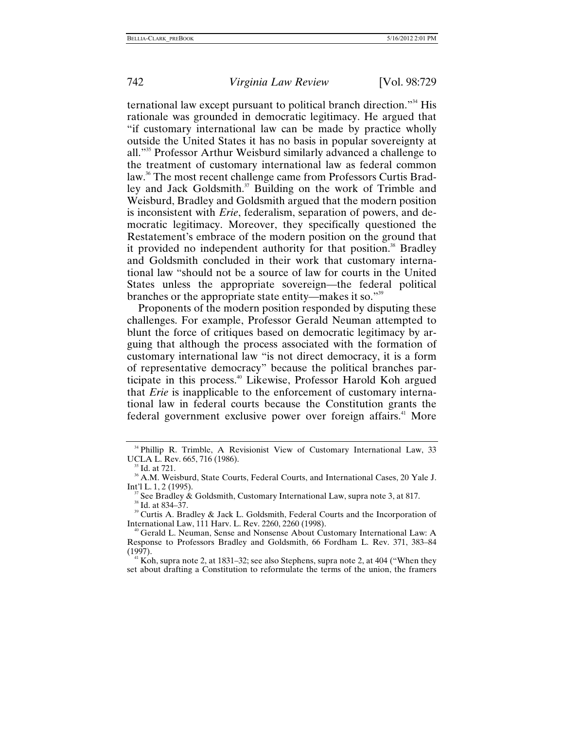ternational law except pursuant to political branch direction."[34](#page-14-0) His rationale was grounded in democratic legitimacy. He argued that "if customary international law can be made by practice wholly outside the United States it has no basis in popular sovereignty at all."[35](#page-14-1) Professor Arthur Weisburd similarly advanced a challenge to the treatment of customary international law as federal common law.<sup>36</sup> The most recent challenge came from Professors Curtis Bradley and Jack Goldsmith.<sup>37</sup> Building on the work of Trimble and Weisburd, Bradley and Goldsmith argued that the modern position is inconsistent with *Erie*, federalism, separation of powers, and democratic legitimacy. Moreover, they specifically questioned the Restatement's embrace of the modern position on the ground that it provided no independent authority for that position.<sup>38</sup> Bradley and Goldsmith concluded in their work that customary international law "should not be a source of law for courts in the United States unless the appropriate sovereign—the federal political branches or the appropriate state entity—makes it so."[39](#page-14-5)

Proponents of the modern position responded by disputing these challenges. For example, Professor Gerald Neuman attempted to blunt the force of critiques based on democratic legitimacy by arguing that although the process associated with the formation of customary international law "is not direct democracy, it is a form of representative democracy" because the political branches participate in this process[.40](#page-14-6) Likewise, Professor Harold Koh argued that *Erie* is inapplicable to the enforcement of customary international law in federal courts because the Constitution grants the federal government exclusive power over foreign affairs.<sup>41</sup> More

<span id="page-14-0"></span><sup>&</sup>lt;sup>34</sup> Phillip R. Trimble, A Revisionist View of Customary International Law, 33

<span id="page-14-2"></span><span id="page-14-1"></span>

UCLA L. Rev. 665, 716 (1986).<br><sup>35</sup> Id. at 721.<br><sup>36</sup> A.M. Weisburd, State Courts, Federal Courts, and International Cases, 20 Yale J.<br>Int'l L. 1, 2 (1995).

<span id="page-14-4"></span><span id="page-14-3"></span><sup>&</sup>lt;sup>37</sup> See Bradley & Goldsmith, Customary International Law, supra note 3, at 817.<br><sup>38</sup> Id. at 834–37. <br><sup>39</sup> Curtis A. Bradley & Jack L. Goldsmith, Federal Courts and the Incorporation of

<span id="page-14-5"></span>International Law, 111 Harv. L. Rev. 2260, 2260 (1998).<br><sup>40</sup> Gerald L. Neuman, Sense and Nonsense About Customary International Law: A

<span id="page-14-6"></span>Response to Professors Bradley and Goldsmith, 66 Fordham L. Rev. 371, 383–84

<span id="page-14-7"></span><sup>&</sup>lt;sup>41</sup> Koh, supra note 2, at 1831–32; see also Stephens, supra note 2, at 404 ("When they set about drafting a Constitution to reformulate the terms of the union, the framers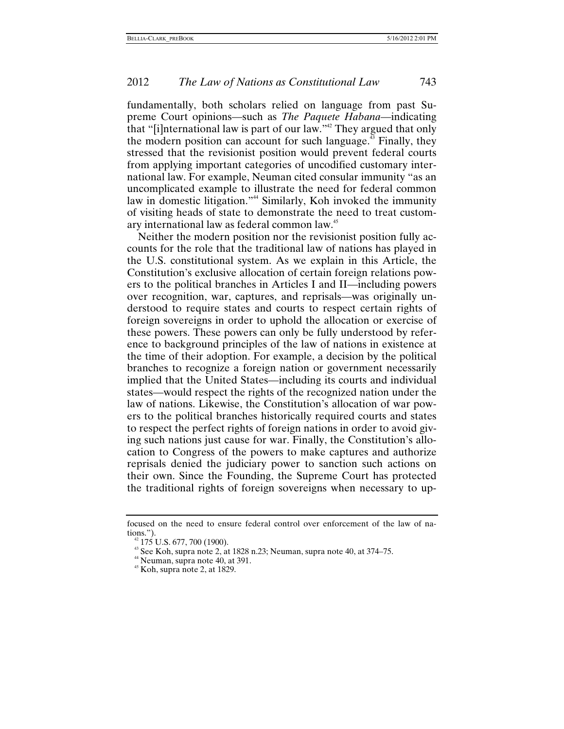fundamentally, both scholars relied on language from past Supreme Court opinions—such as *The Paquete Habana*—indicating that "[i]nternational law is part of our law."<sup>42</sup> They argued that only the modern position can account for such language.<sup>43</sup> Finally, they stressed that the revisionist position would prevent federal courts from applying important categories of uncodified customary international law. For example, Neuman cited consular immunity "as an uncomplicated example to illustrate the need for federal common law in domestic litigation."<sup>44</sup> Similarly, Koh invoked the immunity of visiting heads of state to demonstrate the need to treat customary international law as federal common law.[45](#page-15-3)

Neither the modern position nor the revisionist position fully accounts for the role that the traditional law of nations has played in the U.S. constitutional system. As we explain in this Article, the Constitution's exclusive allocation of certain foreign relations powers to the political branches in Articles I and II—including powers over recognition, war, captures, and reprisals—was originally understood to require states and courts to respect certain rights of foreign sovereigns in order to uphold the allocation or exercise of these powers. These powers can only be fully understood by reference to background principles of the law of nations in existence at the time of their adoption. For example, a decision by the political branches to recognize a foreign nation or government necessarily implied that the United States—including its courts and individual states—would respect the rights of the recognized nation under the law of nations. Likewise, the Constitution's allocation of war powers to the political branches historically required courts and states to respect the perfect rights of foreign nations in order to avoid giving such nations just cause for war. Finally, the Constitution's allocation to Congress of the powers to make captures and authorize reprisals denied the judiciary power to sanction such actions on their own. Since the Founding, the Supreme Court has protected the traditional rights of foreign sovereigns when necessary to up-

focused on the need to ensure federal control over enforcement of the law of nations.").<br><sup>42</sup> 175 U.S. 677, 700 (1900).<br><sup>43</sup> See Koh, supra note 2, at 1828 n.23; Neuman, supra note 40, at 374–75.<br><sup>45</sup> Koh, supra note 2, at 1829.

<span id="page-15-0"></span>

<span id="page-15-2"></span><span id="page-15-1"></span>

<span id="page-15-3"></span>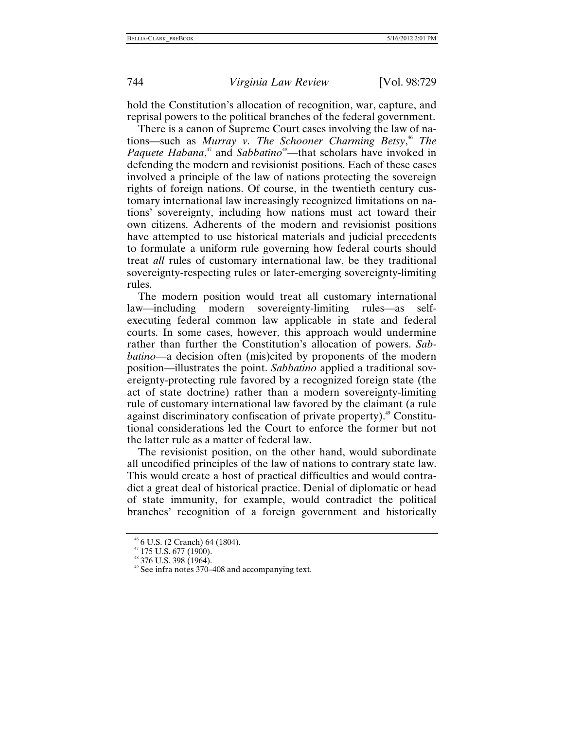hold the Constitution's allocation of recognition, war, capture, and reprisal powers to the political branches of the federal government.

There is a canon of Supreme Court cases involving the law of nations—such as *Murray v. The Schooner Charming Betsy*, [46](#page-16-0) *The Paquete Habana*,<sup>47</sup> and *Sabbatino*<sup>48</sup>—that scholars have invoked in defending the modern and revisionist positions. Each of these cases involved a principle of the law of nations protecting the sovereign rights of foreign nations. Of course, in the twentieth century customary international law increasingly recognized limitations on nations' sovereignty, including how nations must act toward their own citizens. Adherents of the modern and revisionist positions have attempted to use historical materials and judicial precedents to formulate a uniform rule governing how federal courts should treat *all* rules of customary international law, be they traditional sovereignty-respecting rules or later-emerging sovereignty-limiting rules.

The modern position would treat all customary international law—including modern sovereignty-limiting rules—as selfexecuting federal common law applicable in state and federal courts. In some cases, however, this approach would undermine rather than further the Constitution's allocation of powers. *Sabbatino*—a decision often (mis)cited by proponents of the modern position—illustrates the point. *Sabbatino* applied a traditional sovereignty-protecting rule favored by a recognized foreign state (the act of state doctrine) rather than a modern sovereignty-limiting rule of customary international law favored by the claimant (a rule against discriminatory confiscation of private property).<sup>49</sup> Constitutional considerations led the Court to enforce the former but not the latter rule as a matter of federal law.

The revisionist position, on the other hand, would subordinate all uncodified principles of the law of nations to contrary state law. This would create a host of practical difficulties and would contradict a great deal of historical practice. Denial of diplomatic or head of state immunity, for example, would contradict the political branches' recognition of a foreign government and historically

<span id="page-16-0"></span>

<span id="page-16-1"></span>

<span id="page-16-3"></span><span id="page-16-2"></span>

 $^{46}$  6 U.S. (2 Cranch) 64 (1804).<br> $^{47}$  175 U.S. 677 (1900).<br> $^{48}$  376 U.S. 398 (1964).<br> $^{49}$  See infra notes 370–408 and accompanying text.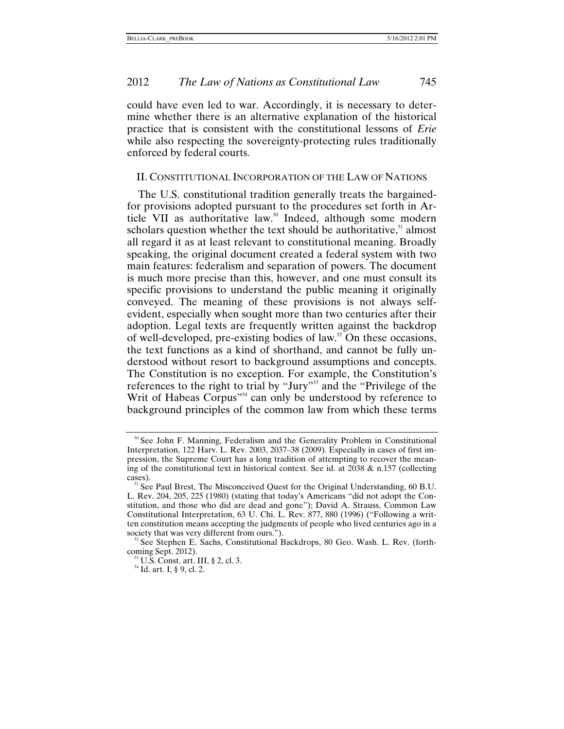<span id="page-17-0"></span>could have even led to war. Accordingly, it is necessary to determine whether there is an alternative explanation of the historical practice that is consistent with the constitutional lessons of *Erie* while also respecting the sovereignty-protecting rules traditionally enforced by federal courts.

#### II. CONSTITUTIONAL INCORPORATION OF THE LAW OF NATIONS

The U.S. constitutional tradition generally treats the bargainedfor provisions adopted pursuant to the procedures set forth in Article VII as authoritative law.<sup>50</sup> Indeed, although some modern scholars question whether the text should be authoritative, $51$  almost all regard it as at least relevant to constitutional meaning. Broadly speaking, the original document created a federal system with two main features: federalism and separation of powers. The document is much more precise than this, however, and one must consult its specific provisions to understand the public meaning it originally conveyed. The meaning of these provisions is not always selfevident, especially when sought more than two centuries after their adoption. Legal texts are frequently written against the backdrop of well-developed, pre-existing bodies of law. $52$  On these occasions, the text functions as a kind of shorthand, and cannot be fully understood without resort to background assumptions and concepts. The Constitution is no exception. For example, the Constitution's references to the right to trial by "Jury"<sup>53</sup> and the "Privilege of the Writ of Habeas Corpus"<sup>54</sup> can only be understood by reference to background principles of the common law from which these terms

<span id="page-17-1"></span><sup>&</sup>lt;sup>50</sup> See John F. Manning, Federalism and the Generality Problem in Constitutional Interpretation, 122 Harv. L. Rev. 2003, 2037–38 (2009). Especially in cases of first impression, the Supreme Court has a long tradition of attempting to recover the meaning of the constitutional text in historical context. See id. at  $2038 \& n.157$  (collecting cases).  $51$  See Paul Brest, The Misconceived Quest for the Original Understanding, 60 B.U.

<span id="page-17-2"></span>L. Rev. 204, 205, 225 (1980) (stating that today's Americans "did not adopt the Constitution, and those who did are dead and gone"); David A. Strauss, Common Law Constitutional Interpretation, 63 U. Chi. L. Rev. 877, 880 (1996) ("Following a written constitution means accepting the judgments of people who lived centuries ago in a

<span id="page-17-3"></span> $s^2$  See Stephen E. Sachs, Constitutional Backdrops, 80 Geo. Wash. L. Rev. (forth-coming Sept. 2012).

<span id="page-17-4"></span> $^{53}$  U.S. Const. art. III, § 2, cl. 3.  $^{54}$  Id. art. I, § 9, cl. 2.

<span id="page-17-5"></span>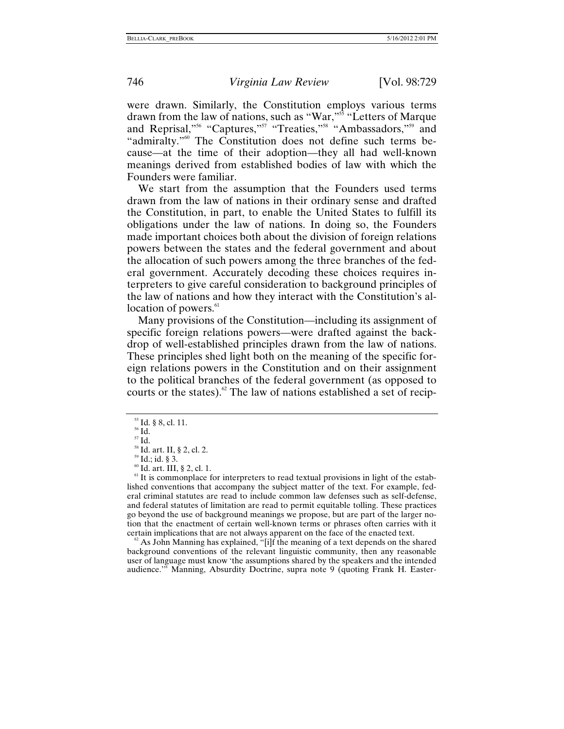were drawn. Similarly, the Constitution employs various terms drawn from the law of nations, such as "War,"<sup>55</sup> "Letters of Marque" and Reprisal,"<sup>56</sup> "Captures,"<sup>57</sup> "Treaties,"<sup>58</sup> "Ambassadors,"<sup>59</sup> and "admiralty."<sup>60</sup> The Constitution does not define such terms because—at the time of their adoption—they all had well-known meanings derived from established bodies of law with which the Founders were familiar.

We start from the assumption that the Founders used terms drawn from the law of nations in their ordinary sense and drafted the Constitution, in part, to enable the United States to fulfill its obligations under the law of nations. In doing so, the Founders made important choices both about the division of foreign relations powers between the states and the federal government and about the allocation of such powers among the three branches of the federal government. Accurately decoding these choices requires interpreters to give careful consideration to background principles of the law of nations and how they interact with the Constitution's al-location of powers.<sup>[61](#page-18-6)</sup>

Many provisions of the Constitution—including its assignment of specific foreign relations powers—were drafted against the backdrop of well-established principles drawn from the law of nations. These principles shed light both on the meaning of the specific foreign relations powers in the Constitution and on their assignment to the political branches of the federal government (as opposed to courts or the states).<sup>62</sup> The law of nations established a set of recip-

<span id="page-18-0"></span><sup>55</sup> Id. § 8, cl. 11.<br><sup>56</sup> Id.<br><sup>57</sup> Id.<br><sup>58</sup> Id. art. II, § 2, cl. 2.<br><sup>59</sup> Id.; id. § 3.<br><sup>60</sup> Id. art. III, § 2, cl. 1.<br><sup>61</sup> It is commonplace for interpreters to read textual provisions in light of the established conventions that accompany the subject matter of the text. For example, federal criminal statutes are read to include common law defenses such as self-defense, and federal statutes of limitation are read to permit equitable tolling. These practices go beyond the use of background meanings we propose, but are part of the larger notion that the enactment of certain well-known terms or phrases often carries with it certain implications that are not always apparent on the face of the enacted text.

<span id="page-18-7"></span> $\frac{62}{3}$  As John Manning has explained, "[i]f the meaning of a text depends on the shared background conventions of the relevant linguistic community, then any reasonable user of language must know 'the assumptions shared by the speakers and the intended audience.'" Manning, Absurdity Doctrine, supra note 9 (quoting Frank H. Easter-

<span id="page-18-1"></span>

<span id="page-18-2"></span>

<span id="page-18-3"></span>

<span id="page-18-4"></span>

<span id="page-18-6"></span><span id="page-18-5"></span>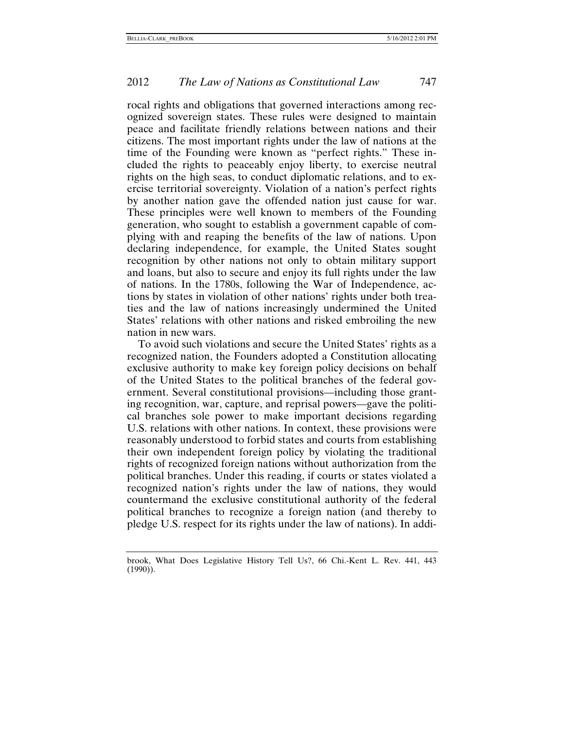rocal rights and obligations that governed interactions among recognized sovereign states. These rules were designed to maintain peace and facilitate friendly relations between nations and their citizens. The most important rights under the law of nations at the time of the Founding were known as "perfect rights." These included the rights to peaceably enjoy liberty, to exercise neutral rights on the high seas, to conduct diplomatic relations, and to exercise territorial sovereignty. Violation of a nation's perfect rights by another nation gave the offended nation just cause for war. These principles were well known to members of the Founding generation, who sought to establish a government capable of complying with and reaping the benefits of the law of nations. Upon declaring independence, for example, the United States sought recognition by other nations not only to obtain military support and loans, but also to secure and enjoy its full rights under the law of nations. In the 1780s, following the War of Independence, actions by states in violation of other nations' rights under both treaties and the law of nations increasingly undermined the United States' relations with other nations and risked embroiling the new nation in new wars.

To avoid such violations and secure the United States' rights as a recognized nation, the Founders adopted a Constitution allocating exclusive authority to make key foreign policy decisions on behalf of the United States to the political branches of the federal government. Several constitutional provisions—including those granting recognition, war, capture, and reprisal powers—gave the political branches sole power to make important decisions regarding U.S. relations with other nations. In context, these provisions were reasonably understood to forbid states and courts from establishing their own independent foreign policy by violating the traditional rights of recognized foreign nations without authorization from the political branches. Under this reading, if courts or states violated a recognized nation's rights under the law of nations, they would countermand the exclusive constitutional authority of the federal political branches to recognize a foreign nation (and thereby to pledge U.S. respect for its rights under the law of nations). In addi-

brook, What Does Legislative History Tell Us?, 66 Chi.-Kent L. Rev. 441, 443 (1990)).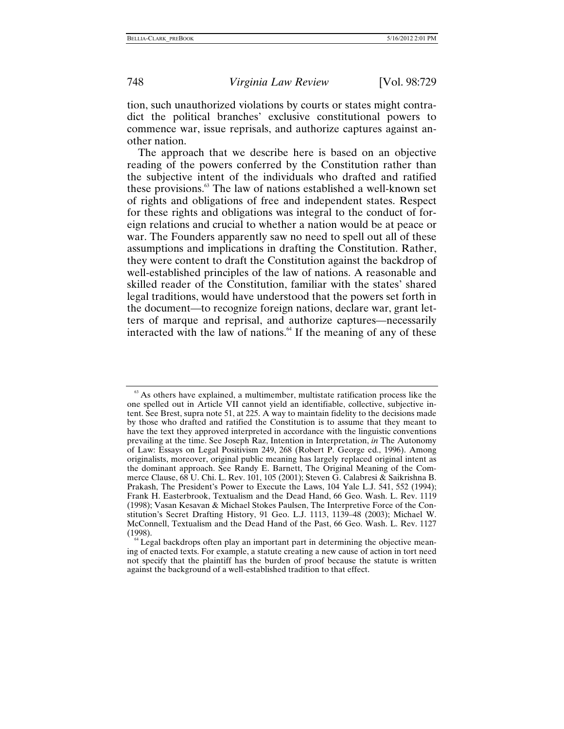tion, such unauthorized violations by courts or states might contradict the political branches' exclusive constitutional powers to commence war, issue reprisals, and authorize captures against another nation.

The approach that we describe here is based on an objective reading of the powers conferred by the Constitution rather than the subjective intent of the individuals who drafted and ratified these provisions.<sup>63</sup> The law of nations established a well-known set of rights and obligations of free and independent states. Respect for these rights and obligations was integral to the conduct of foreign relations and crucial to whether a nation would be at peace or war. The Founders apparently saw no need to spell out all of these assumptions and implications in drafting the Constitution. Rather, they were content to draft the Constitution against the backdrop of well-established principles of the law of nations. A reasonable and skilled reader of the Constitution, familiar with the states' shared legal traditions, would have understood that the powers set forth in the document—to recognize foreign nations, declare war, grant letters of marque and reprisal, and authorize captures—necessarily interacted with the law of nations. $64$  If the meaning of any of these

<span id="page-20-0"></span> $63$  As others have explained, a multimember, multistate ratification process like the one spelled out in Article VII cannot yield an identifiable, collective, subjective intent. See Brest, supra note 51, at 225. A way to maintain fidelity to the decisions made by those who drafted and ratified the Constitution is to assume that they meant to have the text they approved interpreted in accordance with the linguistic conventions prevailing at the time. See Joseph Raz, Intention in Interpretation, *in* The Autonomy of Law: Essays on Legal Positivism 249, 268 (Robert P. George ed., 1996). Among originalists, moreover, original public meaning has largely replaced original intent as the dominant approach. See Randy E. Barnett, The Original Meaning of the Commerce Clause, 68 U. Chi. L. Rev. 101, 105 (2001); Steven G. Calabresi & Saikrishna B. Prakash, The President's Power to Execute the Laws, 104 Yale L.J. 541, 552 (1994); Frank H. Easterbrook, Textualism and the Dead Hand, 66 Geo. Wash. L. Rev. 1119 (1998); Vasan Kesavan & Michael Stokes Paulsen, The Interpretive Force of the Constitution's Secret Drafting History, 91 Geo. L.J. 1113, 1139–48 (2003); Michael W. McConnell, Textualism and the Dead Hand of the Past, 66 Geo. Wash. L. Rev. 1127

<span id="page-20-1"></span> $<sup>64</sup>$  Legal backdrops often play an important part in determining the objective mean-</sup> ing of enacted texts. For example, a statute creating a new cause of action in tort need not specify that the plaintiff has the burden of proof because the statute is written against the background of a well-established tradition to that effect.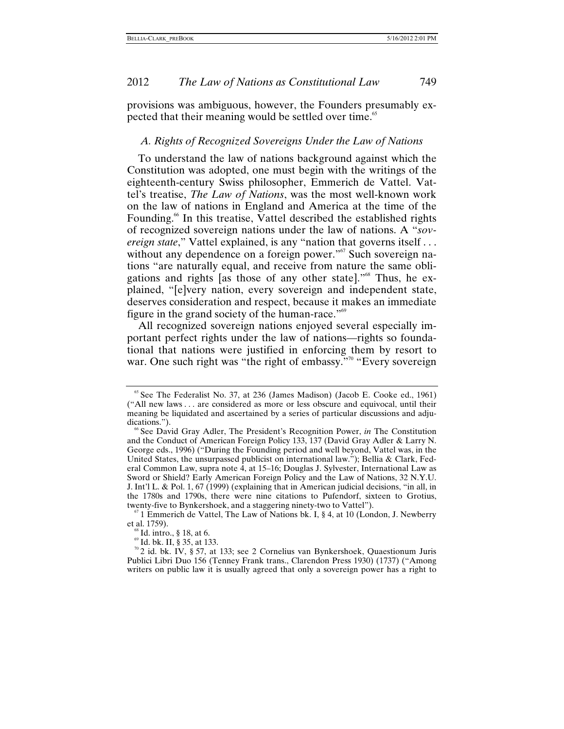<span id="page-21-0"></span>provisions was ambiguous, however, the Founders presumably expected that their meaning would be settled over time.<sup>65</sup>

#### *A. Rights of Recognized Sovereigns Under the Law of Nations*

To understand the law of nations background against which the Constitution was adopted, one must begin with the writings of the eighteenth-century Swiss philosopher, Emmerich de Vattel. Vattel's treatise, *The Law of Nations*, was the most well-known work on the law of nations in England and America at the time of the Founding.<sup>66</sup> In this treatise, Vattel described the established rights of recognized sovereign nations under the law of nations. A "*sovereign state*," Vattel explained, is any "nation that governs itself . . . without any dependence on a foreign power."<sup>67</sup> Such sovereign nations "are naturally equal, and receive from nature the same obligations and rights [as those of any other state]."[68](#page-21-4) Thus, he explained, "[e]very nation, every sovereign and independent state, deserves consideration and respect, because it makes an immediate figure in the grand society of the human-race."<sup>[69](#page-21-5)</sup>

All recognized sovereign nations enjoyed several especially important perfect rights under the law of nations—rights so foundational that nations were justified in enforcing them by resort to war. One such right was "the right of embassy."<sup>70</sup> "Every sovereign

<span id="page-21-1"></span> $65$  See The Federalist No. 37, at 236 (James Madison) (Jacob E. Cooke ed., 1961) ("All new laws . . . are considered as more or less obscure and equivocal, until their meaning be liquidated and ascertained by a series of particular discussions and adjudications.").<br><sup>66</sup> See David Gray Adler, The President's Recognition Power, *in* The Constitution

<span id="page-21-2"></span>and the Conduct of American Foreign Policy 133, 137 (David Gray Adler & Larry N. George eds., 1996) ("During the Founding period and well beyond, Vattel was, in the United States, the unsurpassed publicist on international law."); Bellia & Clark, Federal Common Law, supra note 4, at 15–16; Douglas J. Sylvester, International Law as Sword or Shield? Early American Foreign Policy and the Law of Nations, 32 N.Y.U. J. Int'l L. & Pol. 1, 67 (1999) (explaining that in American judicial decisions, "in all, in the 1780s and 1790s, there were nine citations to Pufendorf, sixteen to Grotius, twenty-five to Bynkershoek, and a staggering ninety-two to Vattel").

<span id="page-21-3"></span> $t_0$ <sup>67</sup> 1 Emmerich de Vattel, The Law of Nations bk. I, § 4, at 10 (London, J. Newberry et al. 1759).<br>
<sup>68</sup> Id. intro., § 18, at 6.<br>
<sup>69</sup> Id. bk. II, § 35, at 133.<br>
<sup>70</sup> 2 id. bk. IV, § 57, at 133; see 2 Cornelius van Bynkershoek, Quaestionum Juris

<span id="page-21-4"></span>

<span id="page-21-5"></span>

<span id="page-21-6"></span>Publici Libri Duo 156 (Tenney Frank trans., Clarendon Press 1930) (1737) ("Among writers on public law it is usually agreed that only a sovereign power has a right to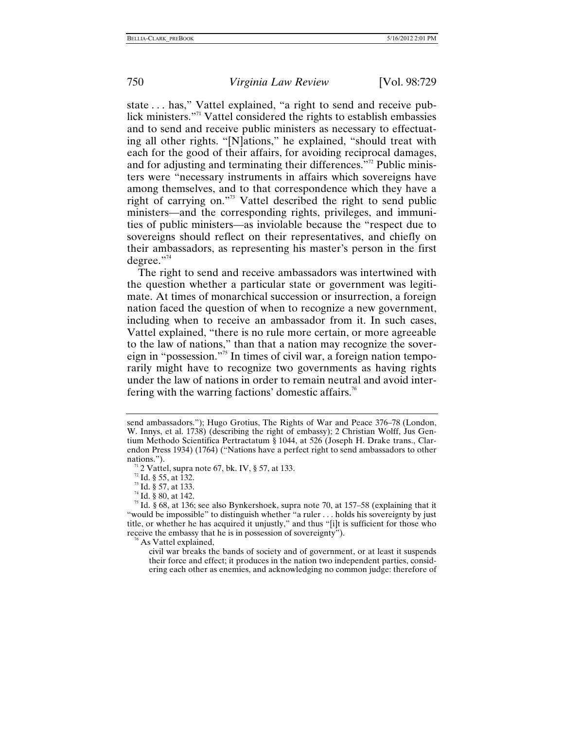state . . . has," Vattel explained, "a right to send and receive publick ministers.["71](#page-22-0) Vattel considered the rights to establish embassies and to send and receive public ministers as necessary to effectuating all other rights. "[N]ations," he explained, "should treat with each for the good of their affairs, for avoiding reciprocal damages, and for adjusting and terminating their differences. $12^2$  Public ministers were "necessary instruments in affairs which sovereigns have among themselves, and to that correspondence which they have a right of carrying on."[73](#page-22-2) Vattel described the right to send public ministers—and the corresponding rights, privileges, and immunities of public ministers—as inviolable because the "respect due to sovereigns should reflect on their representatives, and chiefly on their ambassadors, as representing his master's person in the first degree."<sup>74</sup>

The right to send and receive ambassadors was intertwined with the question whether a particular state or government was legitimate. At times of monarchical succession or insurrection, a foreign nation faced the question of when to recognize a new government, including when to receive an ambassador from it. In such cases, Vattel explained, "there is no rule more certain, or more agreeable to the law of nations," than that a nation may recognize the sovereign in "possession."[75](#page-22-4) In times of civil war, a foreign nation temporarily might have to recognize two governments as having rights under the law of nations in order to remain neutral and avoid inter-fering with the warring factions' domestic affairs.<sup>[76](#page-22-5)</sup>

<span id="page-22-4"></span><span id="page-22-3"></span>

<span id="page-22-5"></span>

civil war breaks the bands of society and of government, or at least it suspends their force and effect; it produces in the nation two independent parties, considering each other as enemies, and acknowledging no common judge: therefore of

send ambassadors."); Hugo Grotius, The Rights of War and Peace 376–78 (London, W. Innys, et al. 1738) (describing the right of embassy); 2 Christian Wolff, Jus Gentium Methodo Scientifica Pertractatum § 1044, at 526 (Joseph H. Drake trans., Clarendon Press 1934) (1764) ("Nations have a perfect right to send ambassadors to other

<span id="page-22-0"></span>

<span id="page-22-1"></span>

<span id="page-22-2"></span>

nations.").<br>
<sup>71</sup> 2 Vattel, supra note 67, bk. IV, § 57, at 133.<br>
<sup>72</sup> Id. § 55, at 132.<br>
<sup>73</sup> Id. § 80, at 142.<br>
<sup>75</sup> Id. § 68, at 136; see also Bynkershoek, supra note 70, at 157–58 (explaining that it "would be impossible" to distinguish whether "a ruler . . . holds his sovereignty by just title, or whether he has acquired it unjustly," and thus "[i]t is sufficient for those who receive the embassy that he is in possession of sovereignty").<br><sup>76</sup> As Vattel explained,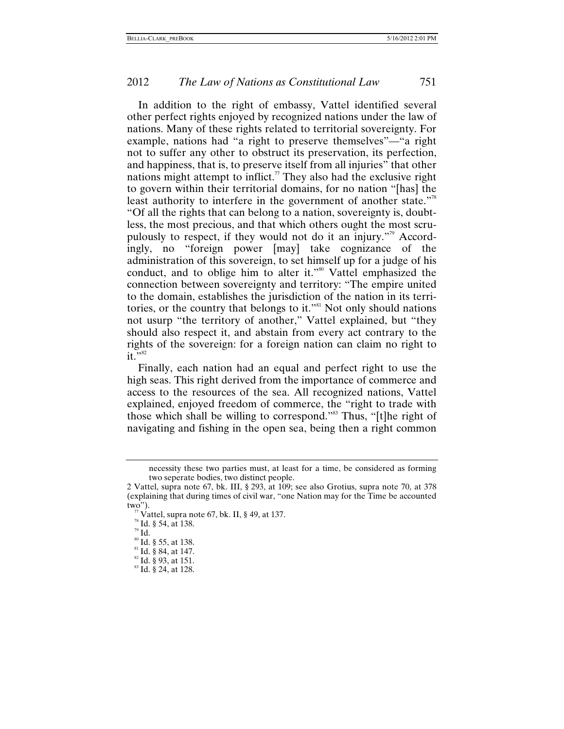In addition to the right of embassy, Vattel identified several other perfect rights enjoyed by recognized nations under the law of nations. Many of these rights related to territorial sovereignty. For example, nations had "a right to preserve themselves"—"a right not to suffer any other to obstruct its preservation, its perfection, and happiness, that is, to preserve itself from all injuries" that other nations might attempt to inflict.<sup>77</sup> They also had the exclusive right to govern within their territorial domains, for no nation "[has] the least authority to interfere in the government of another state."<sup>8</sup> "Of all the rights that can belong to a nation, sovereignty is, doubtless, the most precious, and that which others ought the most scrupulously to respect, if they would not do it an injury."[79](#page-23-2) Accordingly, no "foreign power [may] take cognizance of the administration of this sovereign, to set himself up for a judge of his conduct, and to oblige him to alter it."<sup>80</sup> Vattel emphasized the connection between sovereignty and territory: "The empire united to the domain, establishes the jurisdiction of the nation in its territories, or the country that belongs to it."<sup>81</sup> Not only should nations not usurp "the territory of another," Vattel explained, but "they should also respect it, and abstain from every act contrary to the rights of the sovereign: for a foreign nation can claim no right to  $it.$   $\frac{1}{2}$ 

Finally, each nation had an equal and perfect right to use the high seas. This right derived from the importance of commerce and access to the resources of the sea. All recognized nations, Vattel explained, enjoyed freedom of commerce, the "right to trade with those which shall be willing to correspond."<sup>83</sup> Thus, "[t]he right of navigating and fishing in the open sea, being then a right common

<span id="page-23-3"></span>

necessity these two parties must, at least for a time, be considered as forming two seperate bodies, two distinct people.

<sup>2</sup> Vattel, supra note 67, bk. III, § 293, at 109; see also Grotius, supra note 70, at 378 (explaining that during times of civil war, "one Nation may for the Time be accounted two").<br>
<sup>77</sup> Vattel, supra note 67, bk. II, § 49, at 137.<br>
<sup>78</sup> Id. § 54, at 138.<br>
<sup>80</sup> Id. § 55, at 138.<br>
<sup>81</sup> Id. § 84, at 147.<br>
<sup>82</sup> Id. § 93, at 151.<br>
<sup>83</sup> Id. § 24, at 128.

<span id="page-23-0"></span>

<span id="page-23-1"></span>

<span id="page-23-2"></span>

<span id="page-23-4"></span>

<span id="page-23-5"></span>

<span id="page-23-6"></span>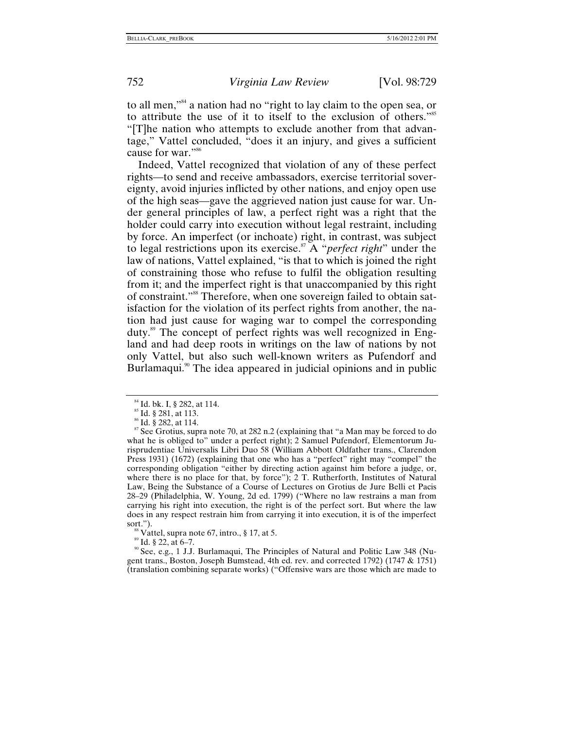to all men,"[84](#page-24-0) a nation had no "right to lay claim to the open sea, or to attribute the use of it to itself to the exclusion of others.["85](#page-24-1) "[T]he nation who attempts to exclude another from that advantage," Vattel concluded, "does it an injury, and gives a sufficient cause for war."<sup>86</sup>

Indeed, Vattel recognized that violation of any of these perfect rights—to send and receive ambassadors, exercise territorial sovereignty, avoid injuries inflicted by other nations, and enjoy open use of the high seas—gave the aggrieved nation just cause for war. Under general principles of law, a perfect right was a right that the holder could carry into execution without legal restraint, including by force. An imperfect (or inchoate) right, in contrast, was subject to legal restrictions upon its exercise.[87](#page-24-3) A "*perfect right*" under the law of nations, Vattel explained, "is that to which is joined the right of constraining those who refuse to fulfil the obligation resulting from it; and the imperfect right is that unaccompanied by this right of constraint."[88](#page-24-4) Therefore, when one sovereign failed to obtain satisfaction for the violation of its perfect rights from another, the nation had just cause for waging war to compel the corresponding duty[.89](#page-24-5) The concept of perfect rights was well recognized in England and had deep roots in writings on the law of nations by not only Vattel, but also such well-known writers as Pufendorf and Burlamaqui.<sup>90</sup> The idea appeared in judicial opinions and in public

<span id="page-24-1"></span>

<span id="page-24-3"></span><span id="page-24-2"></span>

<span id="page-24-0"></span><sup>&</sup>lt;sup>84</sup> Id. bk. I, § 282, at 114.<br><sup>85</sup> Id. § 281, at 113.<br><sup>86</sup> Id. § 282, at 114.<br><sup>87</sup> See Grotius, supra note 70, at 282 n.2 (explaining that "a Man may be forced to do what he is obliged to" under a perfect right); 2 Samuel Pufendorf, Elementorum Jurisprudentiae Universalis Libri Duo 58 (William Abbott Oldfather trans., Clarendon Press 1931) (1672) (explaining that one who has a "perfect" right may "compel" the corresponding obligation "either by directing action against him before a judge, or, where there is no place for that, by force"); 2 T. Rutherforth, Institutes of Natural Law, Being the Substance of a Course of Lectures on Grotius de Jure Belli et Pacis 28–29 (Philadelphia, W. Young, 2d ed. 1799) ("Where no law restrains a man from carrying his right into execution, the right is of the perfect sort. But where the law does in any respect restrain him from carrying it into execution, it is of the imperfect sort.").<br><sup>88</sup> Vattel, supra note 67, intro., § 17, at 5.<br><sup>89</sup> Id. § 22, at 6–7.<br><sup>90</sup> See, e.g., 1 J.J. Burlamaqui, The Principles of Natural and Politic Law 348 (Nu-

<span id="page-24-4"></span>

<span id="page-24-5"></span>

<span id="page-24-6"></span>gent trans., Boston, Joseph Bumstead, 4th ed. rev. and corrected 1792) (1747 & 1751) (translation combining separate works) ("Offensive wars are those which are made to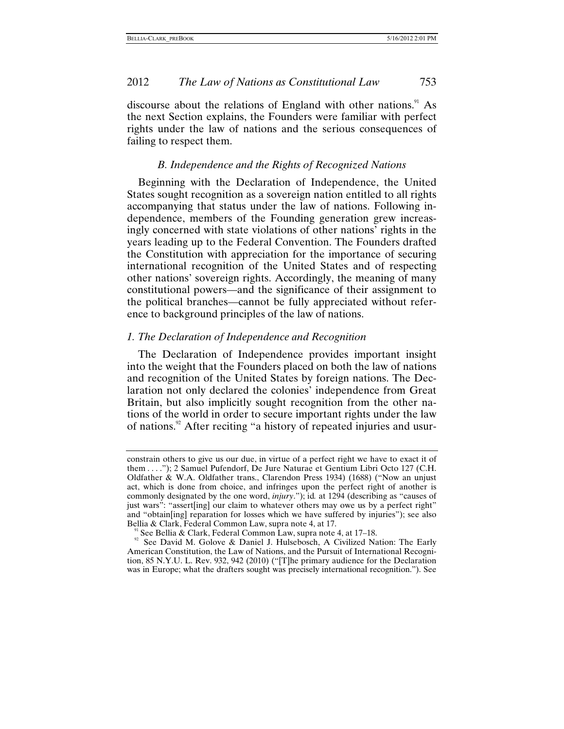<span id="page-25-0"></span>discourse about the relations of England with other nations. $91$  As the next Section explains, the Founders were familiar with perfect rights under the law of nations and the serious consequences of failing to respect them.

#### *B. Independence and the Rights of Recognized Nations*

Beginning with the Declaration of Independence, the United States sought recognition as a sovereign nation entitled to all rights accompanying that status under the law of nations. Following independence, members of the Founding generation grew increasingly concerned with state violations of other nations' rights in the years leading up to the Federal Convention. The Founders drafted the Constitution with appreciation for the importance of securing international recognition of the United States and of respecting other nations' sovereign rights. Accordingly, the meaning of many constitutional powers—and the significance of their assignment to the political branches—cannot be fully appreciated without reference to background principles of the law of nations.

#### *1. The Declaration of Independence and Recognition*

The Declaration of Independence provides important insight into the weight that the Founders placed on both the law of nations and recognition of the United States by foreign nations. The Declaration not only declared the colonies' independence from Great Britain, but also implicitly sought recognition from the other nations of the world in order to secure important rights under the law of nations.<sup>92</sup> After reciting "a history of repeated injuries and usur-

constrain others to give us our due, in virtue of a perfect right we have to exact it of them . . . ."); 2 Samuel Pufendorf, De Jure Naturae et Gentium Libri Octo 127 (C.H. Oldfather & W.A. Oldfather trans., Clarendon Press 1934) (1688) ("Now an unjust act, which is done from choice, and infringes upon the perfect right of another is commonly designated by the one word, *injury*."); id*.* at 1294 (describing as "causes of just wars": "assert[ing] our claim to whatever others may owe us by a perfect right" and "obtain[ing] reparation for losses which we have suffered by injuries"); see also Bellia & Clark, Federal Common Law, supra note 4, at 17.<br><sup>91</sup> See Bellia & Clark, Federal Common Law, supra note 4, at 17–18.<br><sup>92</sup> See David M. Golove & Daniel J. Hulsebosch, A Civilized Nation: The Early

<span id="page-25-1"></span>

<span id="page-25-2"></span>American Constitution, the Law of Nations, and the Pursuit of International Recognition, 85 N.Y.U. L. Rev. 932, 942 (2010) ("[T]he primary audience for the Declaration was in Europe; what the drafters sought was precisely international recognition."). See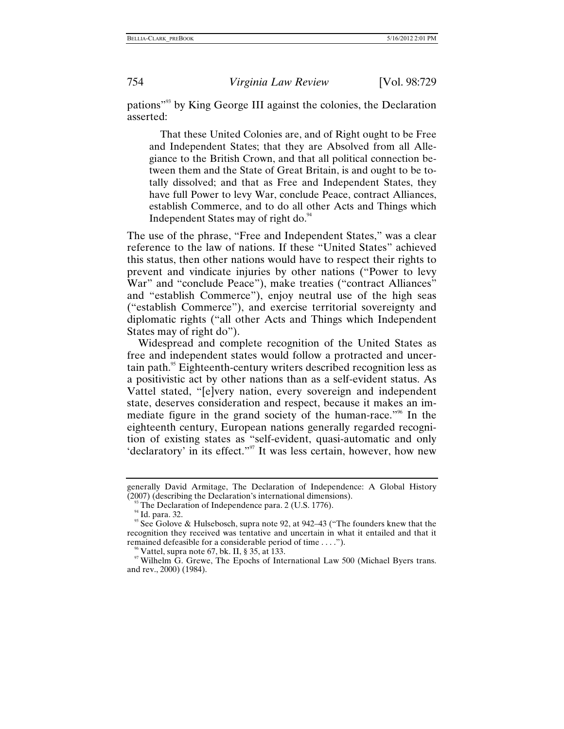pations["93](#page-26-0) by King George III against the colonies, the Declaration asserted:

That these United Colonies are, and of Right ought to be Free and Independent States; that they are Absolved from all Allegiance to the British Crown, and that all political connection between them and the State of Great Britain, is and ought to be totally dissolved; and that as Free and Independent States, they have full Power to levy War, conclude Peace, contract Alliances, establish Commerce, and to do all other Acts and Things which Independent States may of right do.<sup>94</sup>

The use of the phrase, "Free and Independent States," was a clear reference to the law of nations. If these "United States" achieved this status, then other nations would have to respect their rights to prevent and vindicate injuries by other nations ("Power to levy War" and "conclude Peace"), make treaties ("contract Alliances" and "establish Commerce"), enjoy neutral use of the high seas ("establish Commerce"), and exercise territorial sovereignty and diplomatic rights ("all other Acts and Things which Independent States may of right do").

Widespread and complete recognition of the United States as free and independent states would follow a protracted and uncertain path.<sup>95</sup> Eighteenth-century writers described recognition less as a positivistic act by other nations than as a self-evident status. As Vattel stated, "[e]very nation, every sovereign and independent state, deserves consideration and respect, because it makes an immediate figure in the grand society of the human-race."[96](#page-26-3) In the eighteenth century, European nations generally regarded recognition of existing states as "self-evident, quasi-automatic and only 'declaratory' in its effect."<sup>97</sup> It was less certain, however, how new

generally David Armitage, The Declaration of Independence: A Global History (2007) (describing the Declaration's international dimensions).

<span id="page-26-2"></span><span id="page-26-1"></span>

<span id="page-26-0"></span><sup>&</sup>lt;sup>93</sup> The Declaration of Independence para. 2 (U.S. 1776). <sup>94</sup> Id. para. 32. 95 See Golove & Hulsebosch, supra note 92, at 942–43 ("The founders knew that the recognition they received was tentative and uncertain in what it entailed and that it remained defeasible for a considerable period of time ....").

<span id="page-26-4"></span><span id="page-26-3"></span><sup>&</sup>lt;sup>96</sup> Vattel, supra note 67, bk. II, § 35, at 133.<br><sup>97</sup> Wilhelm G. Grewe, The Epochs of International Law 500 (Michael Byers trans. and rev., 2000) (1984).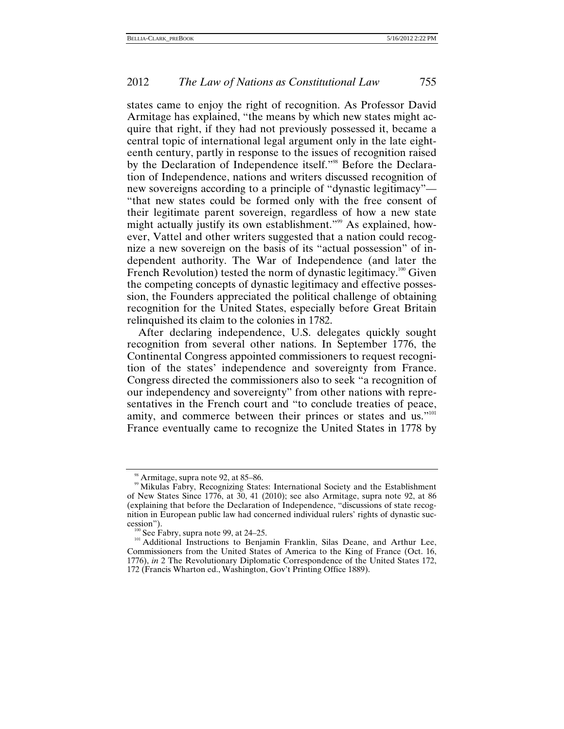states came to enjoy the right of recognition. As Professor David Armitage has explained, "the means by which new states might acquire that right, if they had not previously possessed it, became a central topic of international legal argument only in the late eighteenth century, partly in response to the issues of recognition raised by the Declaration of Independence itself."<sup>98</sup> Before the Declaration of Independence, nations and writers discussed recognition of new sovereigns according to a principle of "dynastic legitimacy"— "that new states could be formed only with the free consent of their legitimate parent sovereign, regardless of how a new state might actually justify its own establishment."<sup>99</sup> As explained, however, Vattel and other writers suggested that a nation could recognize a new sovereign on the basis of its "actual possession" of independent authority. The War of Independence (and later the French Revolution) tested the norm of dynastic legitimacy.<sup>100</sup> Given the competing concepts of dynastic legitimacy and effective possession, the Founders appreciated the political challenge of obtaining recognition for the United States, especially before Great Britain relinquished its claim to the colonies in 1782.

After declaring independence, U.S. delegates quickly sought recognition from several other nations. In September 1776, the Continental Congress appointed commissioners to request recognition of the states' independence and sovereignty from France. Congress directed the commissioners also to seek "a recognition of our independency and sovereignty" from other nations with representatives in the French court and "to conclude treaties of peace, amity, and commerce between their princes or states and us."<sup>101</sup> France eventually came to recognize the United States in 1778 by

<sup>&</sup>lt;sup>98</sup> Armitage, supra note 92, at 85–86.<br><sup>99</sup> Mikulas Fabry, Recognizing States: International Society and the Establishment of New States Since 1776, at 30, 41 (2010); see also Armitage, supra note 92, at 86 (explaining that before the Declaration of Independence, "discussions of state recognition in European public law had concerned individual rulers' rights of dynastic suc-

cession").<br><sup>100</sup> See Fabry, supra note 99, at 24–25.<br><sup>101</sup> Additional Instructions to Benjamin Franklin, Silas Deane, and Arthur Lee, Commissioners from the United States of America to the King of France (Oct. 16, 1776), *in* 2 The Revolutionary Diplomatic Correspondence of the United States 172, 172 (Francis Wharton ed., Washington, Gov't Printing Office 1889).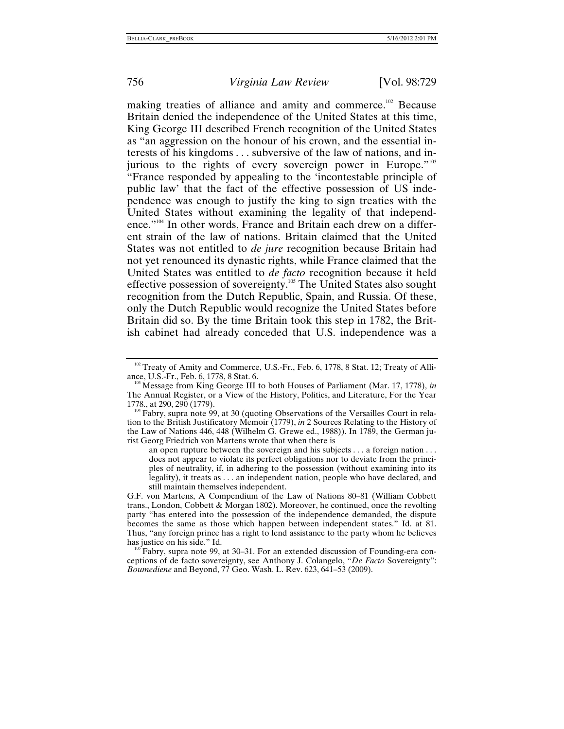making treaties of alliance and amity and commerce.<sup>102</sup> Because Britain denied the independence of the United States at this time, King George III described French recognition of the United States as "an aggression on the honour of his crown, and the essential interests of his kingdoms . . . subversive of the law of nations, and in-jurious to the rights of every sovereign power in Europe."<sup>[103](#page-28-1)</sup> "France responded by appealing to the 'incontestable principle of public law' that the fact of the effective possession of US independence was enough to justify the king to sign treaties with the United States without examining the legality of that independence."<sup>104</sup> In other words, France and Britain each drew on a different strain of the law of nations. Britain claimed that the United States was not entitled to *de jure* recognition because Britain had not yet renounced its dynastic rights, while France claimed that the United States was entitled to *de facto* recognition because it held effective possession of sovereignty.[105](#page-28-3) The United States also sought recognition from the Dutch Republic, Spain, and Russia. Of these, only the Dutch Republic would recognize the United States before Britain did so. By the time Britain took this step in 1782, the British cabinet had already conceded that U.S. independence was a

an open rupture between the sovereign and his subjects . . . a foreign nation . . . does not appear to violate its perfect obligations nor to deviate from the principles of neutrality, if, in adhering to the possession (without examining into its legality), it treats as . . . an independent nation, people who have declared, and still maintain themselves independent.

<span id="page-28-0"></span><sup>&</sup>lt;sup>102</sup> Treaty of Amity and Commerce, U.S.-Fr., Feb. 6, 1778, 8 Stat. 12; Treaty of Alliance, U.S.-Fr., Feb. 6, 1778, 8 Stat. 6.<br><sup>103</sup> Message from King George III to both Houses of Parliament (Mar. 17, 1778), *in* 

<span id="page-28-1"></span>The Annual Register, or a View of the History, Politics, and Literature, For the Year

<span id="page-28-2"></span><sup>&</sup>lt;sup>104</sup> Fabry, supra note 99, at 30 (quoting Observations of the Versailles Court in relation to the British Justificatory Memoir (1779), *in* 2 Sources Relating to the History of the Law of Nations 446, 448 (Wilhelm G. Grewe ed., 1988)). In 1789, the German jurist Georg Friedrich von Martens wrote that when there is

G.F. von Martens, A Compendium of the Law of Nations 80–81 (William Cobbett trans., London, Cobbett & Morgan 1802). Moreover, he continued, once the revolting party "has entered into the possession of the independence demanded, the dispute becomes the same as those which happen between independent states." Id. at 81. Thus, "any foreign prince has a right to lend assistance to the party whom he believes has justice on his side." Id.

<span id="page-28-3"></span> $\frac{105}{105}$  Fabry, supra note 99, at 30–31. For an extended discussion of Founding-era conceptions of de facto sovereignty, see Anthony J. Colangelo, "*De Facto* Sovereignty": *Boumediene* and Beyond, 77 Geo. Wash. L. Rev. 623, 641–53 (2009).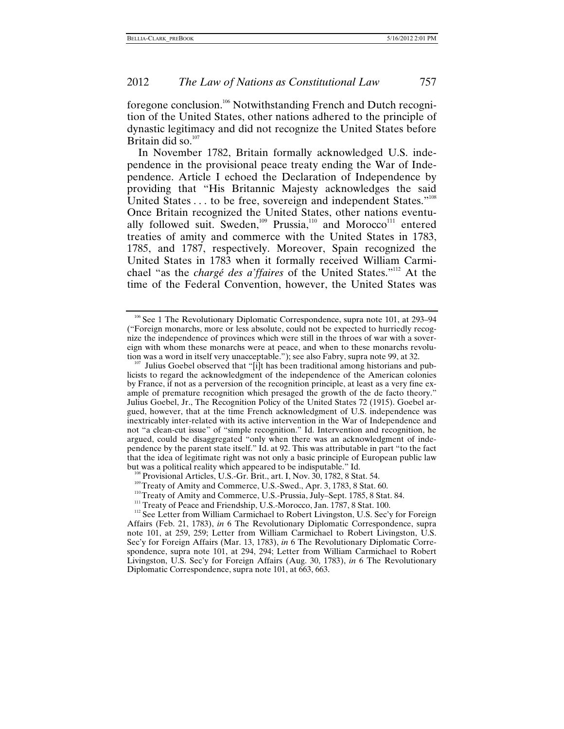foregone conclusion.[106](#page-29-0) Notwithstanding French and Dutch recognition of the United States, other nations adhered to the principle of dynastic legitimacy and did not recognize the United States before Britain did so. $107$ 

In November 1782, Britain formally acknowledged U.S. independence in the provisional peace treaty ending the War of Independence. Article I echoed the Declaration of Independence by providing that "His Britannic Majesty acknowledges the said United States . . . to be free, sovereign and independent States."<sup>[108](#page-29-2)</sup> Once Britain recognized the United States, other nations eventually followed suit. Sweden,<sup>109</sup> Prussia,<sup>110</sup> and Morocco<sup>111</sup> entered treaties of amity and commerce with the United States in 1783, 1785, and 1787, respectively. Moreover, Spain recognized the United States in 1783 when it formally received William Carmichael "as the *chargé des a'ffaires* of the United States."[112](#page-29-6) At the time of the Federal Convention, however, the United States was

<span id="page-29-0"></span><sup>&</sup>lt;sup>106</sup> See 1 The Revolutionary Diplomatic Correspondence, supra note 101, at 293–94 ("Foreign monarchs, more or less absolute, could not be expected to hurriedly recognize the independence of provinces which were still in the throes of war with a sovereign with whom these monarchs were at peace, and when to these monarchs revolution was a word in itself very unacceptable."); see also Fabry, supra note 99, at 32.

<span id="page-29-1"></span>Julius Goebel observed that "[i]t has been traditional among historians and publicists to regard the acknowledgment of the independence of the American colonies by France, if not as a perversion of the recognition principle, at least as a very fine example of premature recognition which presaged the growth of the de facto theory." Julius Goebel, Jr., The Recognition Policy of the United States 72 (1915). Goebel argued, however, that at the time French acknowledgment of U.S. independence was inextricably inter-related with its active intervention in the War of Independence and not "a clean-cut issue" of "simple recognition." Id. Intervention and recognition, he argued, could be disaggregated "only when there was an acknowledgment of independence by the parent state itself." Id. at 92. This was attributable in part "to the fact that the idea of legitimate right was not only a basic principle of European public law<br>but was a political reality which appeared to be indisputable." Id.

<span id="page-29-4"></span><span id="page-29-3"></span>

<span id="page-29-2"></span><sup>&</sup>lt;sup>108</sup> Provisional Articles, U.S.-Gr. Brit., art. I, Nov. 30, 1782, 8 Stat. 54.<br><sup>109</sup> Treaty of Amity and Commerce, U.S.-Swed., Apr. 3, 1783, 8 Stat. 60.<br><sup>110</sup> Treaty of Amity and Commerce, U.S.-Prussia, July–Sept. 1785, 8

<span id="page-29-5"></span>

<span id="page-29-6"></span><sup>&</sup>lt;sup>112</sup> See Letter from William Carmichael to Robert Livingston, U.S. Sec'y for Foreign Affairs (Feb. 21, 1783), *in* 6 The Revolutionary Diplomatic Correspondence, supra note 101, at 259, 259; Letter from William Carmichael to Robert Livingston, U.S. Sec'y for Foreign Affairs (Mar. 13, 1783), *in* 6 The Revolutionary Diplomatic Correspondence, supra note 101, at 294, 294; Letter from William Carmichael to Robert Livingston, U.S. Sec'y for Foreign Affairs (Aug. 30, 1783), *in* 6 The Revolutionary Diplomatic Correspondence, supra note 101, at 663, 663.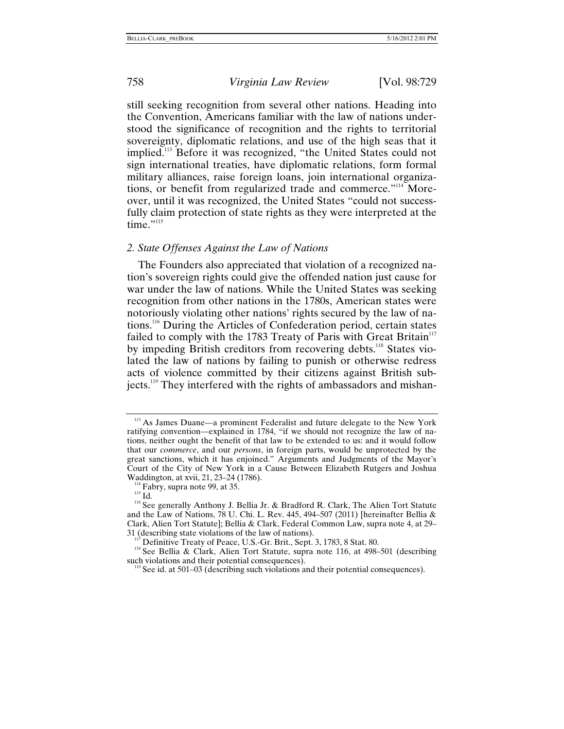<span id="page-30-0"></span>still seeking recognition from several other nations. Heading into the Convention, Americans familiar with the law of nations understood the significance of recognition and the rights to territorial sovereignty, diplomatic relations, and use of the high seas that it implied.[113](#page-30-1) Before it was recognized, "the United States could not sign international treaties, have diplomatic relations, form formal military alliances, raise foreign loans, join international organizations, or benefit from regularized trade and commerce."[114](#page-30-2) Moreover, until it was recognized, the United States "could not successfully claim protection of state rights as they were interpreted at the time."<sup>115</sup>

#### *2. State Offenses Against the Law of Nations*

The Founders also appreciated that violation of a recognized nation's sovereign rights could give the offended nation just cause for war under the law of nations. While the United States was seeking recognition from other nations in the 1780s, American states were notoriously violating other nations' rights secured by the law of nations[.116](#page-30-4) During the Articles of Confederation period, certain states failed to comply with the 1783 Treaty of Paris with Great Britain $117$ by impeding British creditors from recovering debts.<sup>118</sup> States violated the law of nations by failing to punish or otherwise redress acts of violence committed by their citizens against British subjects.<sup>119</sup> They interfered with the rights of ambassadors and mishan-

<span id="page-30-1"></span><sup>&</sup>lt;sup>113</sup> As James Duane—a prominent Federalist and future delegate to the New York ratifying convention—explained in 1784, "if we should not recognize the law of nations, neither ought the benefit of that law to be extended to us: and it would follow that our *commerce*, and our *persons*, in foreign parts, would be unprotected by the great sanctions, which it has enjoined." Arguments and Judgments of the Mayor's Court of the City of New York in a Cause Between Elizabeth Rutgers and Joshua

<span id="page-30-4"></span><span id="page-30-3"></span>

<span id="page-30-2"></span>Waddington, at xvii, 21, 23–24 (1786).<br><sup>114</sup> Fabry, supra note 99, at 35. 115 Id. 116 See generally Anthony J. Bellia Jr. & Bradford R. Clark, The Alien Tort Statute and the Law of Nations, 78 U. Chi. L. Rev. 445, 494–507 (2011) [hereinafter Bellia & Clark, Alien Tort Statute]; Bellia & Clark, Federal Common Law, supra note 4, at 29–

<span id="page-30-6"></span>

<span id="page-30-5"></span><sup>&</sup>lt;sup>117</sup> Definitive Treaty of Peace, U.S.-Gr. Brit., Sept. 3, 1783, 8 Stat. 80. <sup>118</sup> See Bellia & Clark, Alien Tort Statute, supra note 116, at 498–501 (describing such violations and their potential consequences).

<span id="page-30-7"></span> $\degree$  See id. at 501–03 (describing such violations and their potential consequences).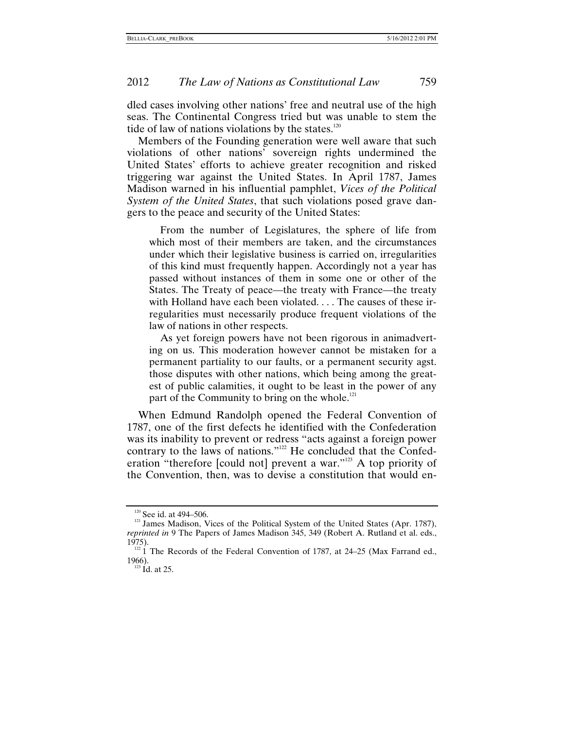dled cases involving other nations' free and neutral use of the high seas. The Continental Congress tried but was unable to stem the tide of law of nations violations by the states. $120$ 

Members of the Founding generation were well aware that such violations of other nations' sovereign rights undermined the United States' efforts to achieve greater recognition and risked triggering war against the United States. In April 1787, James Madison warned in his influential pamphlet, *Vices of the Political System of the United States*, that such violations posed grave dangers to the peace and security of the United States:

From the number of Legislatures, the sphere of life from which most of their members are taken, and the circumstances under which their legislative business is carried on, irregularities of this kind must frequently happen. Accordingly not a year has passed without instances of them in some one or other of the States. The Treaty of peace—the treaty with France—the treaty with Holland have each been violated. . . . The causes of these irregularities must necessarily produce frequent violations of the law of nations in other respects.

As yet foreign powers have not been rigorous in animadverting on us. This moderation however cannot be mistaken for a permanent partiality to our faults, or a permanent security agst. those disputes with other nations, which being among the greatest of public calamities, it ought to be least in the power of any part of the Community to bring on the whole. $^{121}$ 

When Edmund Randolph opened the Federal Convention of 1787, one of the first defects he identified with the Confederation was its inability to prevent or redress "acts against a foreign power contrary to the laws of nations."<sup>122</sup> He concluded that the Confederation "therefore [could not] prevent a war."[123](#page-31-3) A top priority of the Convention, then, was to devise a constitution that would en-

<span id="page-31-1"></span><span id="page-31-0"></span><sup>&</sup>lt;sup>120</sup> See id. at 494–506.<br><sup>121</sup> James Madison, Vices of the Political System of the United States (Apr. 1787), *reprinted in* 9 The Papers of James Madison 345, 349 (Robert A. Rutland et al. eds.,

<span id="page-31-2"></span><sup>1975).&</sup>lt;br><sup>122</sup> 1 The Records of the Federal Convention of 1787, at 24–25 (Max Farrand ed., 1966).

<span id="page-31-3"></span> $123$  Id. at 25.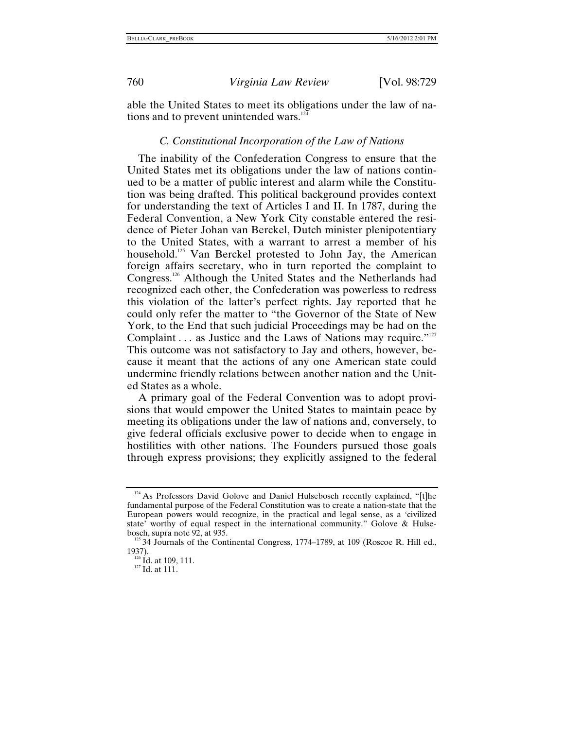<span id="page-32-0"></span>

able the United States to meet its obligations under the law of na-tions and to prevent unintended wars.<sup>[124](#page-32-1)</sup>

#### *C. Constitutional Incorporation of the Law of Nations*

The inability of the Confederation Congress to ensure that the United States met its obligations under the law of nations continued to be a matter of public interest and alarm while the Constitution was being drafted. This political background provides context for understanding the text of Articles I and II. In 1787, during the Federal Convention, a New York City constable entered the residence of Pieter Johan van Berckel, Dutch minister plenipotentiary to the United States, with a warrant to arrest a member of his household.<sup>125</sup> Van Berckel protested to John Jay, the American foreign affairs secretary, who in turn reported the complaint to Congress.[126](#page-32-3) Although the United States and the Netherlands had recognized each other, the Confederation was powerless to redress this violation of the latter's perfect rights. Jay reported that he could only refer the matter to "the Governor of the State of New York, to the End that such judicial Proceedings may be had on the Complaint  $\dots$  as Justice and the Laws of Nations may require." This outcome was not satisfactory to Jay and others, however, because it meant that the actions of any one American state could undermine friendly relations between another nation and the United States as a whole.

A primary goal of the Federal Convention was to adopt provisions that would empower the United States to maintain peace by meeting its obligations under the law of nations and, conversely, to give federal officials exclusive power to decide when to engage in hostilities with other nations. The Founders pursued those goals through express provisions; they explicitly assigned to the federal

<span id="page-32-1"></span><sup>&</sup>lt;sup>124</sup> As Professors David Golove and Daniel Hulsebosch recently explained, "[t]he fundamental purpose of the Federal Constitution was to create a nation-state that the European powers would recognize, in the practical and legal sense, as a 'civilized state' worthy of equal respect in the international community." Golove & Hulse-<br>bosch, supra note 92, at 935.

<span id="page-32-2"></span> $\frac{125}{33}$  34 Journals of the Continental Congress, 1774–1789, at 109 (Roscoe R. Hill ed., 1937).

<span id="page-32-3"></span> $\frac{126}{127}$  Id. at 109, 111.<br><sup>127</sup> Id. at 111.

<span id="page-32-4"></span>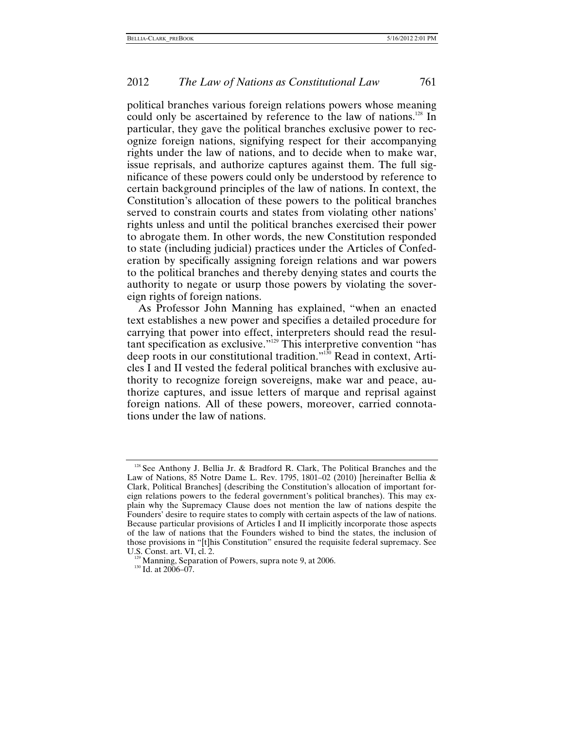political branches various foreign relations powers whose meaning could only be ascertained by reference to the law of nations.<sup>128</sup> In particular, they gave the political branches exclusive power to recognize foreign nations, signifying respect for their accompanying rights under the law of nations, and to decide when to make war, issue reprisals, and authorize captures against them. The full significance of these powers could only be understood by reference to certain background principles of the law of nations. In context, the Constitution's allocation of these powers to the political branches served to constrain courts and states from violating other nations' rights unless and until the political branches exercised their power to abrogate them. In other words, the new Constitution responded to state (including judicial) practices under the Articles of Confederation by specifically assigning foreign relations and war powers to the political branches and thereby denying states and courts the authority to negate or usurp those powers by violating the sovereign rights of foreign nations.

As Professor John Manning has explained, "when an enacted text establishes a new power and specifies a detailed procedure for carrying that power into effect, interpreters should read the resultant specification as exclusive.["129](#page-33-1) This interpretive convention "has deep roots in our constitutional tradition."[130](#page-33-2) Read in context, Articles I and II vested the federal political branches with exclusive authority to recognize foreign sovereigns, make war and peace, authorize captures, and issue letters of marque and reprisal against foreign nations. All of these powers, moreover, carried connotations under the law of nations.

<span id="page-33-0"></span><sup>&</sup>lt;sup>128</sup> See Anthony J. Bellia Jr. & Bradford R. Clark, The Political Branches and the Law of Nations, 85 Notre Dame L. Rev. 1795, 1801–02 (2010) [hereinafter Bellia & Clark, Political Branches] (describing the Constitution's allocation of important foreign relations powers to the federal government's political branches). This may explain why the Supremacy Clause does not mention the law of nations despite the Founders' desire to require states to comply with certain aspects of the law of nations. Because particular provisions of Articles I and II implicitly incorporate those aspects of the law of nations that the Founders wished to bind the states, the inclusion of those provisions in "[t]his Constitution" ensured the requisite federal supremacy. See U.S. Const. art. VI, cl. 2.

<span id="page-33-2"></span><span id="page-33-1"></span> $129$  Manning, Separation of Powers, supra note 9, at 2006. 130 Id. at 2006–07.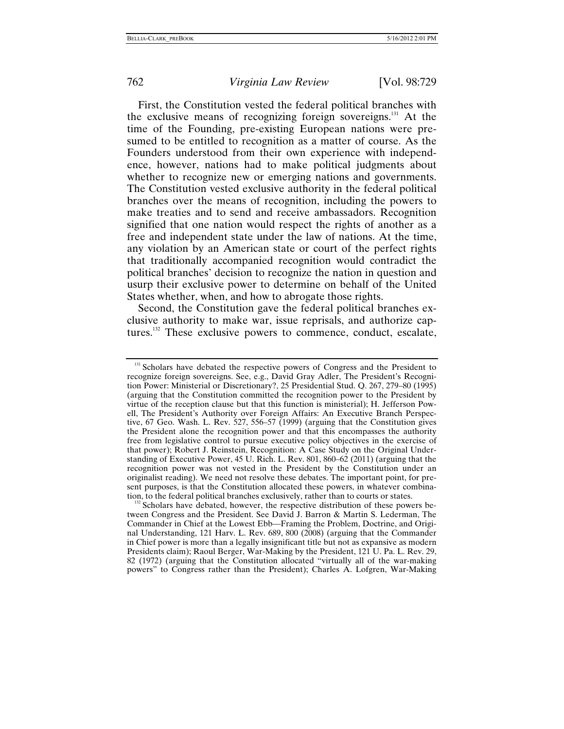First, the Constitution vested the federal political branches with the exclusive means of recognizing foreign sovereigns.[131](#page-34-0) At the time of the Founding, pre-existing European nations were presumed to be entitled to recognition as a matter of course. As the Founders understood from their own experience with independence, however, nations had to make political judgments about whether to recognize new or emerging nations and governments. The Constitution vested exclusive authority in the federal political branches over the means of recognition, including the powers to make treaties and to send and receive ambassadors. Recognition signified that one nation would respect the rights of another as a free and independent state under the law of nations. At the time, any violation by an American state or court of the perfect rights that traditionally accompanied recognition would contradict the political branches' decision to recognize the nation in question and usurp their exclusive power to determine on behalf of the United States whether, when, and how to abrogate those rights.

Second, the Constitution gave the federal political branches exclusive authority to make war, issue reprisals, and authorize captures.[132](#page-34-1) These exclusive powers to commence, conduct, escalate,

<span id="page-34-1"></span>Scholars have debated, however, the respective distribution of these powers between Congress and the President. See David J. Barron & Martin S. Lederman, The Commander in Chief at the Lowest Ebb—Framing the Problem, Doctrine, and Original Understanding, 121 Harv. L. Rev. 689, 800 (2008) (arguing that the Commander in Chief power is more than a legally insignificant title but not as expansive as modern Presidents claim); Raoul Berger, War-Making by the President, 121 U. Pa. L. Rev. 29, 82 (1972) (arguing that the Constitution allocated "virtually all of the war-making powers" to Congress rather than the President); Charles A. Lofgren, War-Making

<span id="page-34-0"></span><sup>&</sup>lt;sup>131</sup> Scholars have debated the respective powers of Congress and the President to recognize foreign sovereigns. See, e.g., David Gray Adler, The President's Recognition Power: Ministerial or Discretionary?, 25 Presidential Stud. Q. 267, 279–80 (1995) (arguing that the Constitution committed the recognition power to the President by virtue of the reception clause but that this function is ministerial); H. Jefferson Powell, The President's Authority over Foreign Affairs: An Executive Branch Perspective, 67 Geo. Wash. L. Rev. 527, 556–57 (1999) (arguing that the Constitution gives the President alone the recognition power and that this encompasses the authority free from legislative control to pursue executive policy objectives in the exercise of that power); Robert J. Reinstein, Recognition: A Case Study on the Original Understanding of Executive Power, 45 U. Rich. L. Rev. 801, 860–62 (2011) (arguing that the recognition power was not vested in the President by the Constitution under an originalist reading). We need not resolve these debates. The important point, for present purposes, is that the Constitution allocated these powers, in whatever combination, to the federal political branches exclusively, rather than to courts or states.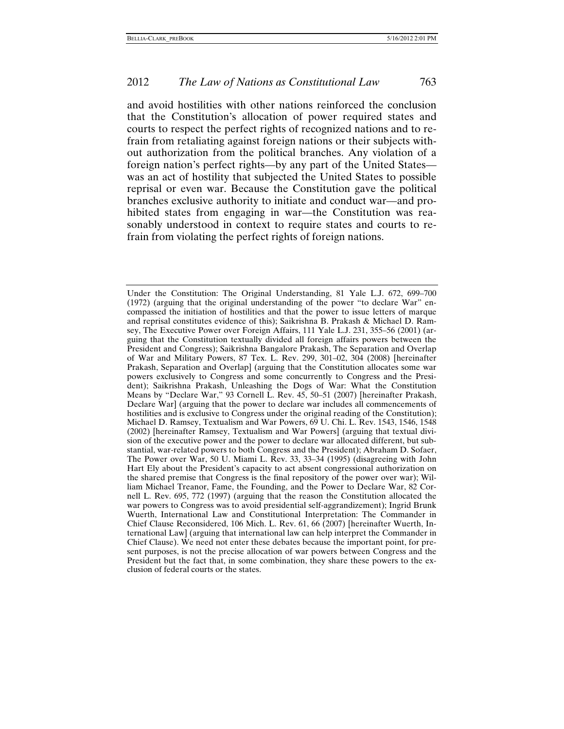and avoid hostilities with other nations reinforced the conclusion that the Constitution's allocation of power required states and courts to respect the perfect rights of recognized nations and to refrain from retaliating against foreign nations or their subjects without authorization from the political branches. Any violation of a foreign nation's perfect rights—by any part of the United States was an act of hostility that subjected the United States to possible reprisal or even war. Because the Constitution gave the political branches exclusive authority to initiate and conduct war—and prohibited states from engaging in war—the Constitution was reasonably understood in context to require states and courts to refrain from violating the perfect rights of foreign nations.

Under the Constitution: The Original Understanding, 81 Yale L.J. 672, 699–700 (1972) (arguing that the original understanding of the power "to declare War" encompassed the initiation of hostilities and that the power to issue letters of marque and reprisal constitutes evidence of this); Saikrishna B. Prakash & Michael D. Ramsey, The Executive Power over Foreign Affairs, 111 Yale L.J. 231, 355–56 (2001) (arguing that the Constitution textually divided all foreign affairs powers between the President and Congress); Saikrishna Bangalore Prakash, The Separation and Overlap of War and Military Powers, 87 Tex. L. Rev. 299, 301–02, 304 (2008) [hereinafter Prakash, Separation and Overlap] (arguing that the Constitution allocates some war powers exclusively to Congress and some concurrently to Congress and the President); Saikrishna Prakash, Unleashing the Dogs of War: What the Constitution Means by "Declare War," 93 Cornell L. Rev. 45, 50–51 (2007) [hereinafter Prakash, Declare War] (arguing that the power to declare war includes all commencements of hostilities and is exclusive to Congress under the original reading of the Constitution); Michael D. Ramsey, Textualism and War Powers, 69 U. Chi. L. Rev. 1543, 1546, 1548 (2002) [hereinafter Ramsey, Textualism and War Powers] (arguing that textual division of the executive power and the power to declare war allocated different, but substantial, war-related powers to both Congress and the President); Abraham D. Sofaer, The Power over War, 50 U. Miami L. Rev. 33, 33–34 (1995) (disagreeing with John Hart Ely about the President's capacity to act absent congressional authorization on the shared premise that Congress is the final repository of the power over war); William Michael Treanor, Fame, the Founding, and the Power to Declare War, 82 Cornell L. Rev. 695, 772 (1997) (arguing that the reason the Constitution allocated the war powers to Congress was to avoid presidential self-aggrandizement); Ingrid Brunk Wuerth, International Law and Constitutional Interpretation: The Commander in Chief Clause Reconsidered, 106 Mich. L. Rev. 61, 66 (2007) [hereinafter Wuerth, International Law] (arguing that international law can help interpret the Commander in Chief Clause). We need not enter these debates because the important point, for present purposes, is not the precise allocation of war powers between Congress and the President but the fact that, in some combination, they share these powers to the exclusion of federal courts or the states.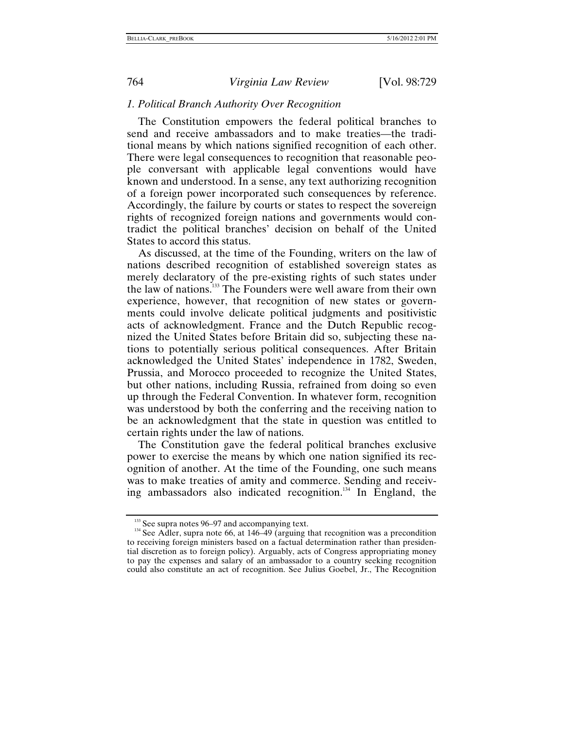#### *1. Political Branch Authority Over Recognition*

The Constitution empowers the federal political branches to send and receive ambassadors and to make treaties—the traditional means by which nations signified recognition of each other. There were legal consequences to recognition that reasonable people conversant with applicable legal conventions would have known and understood. In a sense, any text authorizing recognition of a foreign power incorporated such consequences by reference. Accordingly, the failure by courts or states to respect the sovereign rights of recognized foreign nations and governments would contradict the political branches' decision on behalf of the United States to accord this status.

As discussed, at the time of the Founding, writers on the law of nations described recognition of established sovereign states as merely declaratory of the pre-existing rights of such states under the law of nations[.133](#page-36-0) The Founders were well aware from their own experience, however, that recognition of new states or governments could involve delicate political judgments and positivistic acts of acknowledgment. France and the Dutch Republic recognized the United States before Britain did so, subjecting these nations to potentially serious political consequences. After Britain acknowledged the United States' independence in 1782, Sweden, Prussia, and Morocco proceeded to recognize the United States, but other nations, including Russia, refrained from doing so even up through the Federal Convention. In whatever form, recognition was understood by both the conferring and the receiving nation to be an acknowledgment that the state in question was entitled to certain rights under the law of nations.

The Constitution gave the federal political branches exclusive power to exercise the means by which one nation signified its recognition of another. At the time of the Founding, one such means was to make treaties of amity and commerce. Sending and receiving ambassadors also indicated recognition.<sup>134</sup> In England, the

<span id="page-36-1"></span><span id="page-36-0"></span><sup>&</sup>lt;sup>133</sup> See supra notes 96–97 and accompanying text.<br><sup>134</sup> See Adler, supra note 66, at 146–49 (arguing that recognition was a precondition to receiving foreign ministers based on a factual determination rather than presidential discretion as to foreign policy). Arguably, acts of Congress appropriating money to pay the expenses and salary of an ambassador to a country seeking recognition could also constitute an act of recognition. See Julius Goebel, Jr., The Recognition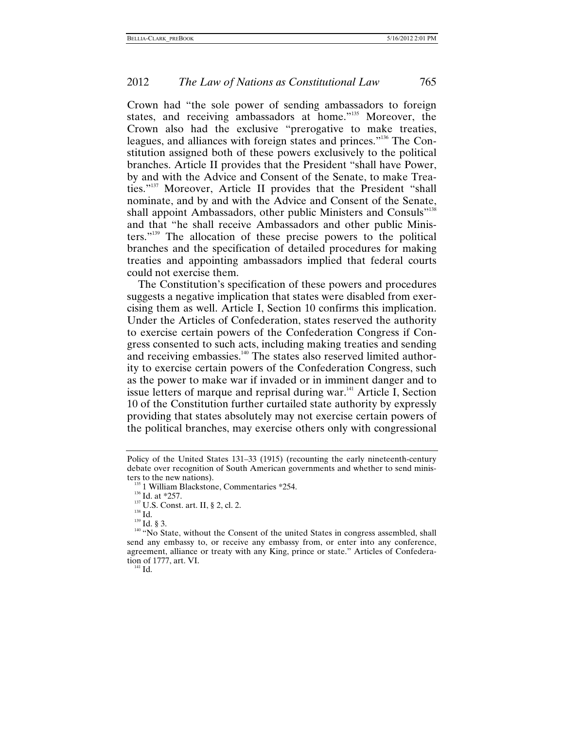Crown had "the sole power of sending ambassadors to foreign states, and receiving ambassadors at home."<sup>135</sup> Moreover, the Crown also had the exclusive "prerogative to make treaties, leagues, and alliances with foreign states and princes."[136](#page-37-1) The Constitution assigned both of these powers exclusively to the political branches. Article II provides that the President "shall have Power, by and with the Advice and Consent of the Senate, to make Treaties."[137](#page-37-2) Moreover, Article II provides that the President "shall nominate, and by and with the Advice and Consent of the Senate, shall appoint Ambassadors, other public Ministers and Consuls"<sup>[138](#page-37-3)</sup> and that "he shall receive Ambassadors and other public Ministers.["139](#page-37-4) The allocation of these precise powers to the political branches and the specification of detailed procedures for making treaties and appointing ambassadors implied that federal courts could not exercise them.

The Constitution's specification of these powers and procedures suggests a negative implication that states were disabled from exercising them as well. Article I, Section 10 confirms this implication. Under the Articles of Confederation, states reserved the authority to exercise certain powers of the Confederation Congress if Congress consented to such acts, including making treaties and sending and receiving embassies.<sup>140</sup> The states also reserved limited authority to exercise certain powers of the Confederation Congress, such as the power to make war if invaded or in imminent danger and to issue letters of marque and reprisal during war.<sup>141</sup> Article I, Section 10 of the Constitution further curtailed state authority by expressly providing that states absolutely may not exercise certain powers of the political branches, may exercise others only with congressional

<span id="page-37-1"></span>

<span id="page-37-6"></span>

Policy of the United States 131–33 (1915) (recounting the early nineteenth-century debate over recognition of South American governments and whether to send minis-

<span id="page-37-2"></span>

<span id="page-37-3"></span>

<span id="page-37-5"></span><span id="page-37-4"></span>

<span id="page-37-0"></span>ters to the new nations).<br>
<sup>135</sup> 1 William Blackstone, Commentaries \*254.<br>
<sup>136</sup> Id. at \*257.<br>
<sup>137</sup> U.S. Const. art. II, § 2, cl. 2.<br>
<sup>138</sup> Id.<br>
<sup>139</sup> Id. § 3.<br>
<sup>140</sup> "No State, without the Consent of the united States i send any embassy to, or receive any embassy from, or enter into any conference, agreement, alliance or treaty with any King, prince or state." Articles of Confederation of 1777, art. VI.<br> $_{141}^{141}$  Id.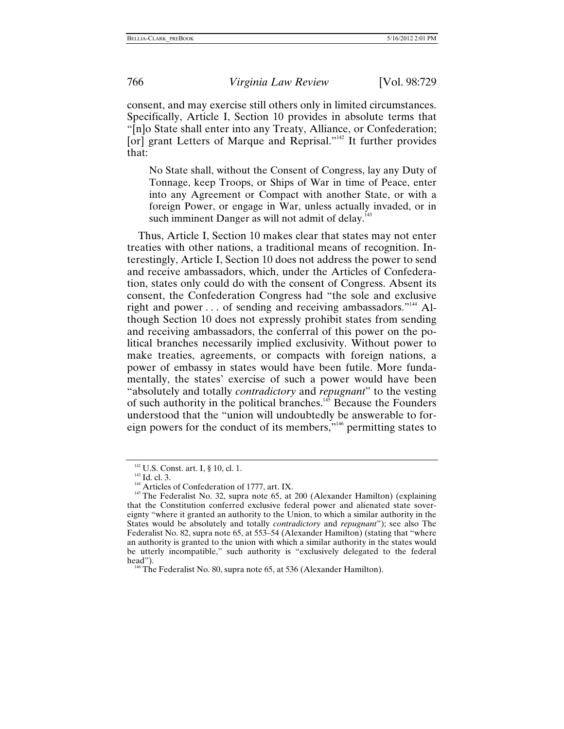consent, and may exercise still others only in limited circumstances. Specifically, Article I, Section 10 provides in absolute terms that "[n]o State shall enter into any Treaty, Alliance, or Confederation; [or] grant Letters of Marque and Reprisal."<sup>142</sup> It further provides that:

No State shall, without the Consent of Congress, lay any Duty of Tonnage, keep Troops, or Ships of War in time of Peace, enter into any Agreement or Compact with another State, or with a foreign Power, or engage in War, unless actually invaded, or in such imminent Danger as will not admit of delay.<sup>143</sup>

Thus, Article I, Section 10 makes clear that states may not enter treaties with other nations, a traditional means of recognition. Interestingly, Article I, Section 10 does not address the power to send and receive ambassadors, which, under the Articles of Confederation, states only could do with the consent of Congress. Absent its consent, the Confederation Congress had "the sole and exclusive right and power  $\dots$  of sending and receiving ambassadors."<sup>144</sup> Although Section 10 does not expressly prohibit states from sending and receiving ambassadors, the conferral of this power on the political branches necessarily implied exclusivity. Without power to make treaties, agreements, or compacts with foreign nations, a power of embassy in states would have been futile. More fundamentally, the states' exercise of such a power would have been "absolutely and totally *contradictory* and *repugnant*" to the vesting of such authority in the political branches.[145](#page-38-3) Because the Founders understood that the "union will undoubtedly be answerable to foreign powers for the conduct of its members,["146](#page-38-4) permitting states to

<span id="page-38-1"></span>

<span id="page-38-3"></span><span id="page-38-2"></span>

<span id="page-38-0"></span><sup>&</sup>lt;sup>142</sup> U.S. Const. art. I, § 10, cl. 1.<br><sup>143</sup> Id. cl. 3.<br><sup>144</sup> Articles of Confederation of 1777, art. IX.<br><sup>145</sup> The Federalist No. 32, supra note 65, at 200 (Alexander Hamilton) (explaining that the Constitution conferred exclusive federal power and alienated state sovereignty "where it granted an authority to the Union, to which a similar authority in the States would be absolutely and totally *contradictory* and *repugnant*"); see also The Federalist No. 82, supra note 65, at 553–54 (Alexander Hamilton) (stating that "where an authority is granted to the union with which a similar authority in the states would be utterly incompatible," such authority is "exclusively delegated to the federal head").<br><sup>146</sup> The Federalist No. 80, supra note 65, at 536 (Alexander Hamilton).

<span id="page-38-4"></span>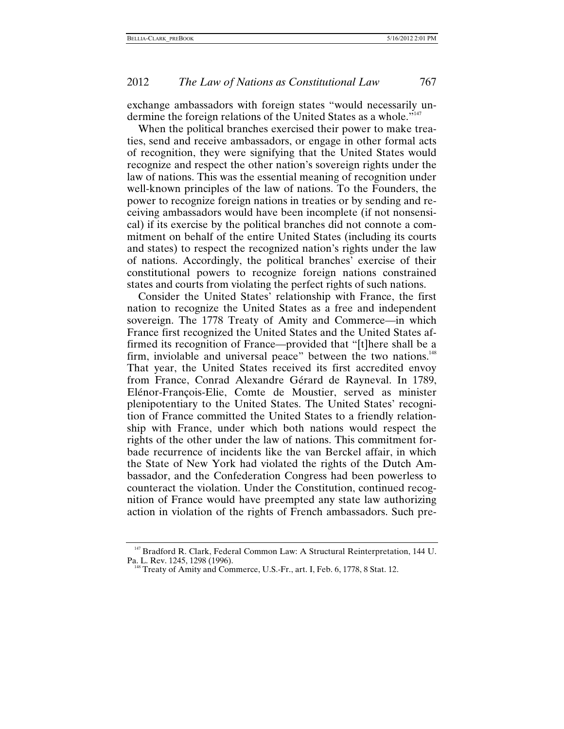exchange ambassadors with foreign states "would necessarily un-dermine the foreign relations of the United States as a whole."<sup>[147](#page-39-0)</sup>

When the political branches exercised their power to make treaties, send and receive ambassadors, or engage in other formal acts of recognition, they were signifying that the United States would recognize and respect the other nation's sovereign rights under the law of nations. This was the essential meaning of recognition under well-known principles of the law of nations. To the Founders, the power to recognize foreign nations in treaties or by sending and receiving ambassadors would have been incomplete (if not nonsensical) if its exercise by the political branches did not connote a commitment on behalf of the entire United States (including its courts and states) to respect the recognized nation's rights under the law of nations. Accordingly, the political branches' exercise of their constitutional powers to recognize foreign nations constrained states and courts from violating the perfect rights of such nations.

Consider the United States' relationship with France, the first nation to recognize the United States as a free and independent sovereign. The 1778 Treaty of Amity and Commerce—in which France first recognized the United States and the United States affirmed its recognition of France—provided that "[t]here shall be a firm, inviolable and universal peace" between the two nations.<sup>[148](#page-39-1)</sup> That year, the United States received its first accredited envoy from France, Conrad Alexandre Gérard de Rayneval. In 1789, Elénor-François-Elie, Comte de Moustier, served as minister plenipotentiary to the United States. The United States' recognition of France committed the United States to a friendly relationship with France, under which both nations would respect the rights of the other under the law of nations. This commitment forbade recurrence of incidents like the van Berckel affair, in which the State of New York had violated the rights of the Dutch Ambassador, and the Confederation Congress had been powerless to counteract the violation. Under the Constitution, continued recognition of France would have preempted any state law authorizing action in violation of the rights of French ambassadors. Such pre-

<span id="page-39-0"></span><sup>&</sup>lt;sup>147</sup> Bradford R. Clark, Federal Common Law: A Structural Reinterpretation, 144 U. Pa. L. Rev. 1245, 1298 (1996).

<span id="page-39-1"></span> $P^8$  Treaty of Amity and Commerce, U.S.-Fr., art. I, Feb. 6, 1778, 8 Stat. 12.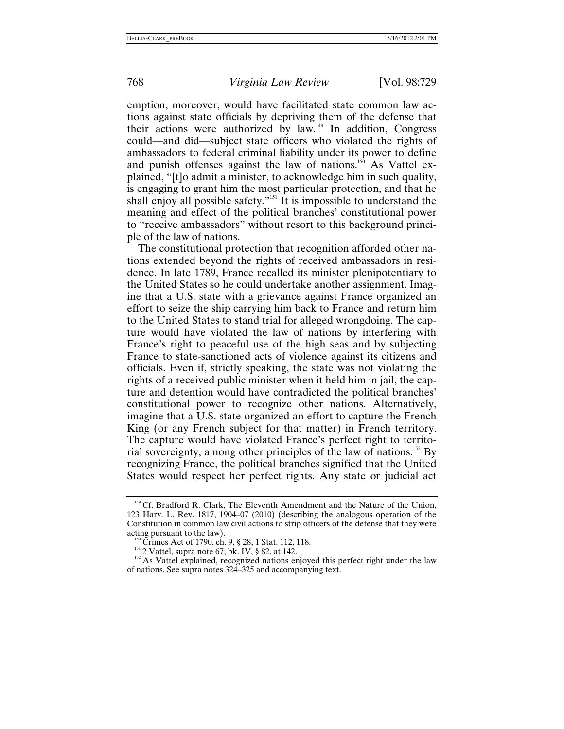emption, moreover, would have facilitated state common law actions against state officials by depriving them of the defense that their actions were authorized by law.[149](#page-40-0) In addition, Congress could—and did—subject state officers who violated the rights of ambassadors to federal criminal liability under its power to define and punish offenses against the law of nations.<sup>150</sup> As Vattel explained, "[t]o admit a minister, to acknowledge him in such quality, is engaging to grant him the most particular protection, and that he shall enjoy all possible safety."<sup>151</sup> It is impossible to understand the meaning and effect of the political branches' constitutional power to "receive ambassadors" without resort to this background principle of the law of nations.

The constitutional protection that recognition afforded other nations extended beyond the rights of received ambassadors in residence. In late 1789, France recalled its minister plenipotentiary to the United States so he could undertake another assignment. Imagine that a U.S. state with a grievance against France organized an effort to seize the ship carrying him back to France and return him to the United States to stand trial for alleged wrongdoing. The capture would have violated the law of nations by interfering with France's right to peaceful use of the high seas and by subjecting France to state-sanctioned acts of violence against its citizens and officials. Even if, strictly speaking, the state was not violating the rights of a received public minister when it held him in jail, the capture and detention would have contradicted the political branches' constitutional power to recognize other nations. Alternatively, imagine that a U.S. state organized an effort to capture the French King (or any French subject for that matter) in French territory. The capture would have violated France's perfect right to territorial sovereignty, among other principles of the law of nations[.152](#page-40-3) By recognizing France, the political branches signified that the United States would respect her perfect rights. Any state or judicial act

<span id="page-40-0"></span><sup>&</sup>lt;sup>149</sup> Cf. Bradford R. Clark, The Eleventh Amendment and the Nature of the Union, 123 Harv. L. Rev. 1817, 1904–07 (2010) (describing the analogous operation of the Constitution in common law civil actions to strip officers of the defense that they were acting pursuant to the law).

<span id="page-40-3"></span><span id="page-40-2"></span>

<span id="page-40-1"></span><sup>&</sup>lt;sup>150</sup> Crimes Act of 1790, ch. 9, § 28, 1 Stat. 112, 118.<br><sup>151</sup> 2 Vattel, supra note 67, bk. IV, § 82, at 142.<br><sup>152</sup> As Vattel explained, recognized nations enjoyed this perfect right under the law of nations. See supra notes 324–325 and accompanying text.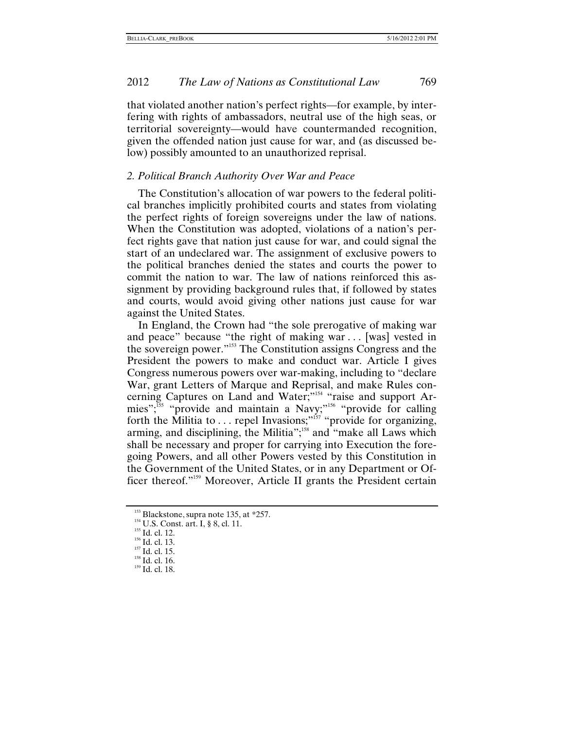that violated another nation's perfect rights—for example, by interfering with rights of ambassadors, neutral use of the high seas, or territorial sovereignty—would have countermanded recognition, given the offended nation just cause for war, and (as discussed below) possibly amounted to an unauthorized reprisal.

#### *2. Political Branch Authority Over War and Peace*

The Constitution's allocation of war powers to the federal political branches implicitly prohibited courts and states from violating the perfect rights of foreign sovereigns under the law of nations. When the Constitution was adopted, violations of a nation's perfect rights gave that nation just cause for war, and could signal the start of an undeclared war. The assignment of exclusive powers to the political branches denied the states and courts the power to commit the nation to war. The law of nations reinforced this assignment by providing background rules that, if followed by states and courts, would avoid giving other nations just cause for war against the United States.

In England, the Crown had "the sole prerogative of making war and peace" because "the right of making war . . . [was] vested in the sovereign power.["153](#page-41-0) The Constitution assigns Congress and the President the powers to make and conduct war. Article I gives Congress numerous powers over war-making, including to "declare War, grant Letters of Marque and Reprisal, and make Rules concerning Captures on Land and Water;"<sup>154</sup> "raise and support Armies";[155](#page-41-2) "provide and maintain a Navy;"[156](#page-41-3) "provide for calling forth the Militia to ... repel Invasions;"<sup>157</sup> "provide for organizing, arming, and disciplining, the Militia";<sup>158</sup> and "make all Laws which shall be necessary and proper for carrying into Execution the foregoing Powers, and all other Powers vested by this Constitution in the Government of the United States, or in any Department or Officer thereof."[159](#page-41-6) Moreover, Article II grants the President certain

<span id="page-41-0"></span><sup>&</sup>lt;sup>153</sup> Blackstone, supra note 135, at \*257.<br><sup>154</sup> U.S. Const. art. I, § 8, cl. 11.<br><sup>155</sup> Id. cl. 12.<br><sup>156</sup> Id. cl. 13.<br><sup>157</sup> Id. cl. 15. <sup>158</sup> Id. cl. 16. <sup>159</sup> Id. cl. 18.

<span id="page-41-1"></span>

<span id="page-41-2"></span>

<span id="page-41-3"></span>

<span id="page-41-4"></span>

<span id="page-41-6"></span><span id="page-41-5"></span>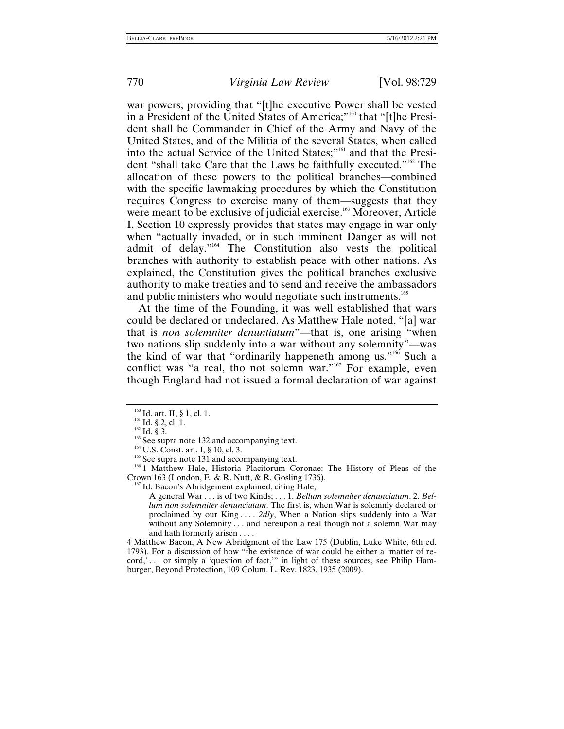war powers, providing that "[t]he executive Power shall be vested in a President of the United States of America;"<sup>160</sup> that "[t]he President shall be Commander in Chief of the Army and Navy of the United States, and of the Militia of the several States, when called into the actual Service of the United States;"161 and that the President "shall take Care that the Laws be faithfully executed."162 The allocation of these powers to the political branches—combined with the specific lawmaking procedures by which the Constitution requires Congress to exercise many of them—suggests that they were meant to be exclusive of judicial exercise.<sup>163</sup> Moreover, Article I, Section 10 expressly provides that states may engage in war only when "actually invaded, or in such imminent Danger as will not admit of delay."164 The Constitution also vests the political branches with authority to establish peace with other nations. As explained, the Constitution gives the political branches exclusive authority to make treaties and to send and receive the ambassadors and public ministers who would negotiate such instruments.<sup>165</sup>

At the time of the Founding, it was well established that wars could be declared or undeclared. As Matthew Hale noted, "[a] war that is *non solemniter denuntiatum*"—that is, one arising "when two nations slip suddenly into a war without any solemnity"—was the kind of war that "ordinarily happeneth among us."<sup>166</sup> Such a conflict was "a real, tho not solemn war."<sup>167</sup> For example, even though England had not issued a formal declaration of war against

<sup>160</sup> Id. art. II, § 1, cl. 1.<br><sup>161</sup> Id. § 2, cl. 1.<br><sup>162</sup> Id. § 3.<br><sup>163</sup> See supra note 132 and accompanying text.<br><sup>164</sup> U.S. Const. art. I, § 10, cl. 3.<br><sup>165</sup> See supra note 131 and accompanying text.<br><sup>166</sup> 1 Matthew Ha Crown 163 (London, E. & R. Nutt, & R. Gosling 1736). 167 Id. Bacon's Abridgement explained, citing Hale,

A general War . . . is of two Kinds; . . . 1. *Bellum solemniter denunciatum*. 2. *Bellum non solemniter denunciatum*. The first is, when War is solemnly declared or proclaimed by our King . . . . *2dly*, When a Nation slips suddenly into a War without any Solemnity . . . and hereupon a real though not a solemn War may and hath formerly arisen . . . .

4 Matthew Bacon, A New Abridgment of the Law 175 (Dublin, Luke White, 6th ed. 1793). For a discussion of how "the existence of war could be either a 'matter of record,'... or simply a 'question of fact," in light of these sources, see Philip Hamburger, Beyond Protection, 109 Colum. L. Rev. 1823, 1935 (2009).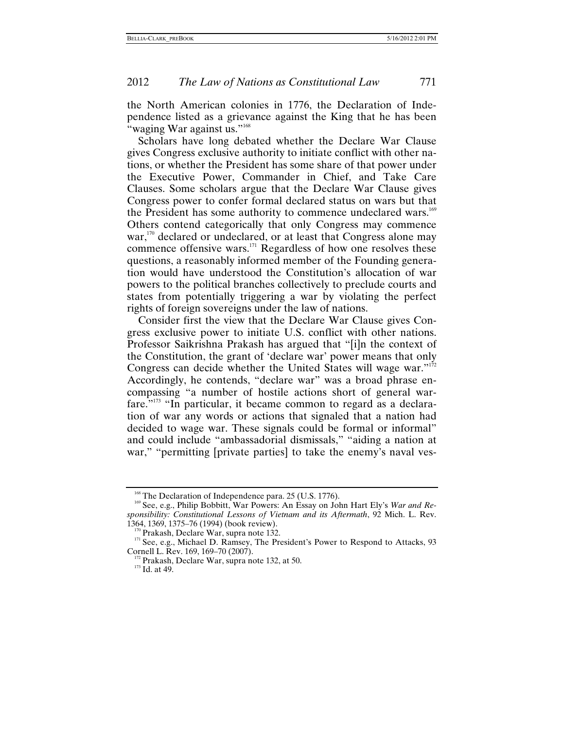the North American colonies in 1776, the Declaration of Independence listed as a grievance against the King that he has been "waging War against us."<sup>[168](#page-43-0)</sup>

Scholars have long debated whether the Declare War Clause gives Congress exclusive authority to initiate conflict with other nations, or whether the President has some share of that power under the Executive Power, Commander in Chief, and Take Care Clauses. Some scholars argue that the Declare War Clause gives Congress power to confer formal declared status on wars but that the President has some authority to commence undeclared wars.<sup>[169](#page-43-1)</sup> Others contend categorically that only Congress may commence war, $170$  declared or undeclared, or at least that Congress alone may commence offensive wars.[171](#page-43-3) Regardless of how one resolves these questions, a reasonably informed member of the Founding generation would have understood the Constitution's allocation of war powers to the political branches collectively to preclude courts and states from potentially triggering a war by violating the perfect rights of foreign sovereigns under the law of nations.

Consider first the view that the Declare War Clause gives Congress exclusive power to initiate U.S. conflict with other nations. Professor Saikrishna Prakash has argued that "[i]n the context of the Constitution, the grant of 'declare war' power means that only Congress can decide whether the United States will wage war."<sup>[172](#page-43-4)</sup> Accordingly, he contends, "declare war" was a broad phrase encompassing "a number of hostile actions short of general warfare.<sup>"173</sup> "In particular, it became common to regard as a declaration of war any words or actions that signaled that a nation had decided to wage war. These signals could be formal or informal" and could include "ambassadorial dismissals," "aiding a nation at war," "permitting [private parties] to take the enemy's naval ves-

<span id="page-43-1"></span><span id="page-43-0"></span><sup>&</sup>lt;sup>168</sup> The Declaration of Independence para. 25 (U.S. 1776).<br><sup>169</sup> See, e.g., Philip Bobbitt, War Powers: An Essay on John Hart Ely's *War and Responsibility: Constitutional Lessons of Vietnam and its Aftermath*, 92 Mich. L. Rev.

<span id="page-43-3"></span><span id="page-43-2"></span><sup>&</sup>lt;sup>170</sup> Prakash, Declare War, supra note 132.<br><sup>171</sup> See, e.g., Michael D. Ramsey, The President's Power to Respond to Attacks, 93<br>Cornell L. Rev. 169, 169–70 (2007).

<span id="page-43-5"></span><span id="page-43-4"></span><sup>&</sup>lt;sup>172</sup> Prakash, Declare War, supra note 132, at 50. <sup>173</sup> Id. at 49.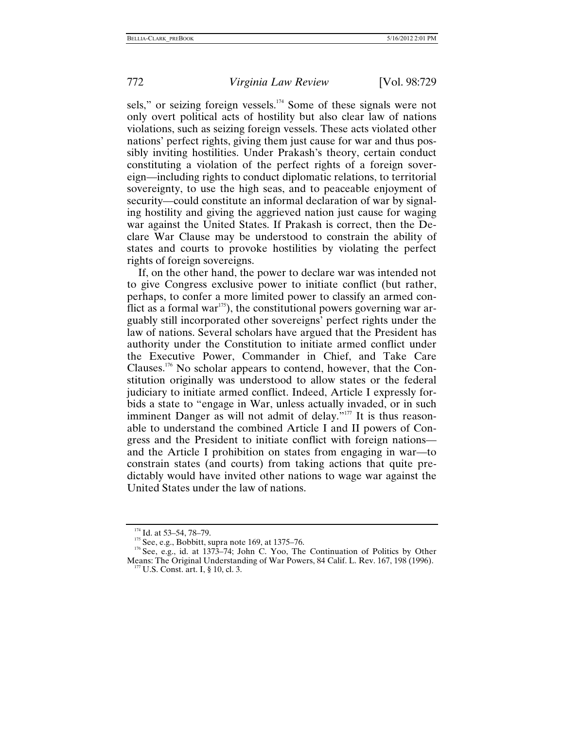sels," or seizing foreign vessels.<sup>174</sup> Some of these signals were not only overt political acts of hostility but also clear law of nations violations, such as seizing foreign vessels. These acts violated other nations' perfect rights, giving them just cause for war and thus possibly inviting hostilities. Under Prakash's theory, certain conduct constituting a violation of the perfect rights of a foreign sovereign—including rights to conduct diplomatic relations, to territorial sovereignty, to use the high seas, and to peaceable enjoyment of security—could constitute an informal declaration of war by signaling hostility and giving the aggrieved nation just cause for waging war against the United States. If Prakash is correct, then the Declare War Clause may be understood to constrain the ability of states and courts to provoke hostilities by violating the perfect rights of foreign sovereigns.

If, on the other hand, the power to declare war was intended not to give Congress exclusive power to initiate conflict (but rather, perhaps, to confer a more limited power to classify an armed conflict as a formal war<sup>175</sup>), the constitutional powers governing war arguably still incorporated other sovereigns' perfect rights under the law of nations. Several scholars have argued that the President has authority under the Constitution to initiate armed conflict under the Executive Power, Commander in Chief, and Take Care Clauses.<sup>176</sup> No scholar appears to contend, however, that the Constitution originally was understood to allow states or the federal judiciary to initiate armed conflict. Indeed, Article I expressly forbids a state to "engage in War, unless actually invaded, or in such imminent Danger as will not admit of delay."<sup>177</sup> It is thus reasonable to understand the combined Article I and II powers of Congress and the President to initiate conflict with foreign nations and the Article I prohibition on states from engaging in war—to constrain states (and courts) from taking actions that quite predictably would have invited other nations to wage war against the United States under the law of nations.

<span id="page-44-3"></span><span id="page-44-2"></span><span id="page-44-1"></span>

<span id="page-44-0"></span><sup>&</sup>lt;sup>174</sup> Id. at 53–54, 78–79.<br><sup>175</sup> See, e.g., Bobbitt, supra note 169, at 1375–76.<br><sup>176</sup> See, e.g., id. at 1373–74; John C. Yoo, The Continuation of Politics by Other Means: The Original Understanding of War Powers, 84 Calif. L. Rev. 167, 198 (1996). <sup>177</sup> U.S. Const. art. I, § 10, cl. 3.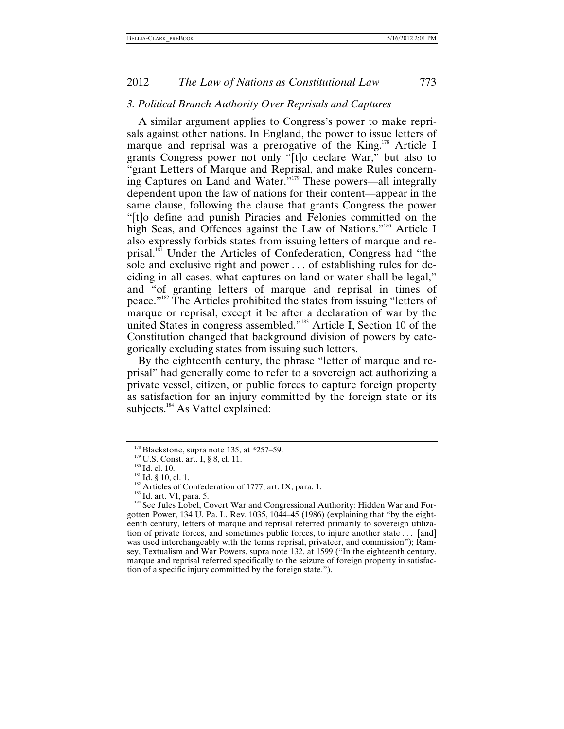#### *3. Political Branch Authority Over Reprisals and Captures*

A similar argument applies to Congress's power to make reprisals against other nations. In England, the power to issue letters of marque and reprisal was a prerogative of the King.<sup>178</sup> Article I grants Congress power not only "[t]o declare War," but also to "grant Letters of Marque and Reprisal, and make Rules concerning Captures on Land and Water."[179](#page-45-1) These powers—all integrally dependent upon the law of nations for their content—appear in the same clause, following the clause that grants Congress the power "[t]o define and punish Piracies and Felonies committed on the high Seas, and Offences against the Law of Nations."<sup>180</sup> Article I also expressly forbids states from issuing letters of marque and reprisal.[181](#page-45-3) Under the Articles of Confederation, Congress had "the sole and exclusive right and power . . . of establishing rules for deciding in all cases, what captures on land or water shall be legal," and "of granting letters of marque and reprisal in times of peace.["182](#page-45-4) The Articles prohibited the states from issuing "letters of marque or reprisal, except it be after a declaration of war by the united States in congress assembled."<sup>183</sup> Article I, Section 10 of the Constitution changed that background division of powers by categorically excluding states from issuing such letters.

By the eighteenth century, the phrase "letter of marque and reprisal" had generally come to refer to a sovereign act authorizing a private vessel, citizen, or public forces to capture foreign property as satisfaction for an injury committed by the foreign state or its subjects.<sup>184</sup> As Vattel explained:

<span id="page-45-1"></span>

<span id="page-45-3"></span><span id="page-45-2"></span>

<span id="page-45-4"></span>

<span id="page-45-6"></span><span id="page-45-5"></span>

<span id="page-45-0"></span><sup>&</sup>lt;sup>178</sup> Blackstone, supra note 135, at \*257–59.<br><sup>179</sup> U.S. Const. art. I, § 8, cl. 11.<br><sup>180</sup> Id. cl. 10.<br><sup>181</sup> Id. § 10, cl. 1.<br><sup>181</sup> Id. § 10, cl. 1.<br><sup>182</sup> Articles of Confederation of 1777, art. IX, para. 1.<br><sup>182</sup> Id. art gotten Power, 134 U. Pa. L. Rev.  $1035$ ,  $1044-45$  (1986) (explaining that "by the eighteenth century, letters of marque and reprisal referred primarily to sovereign utilization of private forces, and sometimes public forces, to injure another state . . . [and] was used interchangeably with the terms reprisal, privateer, and commission"); Ramsey, Textualism and War Powers, supra note 132, at 1599 ("In the eighteenth century, marque and reprisal referred specifically to the seizure of foreign property in satisfaction of a specific injury committed by the foreign state.").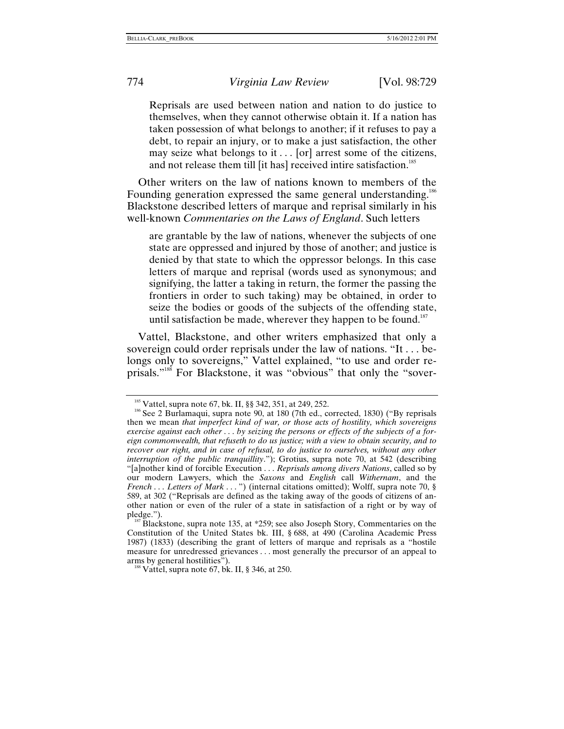Reprisals are used between nation and nation to do justice to themselves, when they cannot otherwise obtain it. If a nation has taken possession of what belongs to another; if it refuses to pay a debt, to repair an injury, or to make a just satisfaction, the other may seize what belongs to it  $\ldots$  [or] arrest some of the citizens, and not release them till [it has] received intire satisfaction.<sup>185</sup>

Other writers on the law of nations known to members of the Founding generation expressed the same general understanding.<sup>[186](#page-46-1)</sup> Blackstone described letters of marque and reprisal similarly in his well-known *Commentaries on the Laws of England*. Such letters

are grantable by the law of nations, whenever the subjects of one state are oppressed and injured by those of another; and justice is denied by that state to which the oppressor belongs. In this case letters of marque and reprisal (words used as synonymous; and signifying, the latter a taking in return, the former the passing the frontiers in order to such taking) may be obtained, in order to seize the bodies or goods of the subjects of the offending state, until satisfaction be made, wherever they happen to be found.<sup>[187](#page-46-2)</sup>

Vattel, Blackstone, and other writers emphasized that only a sovereign could order reprisals under the law of nations. "It . . . belongs only to sovereigns," Vattel explained, "to use and order reprisals."[188](#page-46-3) For Blackstone, it was "obvious" that only the "sover-

<span id="page-46-1"></span><span id="page-46-0"></span><sup>&</sup>lt;sup>185</sup> Vattel, supra note 67, bk. II, §§ 342, 351, at 249, 252.<br><sup>186</sup> See 2 Burlamaqui, supra note 90, at 180 (7th ed., corrected, 1830) ("By reprisals then we mean *that imperfect kind of war, or those acts of hostility, which sovereigns exercise against each other* . . . *by seizing the persons or effects of the subjects of a foreign commonwealth, that refuseth to do us justice; with a view to obtain security, and to recover our right, and in case of refusal, to do justice to ourselves, without any other interruption of the public tranquillity*."); Grotius, supra note 70, at 542 (describing "[a]nother kind of forcible Execution . . . *Reprisals among divers Nations*, called so by our modern Lawyers, which the *Saxons* and *English* call *Withernam*, and the *French* . . . *Letters of Mark* . . . ") (internal citations omitted); Wolff, supra note 70, § 589, at 302 ("Reprisals are defined as the taking away of the goods of citizens of another nation or even of the ruler of a state in satisfaction of a right or by way of pledge.").<br><sup>187</sup> Blackstone, supra note 135, at \*259; see also Joseph Story, Commentaries on the

<span id="page-46-2"></span>Constitution of the United States bk. III, § 688, at 490 (Carolina Academic Press 1987) (1833) (describing the grant of letters of marque and reprisals as a "hostile measure for unredressed grievances . . . most generally the precursor of an appeal to arms by general hostilities").

<span id="page-46-3"></span> $88$  Vattel, supra note 67, bk. II, § 346, at 250.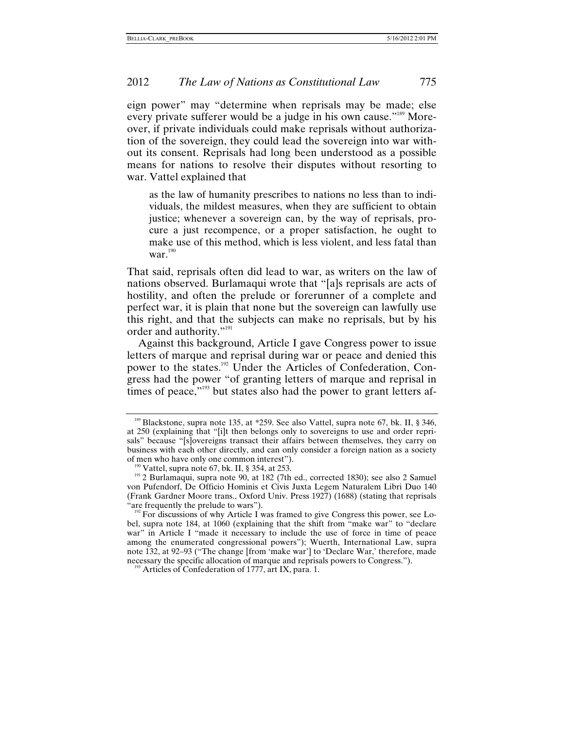eign power" may "determine when reprisals may be made; else every private sufferer would be a judge in his own cause."<sup>189</sup> Moreover, if private individuals could make reprisals without authorization of the sovereign, they could lead the sovereign into war without its consent. Reprisals had long been understood as a possible means for nations to resolve their disputes without resorting to war. Vattel explained that

as the law of humanity prescribes to nations no less than to individuals, the mildest measures, when they are sufficient to obtain justice; whenever a sovereign can, by the way of reprisals, procure a just recompence, or a proper satisfaction, he ought to make use of this method, which is less violent, and less fatal than war.<sup>190</sup>

That said, reprisals often did lead to war, as writers on the law of nations observed. Burlamaqui wrote that "[a]s reprisals are acts of hostility, and often the prelude or forerunner of a complete and perfect war, it is plain that none but the sovereign can lawfully use this right, and that the subjects can make no reprisals, but by his order and authority."[191](#page-47-1) 

Against this background, Article I gave Congress power to issue letters of marque and reprisal during war or peace and denied this power to the states.[192](#page-47-2) Under the Articles of Confederation, Congress had the power "of granting letters of marque and reprisal in times of peace,"<sup>193</sup> but states also had the power to grant letters af-

<span id="page-47-0"></span><sup>&</sup>lt;sup>189</sup> Blackstone, supra note 135, at \*259. See also Vattel, supra note 67, bk. II, § 346, at 250 (explaining that "[i]t then belongs only to sovereigns to use and order reprisals" because "[s]overeigns transact their affairs between themselves, they carry on business with each other directly, and can only consider a foreign nation as a society of men who have only one common interest").

<span id="page-47-1"></span><sup>&</sup>lt;sup>190</sup> Vattel, supra note 67, bk. II, § 354, at 253.<br><sup>191</sup> 2 Burlamaqui, supra note 90, at 182 (7th ed., corrected 1830); see also 2 Samuel von Pufendorf, De Officio Hominis et Civis Juxta Legem Naturalem Libri Duo 140 (Frank Gardner Moore trans., Oxford Univ. Press 1927) (1688) (stating that reprisals

<span id="page-47-2"></span> $192$  For discussions of why Article I was framed to give Congress this power, see Lobel, supra note 184, at 1060 (explaining that the shift from "make war" to "declare war" in Article I "made it necessary to include the use of force in time of peace among the enumerated congressional powers"); Wuerth, International Law, supra note 132, at 92–93 ("The change [from 'make war'] to 'Declare War,' therefore, made necessary the specific allocation of marque and reprisals powers to Congress."). 193 Articles of Confederation of 1777, art IX, para. 1.

<span id="page-47-3"></span>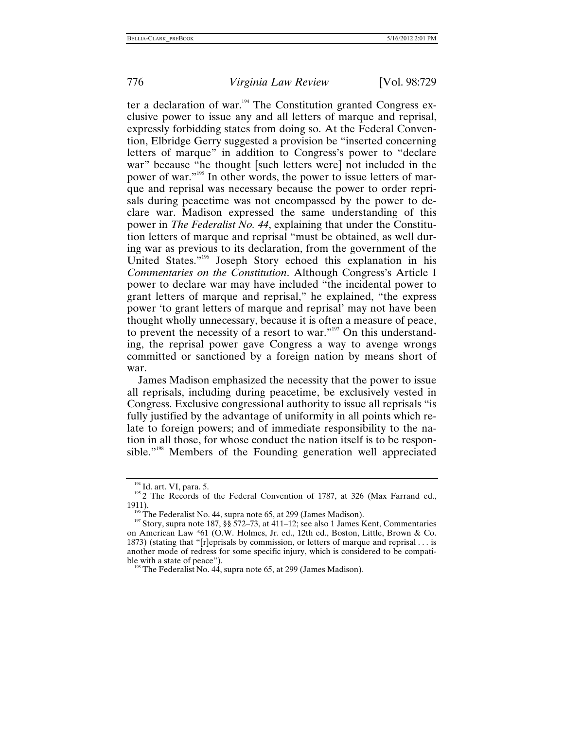ter a declaration of war.<sup>194</sup> The Constitution granted Congress exclusive power to issue any and all letters of marque and reprisal, expressly forbidding states from doing so. At the Federal Convention, Elbridge Gerry suggested a provision be "inserted concerning letters of marque" in addition to Congress's power to "declare war" because "he thought [such letters were] not included in the power of war."[195](#page-48-1) In other words, the power to issue letters of marque and reprisal was necessary because the power to order reprisals during peacetime was not encompassed by the power to declare war. Madison expressed the same understanding of this power in *The Federalist No. 44*, explaining that under the Constitution letters of marque and reprisal "must be obtained, as well during war as previous to its declaration, from the government of the United States."[196](#page-48-2) Joseph Story echoed this explanation in his *Commentaries on the Constitution*. Although Congress's Article I power to declare war may have included "the incidental power to grant letters of marque and reprisal," he explained, "the express power 'to grant letters of marque and reprisal' may not have been thought wholly unnecessary, because it is often a measure of peace, to prevent the necessity of a resort to war.["197](#page-48-3) On this understanding, the reprisal power gave Congress a way to avenge wrongs committed or sanctioned by a foreign nation by means short of war.

James Madison emphasized the necessity that the power to issue all reprisals, including during peacetime, be exclusively vested in Congress. Exclusive congressional authority to issue all reprisals "is fully justified by the advantage of uniformity in all points which relate to foreign powers; and of immediate responsibility to the nation in all those, for whose conduct the nation itself is to be responsible."<sup>198</sup> Members of the Founding generation well appreciated

<span id="page-48-1"></span><span id="page-48-0"></span><sup>&</sup>lt;sup>194</sup> Id. art. VI, para. 5. 195 2 The Records of the Federal Convention of 1787, at 326 (Max Farrand ed., 1911).<br><sup>196</sup> The Federalist No. 44, supra note 65, at 299 (James Madison).<br><sup>197</sup> Story, supra note 187, §§ 572–73, at 411–12; see also 1 James Kent, Commentaries

<span id="page-48-2"></span>

<span id="page-48-3"></span>on American Law \*61 (O.W. Holmes, Jr. ed., 12th ed., Boston, Little, Brown & Co. 1873) (stating that "[r]eprisals by commission, or letters of marque and reprisal . . . is another mode of redress for some specific injury, which is considered to be compatible with a state of peace").<br><sup>198</sup> The Federalist No. 44, supra note 65, at 299 (James Madison).

<span id="page-48-4"></span>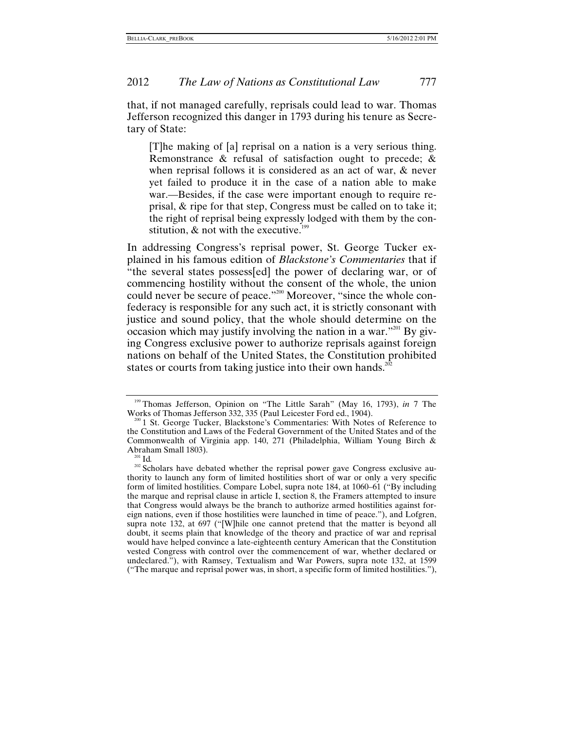that, if not managed carefully, reprisals could lead to war. Thomas Jefferson recognized this danger in 1793 during his tenure as Secretary of State:

[T]he making of [a] reprisal on a nation is a very serious thing. Remonstrance & refusal of satisfaction ought to precede; & when reprisal follows it is considered as an act of war, & never yet failed to produce it in the case of a nation able to make war.—Besides, if the case were important enough to require reprisal, & ripe for that step, Congress must be called on to take it; the right of reprisal being expressly lodged with them by the constitution,  $\&$  not with the executive.<sup>[199](#page-49-0)</sup>

In addressing Congress's reprisal power, St. George Tucker explained in his famous edition of *Blackstone's Commentaries* that if "the several states possess[ed] the power of declaring war, or of commencing hostility without the consent of the whole, the union could never be secure of peace."<sup>200</sup> Moreover, "since the whole confederacy is responsible for any such act, it is strictly consonant with justice and sound policy, that the whole should determine on the occasion which may justify involving the nation in a war."<sup>201</sup> By giving Congress exclusive power to authorize reprisals against foreign nations on behalf of the United States, the Constitution prohibited states or courts from taking justice into their own hands.<sup>202</sup>

<span id="page-49-0"></span><sup>&</sup>lt;sup>199</sup> Thomas Jefferson, Opinion on "The Little Sarah" (May 16, 1793), *in* 7 The Works of Thomas Jefferson 332, 335 (Paul Leicester Ford ed., 1904).

<span id="page-49-1"></span><sup>&</sup>lt;sup>200</sup> 1 St. George Tucker, Blackstone's Commentaries: With Notes of Reference to the Constitution and Laws of the Federal Government of the United States and of the Commonwealth of Virginia app. 140, 271 (Philadelphia, William Young Birch &

<span id="page-49-3"></span><span id="page-49-2"></span><sup>&</sup>lt;sup>201</sup> Id.<br><sup>202</sup> Scholars have debated whether the reprisal power gave Congress exclusive authority to launch any form of limited hostilities short of war or only a very specific form of limited hostilities. Compare Lobel, supra note 184, at 1060–61 ("By including the marque and reprisal clause in article I, section 8, the Framers attempted to insure that Congress would always be the branch to authorize armed hostilities against foreign nations, even if those hostilities were launched in time of peace."), and Lofgren, supra note 132, at 697 ("[W]hile one cannot pretend that the matter is beyond all doubt, it seems plain that knowledge of the theory and practice of war and reprisal would have helped convince a late-eighteenth century American that the Constitution vested Congress with control over the commencement of war, whether declared or undeclared."), with Ramsey, Textualism and War Powers, supra note 132, at 1599 ("The marque and reprisal power was, in short, a specific form of limited hostilities."),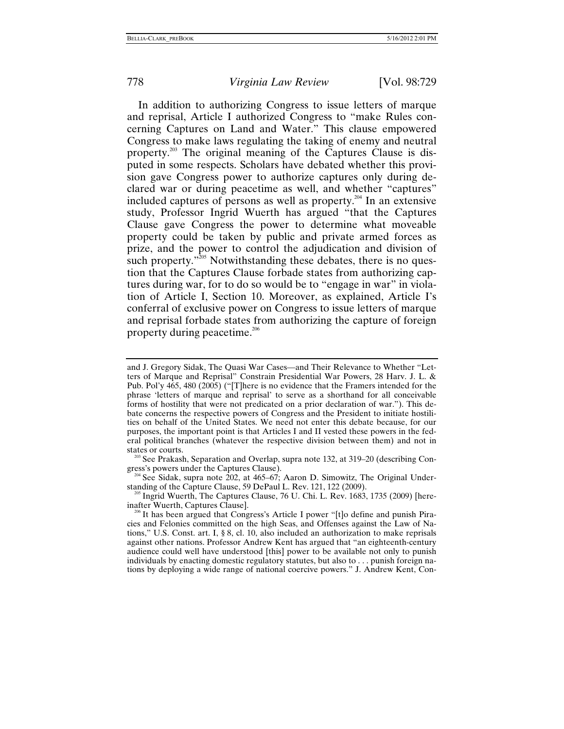In addition to authorizing Congress to issue letters of marque and reprisal, Article I authorized Congress to "make Rules concerning Captures on Land and Water." This clause empowered Congress to make laws regulating the taking of enemy and neutral property.[203](#page-50-0) The original meaning of the Captures Clause is disputed in some respects. Scholars have debated whether this provision gave Congress power to authorize captures only during declared war or during peacetime as well, and whether "captures" included captures of persons as well as property.<sup>204</sup> In an extensive study, Professor Ingrid Wuerth has argued "that the Captures Clause gave Congress the power to determine what moveable property could be taken by public and private armed forces as prize, and the power to control the adjudication and division of such property. $v^{205}$  Notwithstanding these debates, there is no question that the Captures Clause forbade states from authorizing captures during war, for to do so would be to "engage in war" in violation of Article I, Section 10. Moreover, as explained, Article I's conferral of exclusive power on Congress to issue letters of marque and reprisal forbade states from authorizing the capture of foreign property during peacetime.<sup>[206](#page-50-3)</sup>

<span id="page-50-0"></span>

<span id="page-50-1"></span>gress's powers under the Captures Clause).<br><sup>204</sup> See Sidak, supra note 202, at 465–67; Aaron D. Simowitz, The Original Under-<br>standing of the Capture Clause, 59 DePaul L. Rev. 121, 122 (2009).

<span id="page-50-2"></span><sup>205</sup> Ingrid Wuerth, The Captures Clause, 76 U. Chi. L. Rev. 1683, 1735 (2009) [here-inafter Wuerth, Captures Clause].

and J. Gregory Sidak, The Quasi War Cases—and Their Relevance to Whether "Letters of Marque and Reprisal" Constrain Presidential War Powers, 28 Harv. J. L. & Pub. Pol'y 465, 480 (2005) ("[T]here is no evidence that the Framers intended for the phrase 'letters of marque and reprisal' to serve as a shorthand for all conceivable forms of hostility that were not predicated on a prior declaration of war."). This debate concerns the respective powers of Congress and the President to initiate hostilities on behalf of the United States. We need not enter this debate because, for our purposes, the important point is that Articles I and II vested these powers in the federal political branches (whatever the respective division between them) and not in states or courts.<br><sup>203</sup> See Prakash, Separation and Overlap, supra note 132, at 319–20 (describing Con-

<span id="page-50-3"></span> $\mathscr{C}$  It has been argued that Congress's Article I power "[t]o define and punish Piracies and Felonies committed on the high Seas, and Offenses against the Law of Nations," U.S. Const. art. I, § 8, cl. 10, also included an authorization to make reprisals against other nations. Professor Andrew Kent has argued that "an eighteenth-century audience could well have understood [this] power to be available not only to punish individuals by enacting domestic regulatory statutes, but also to . . . punish foreign nations by deploying a wide range of national coercive powers." J. Andrew Kent, Con-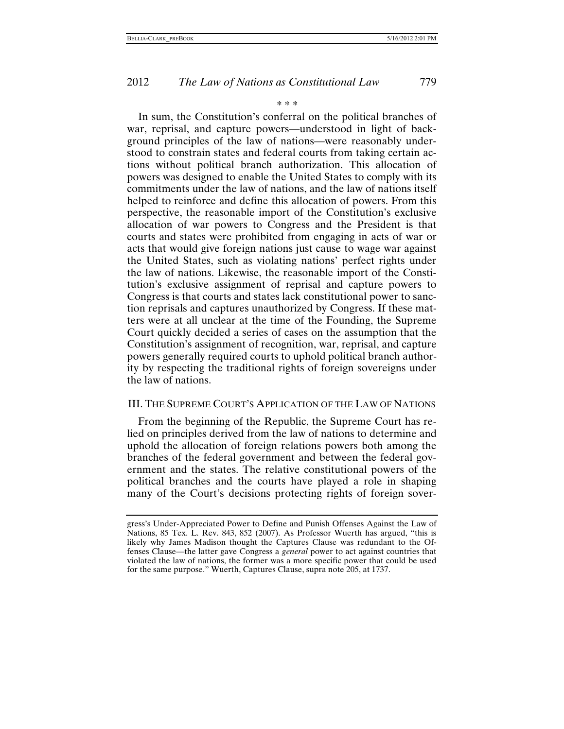#### \* \* \*

In sum, the Constitution's conferral on the political branches of war, reprisal, and capture powers—understood in light of background principles of the law of nations—were reasonably understood to constrain states and federal courts from taking certain actions without political branch authorization. This allocation of powers was designed to enable the United States to comply with its commitments under the law of nations, and the law of nations itself helped to reinforce and define this allocation of powers. From this perspective, the reasonable import of the Constitution's exclusive allocation of war powers to Congress and the President is that courts and states were prohibited from engaging in acts of war or acts that would give foreign nations just cause to wage war against the United States, such as violating nations' perfect rights under the law of nations. Likewise, the reasonable import of the Constitution's exclusive assignment of reprisal and capture powers to Congress is that courts and states lack constitutional power to sanction reprisals and captures unauthorized by Congress. If these matters were at all unclear at the time of the Founding, the Supreme Court quickly decided a series of cases on the assumption that the Constitution's assignment of recognition, war, reprisal, and capture powers generally required courts to uphold political branch authority by respecting the traditional rights of foreign sovereigns under the law of nations.

#### III. THE SUPREME COURT'S APPLICATION OF THE LAW OF NATIONS

From the beginning of the Republic, the Supreme Court has relied on principles derived from the law of nations to determine and uphold the allocation of foreign relations powers both among the branches of the federal government and between the federal government and the states. The relative constitutional powers of the political branches and the courts have played a role in shaping many of the Court's decisions protecting rights of foreign sover-

gress's Under-Appreciated Power to Define and Punish Offenses Against the Law of Nations, 85 Tex. L. Rev. 843, 852 (2007). As Professor Wuerth has argued, "this is likely why James Madison thought the Captures Clause was redundant to the Offenses Clause—the latter gave Congress a *general* power to act against countries that violated the law of nations, the former was a more specific power that could be used for the same purpose." Wuerth, Captures Clause, supra note 205, at 1737.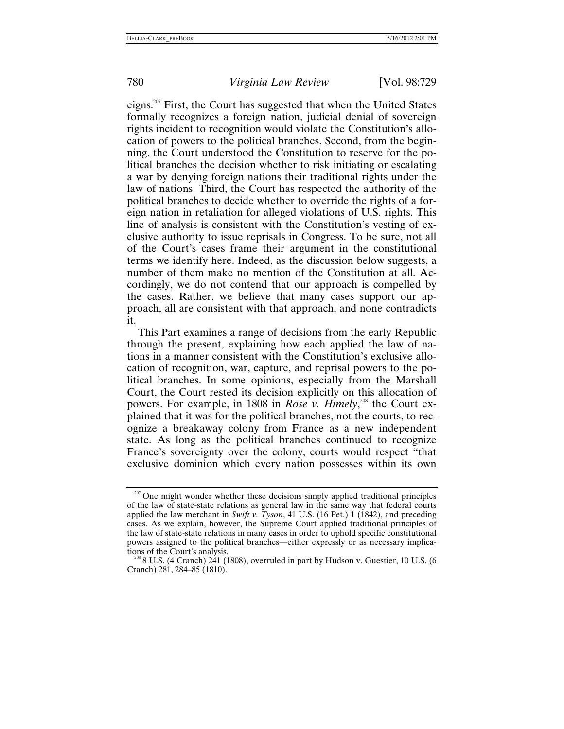eigns.<sup>207</sup> First, the Court has suggested that when the United States formally recognizes a foreign nation, judicial denial of sovereign rights incident to recognition would violate the Constitution's allocation of powers to the political branches. Second, from the beginning, the Court understood the Constitution to reserve for the political branches the decision whether to risk initiating or escalating a war by denying foreign nations their traditional rights under the law of nations. Third, the Court has respected the authority of the political branches to decide whether to override the rights of a foreign nation in retaliation for alleged violations of U.S. rights. This line of analysis is consistent with the Constitution's vesting of exclusive authority to issue reprisals in Congress. To be sure, not all of the Court's cases frame their argument in the constitutional terms we identify here. Indeed, as the discussion below suggests, a number of them make no mention of the Constitution at all. Accordingly, we do not contend that our approach is compelled by the cases. Rather, we believe that many cases support our approach, all are consistent with that approach, and none contradicts it.

This Part examines a range of decisions from the early Republic through the present, explaining how each applied the law of nations in a manner consistent with the Constitution's exclusive allocation of recognition, war, capture, and reprisal powers to the political branches. In some opinions, especially from the Marshall Court, the Court rested its decision explicitly on this allocation of powers. For example, in 1808 in *Rose v. Himely*, [208](#page-52-1) the Court explained that it was for the political branches, not the courts, to recognize a breakaway colony from France as a new independent state. As long as the political branches continued to recognize France's sovereignty over the colony, courts would respect "that exclusive dominion which every nation possesses within its own

<span id="page-52-0"></span><sup>&</sup>lt;sup>207</sup> One might wonder whether these decisions simply applied traditional principles of the law of state-state relations as general law in the same way that federal courts applied the law merchant in *Swift v. Tyson*, 41 U.S. (16 Pet.) 1 (1842), and preceding cases. As we explain, however, the Supreme Court applied traditional principles of the law of state-state relations in many cases in order to uphold specific constitutional powers assigned to the political branches—either expressly or as necessary implica-

<span id="page-52-1"></span> $68$  U.S. (4 Cranch) 241 (1808), overruled in part by Hudson v. Guestier, 10 U.S. (6 Cranch) 281, 284–85 (1810).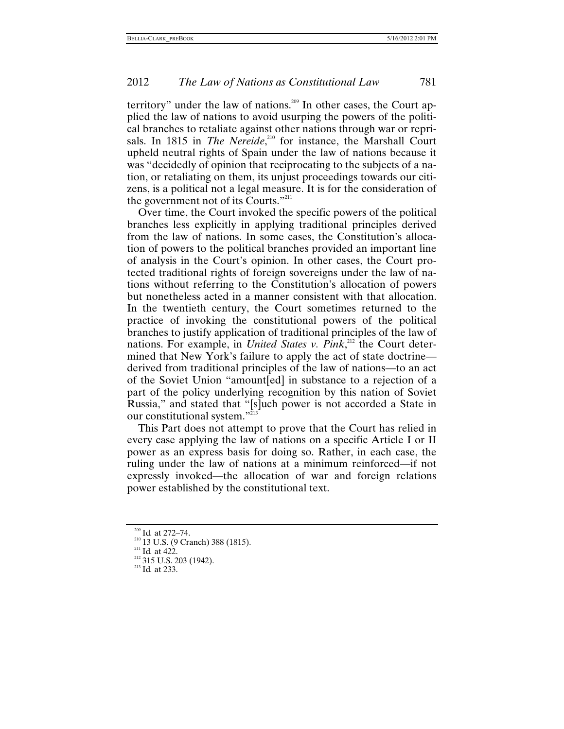territory" under the law of nations.<sup>209</sup> In other cases, the Court applied the law of nations to avoid usurping the powers of the political branches to retaliate against other nations through war or reprisals. In 1815 in *The Nereide*,<sup>210</sup> for instance, the Marshall Court upheld neutral rights of Spain under the law of nations because it was "decidedly of opinion that reciprocating to the subjects of a nation, or retaliating on them, its unjust proceedings towards our citizens, is a political not a legal measure. It is for the consideration of the government not of its Courts."<sup>211</sup>

Over time, the Court invoked the specific powers of the political branches less explicitly in applying traditional principles derived from the law of nations. In some cases, the Constitution's allocation of powers to the political branches provided an important line of analysis in the Court's opinion. In other cases, the Court protected traditional rights of foreign sovereigns under the law of nations without referring to the Constitution's allocation of powers but nonetheless acted in a manner consistent with that allocation. In the twentieth century, the Court sometimes returned to the practice of invoking the constitutional powers of the political branches to justify application of traditional principles of the law of nations. For example, in *United States v. Pink*<sup>212</sup>, the Court determined that New York's failure to apply the act of state doctrine derived from traditional principles of the law of nations—to an act of the Soviet Union "amount[ed] in substance to a rejection of a part of the policy underlying recognition by this nation of Soviet Russia," and stated that "[s]uch power is not accorded a State in our constitutional system."<sup>2</sup>

This Part does not attempt to prove that the Court has relied in every case applying the law of nations on a specific Article I or II power as an express basis for doing so. Rather, in each case, the ruling under the law of nations at a minimum reinforced—if not expressly invoked—the allocation of war and foreign relations power established by the constitutional text.

<span id="page-53-1"></span>

<span id="page-53-0"></span><sup>&</sup>lt;sup>209</sup> Id. at 272–74.<br><sup>210</sup> 13 U.S. (9 Cranch) 388 (1815).<br><sup>211</sup> Id. at 422.<br><sup>212</sup> 315 U.S. 203 (1942).<br><sup>213</sup> Id. at 233.

<span id="page-53-2"></span>

<span id="page-53-3"></span>

<span id="page-53-4"></span>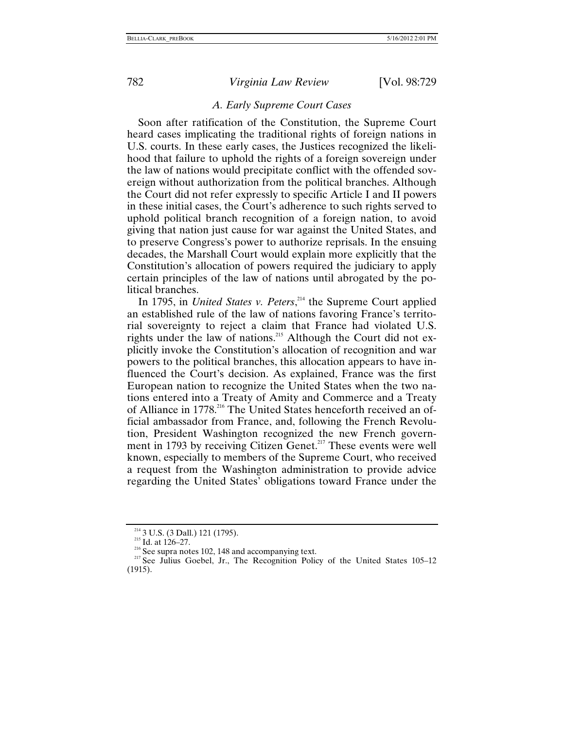#### *A. Early Supreme Court Cases*

Soon after ratification of the Constitution, the Supreme Court heard cases implicating the traditional rights of foreign nations in U.S. courts. In these early cases, the Justices recognized the likelihood that failure to uphold the rights of a foreign sovereign under the law of nations would precipitate conflict with the offended sovereign without authorization from the political branches. Although the Court did not refer expressly to specific Article I and II powers in these initial cases, the Court's adherence to such rights served to uphold political branch recognition of a foreign nation, to avoid giving that nation just cause for war against the United States, and to preserve Congress's power to authorize reprisals. In the ensuing decades, the Marshall Court would explain more explicitly that the Constitution's allocation of powers required the judiciary to apply certain principles of the law of nations until abrogated by the political branches.

In 1795, in *United States v. Peters*, [214](#page-54-0) the Supreme Court applied an established rule of the law of nations favoring France's territorial sovereignty to reject a claim that France had violated U.S. rights under the law of nations.<sup>215</sup> Although the Court did not explicitly invoke the Constitution's allocation of recognition and war powers to the political branches, this allocation appears to have influenced the Court's decision. As explained, France was the first European nation to recognize the United States when the two nations entered into a Treaty of Amity and Commerce and a Treaty of Alliance in 1778.<sup>216</sup> The United States henceforth received an official ambassador from France, and, following the French Revolution, President Washington recognized the new French government in 1793 by receiving Citizen Genet.<sup>217</sup> These events were well known, especially to members of the Supreme Court, who received a request from the Washington administration to provide advice regarding the United States' obligations toward France under the

<span id="page-54-1"></span>

<span id="page-54-3"></span><span id="page-54-2"></span>

<span id="page-54-0"></span><sup>&</sup>lt;sup>214</sup> 3 U.S. (3 Dall.) 121 (1795).<br><sup>215</sup> Id. at 126–27.<br><sup>216</sup> See supra notes 102, 148 and accompanying text.<br><sup>217</sup> See Julius Goebel, Jr., The Recognition Policy of the United States 105–12 (1915).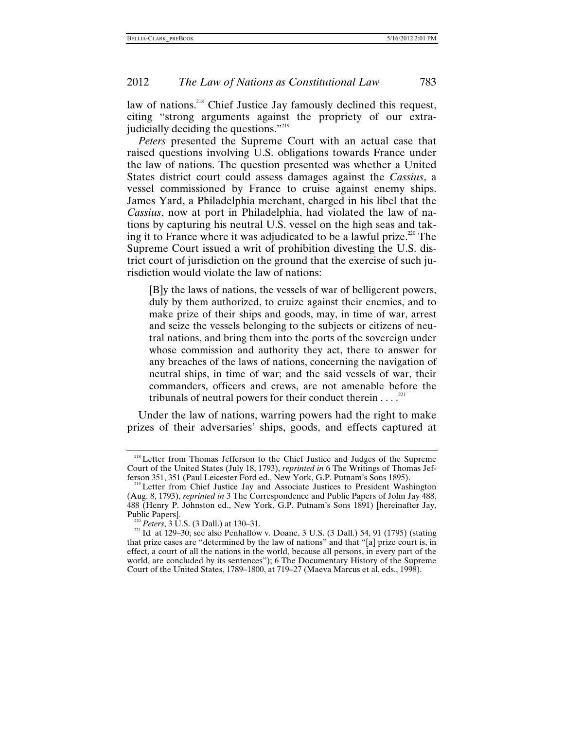law of nations.<sup>218</sup> Chief Justice Jay famously declined this request, citing "strong arguments against the propriety of our extrajudicially deciding the questions.["219](#page-55-1)

*Peters* presented the Supreme Court with an actual case that raised questions involving U.S. obligations towards France under the law of nations. The question presented was whether a United States district court could assess damages against the *Cassius*, a vessel commissioned by France to cruise against enemy ships. James Yard, a Philadelphia merchant, charged in his libel that the *Cassius*, now at port in Philadelphia, had violated the law of nations by capturing his neutral U.S. vessel on the high seas and taking it to France where it was adjudicated to be a lawful prize. $220$  The Supreme Court issued a writ of prohibition divesting the U.S. district court of jurisdiction on the ground that the exercise of such jurisdiction would violate the law of nations:

[B]y the laws of nations, the vessels of war of belligerent powers, duly by them authorized, to cruize against their enemies, and to make prize of their ships and goods, may, in time of war, arrest and seize the vessels belonging to the subjects or citizens of neutral nations, and bring them into the ports of the sovereign under whose commission and authority they act, there to answer for any breaches of the laws of nations, concerning the navigation of neutral ships, in time of war; and the said vessels of war, their commanders, officers and crews, are not amenable before the tribunals of neutral powers for their conduct therein  $\dots$ <sup>221</sup>

Under the law of nations, warring powers had the right to make prizes of their adversaries' ships, goods, and effects captured at

<span id="page-55-0"></span><sup>&</sup>lt;sup>218</sup> Letter from Thomas Jefferson to the Chief Justice and Judges of the Supreme Court of the United States (July 18, 1793), *reprinted in* 6 The Writings of Thomas Jef-

<span id="page-55-1"></span> $\beta$ <sup>19</sup> Letter from Chief Justice Jay and Associate Justices to President Washington (Aug. 8, 1793), *reprinted in* 3 The Correspondence and Public Papers of John Jay 488, 488 (Henry P. Johnston ed., New York, G.P. Putnam's Sons 1891) [hereinafter Jay, Public Papers]. 220 *Peters*, 3 U.S. (3 Dall.) at 130–31. 221 Id*.* at 129–30; see also Penhallow v. Doane, 3 U.S. (3 Dall.) 54, 91 (1795) (stating

<span id="page-55-2"></span>

that prize cases are "determined by the law of nations" and that "[a] prize court is, in effect, a court of all the nations in the world, because all persons, in every part of the world, are concluded by its sentences"); 6 The Documentary History of the Supreme Court of the United States, 1789–1800, at 719–27 (Maeva Marcus et al. eds., 1998).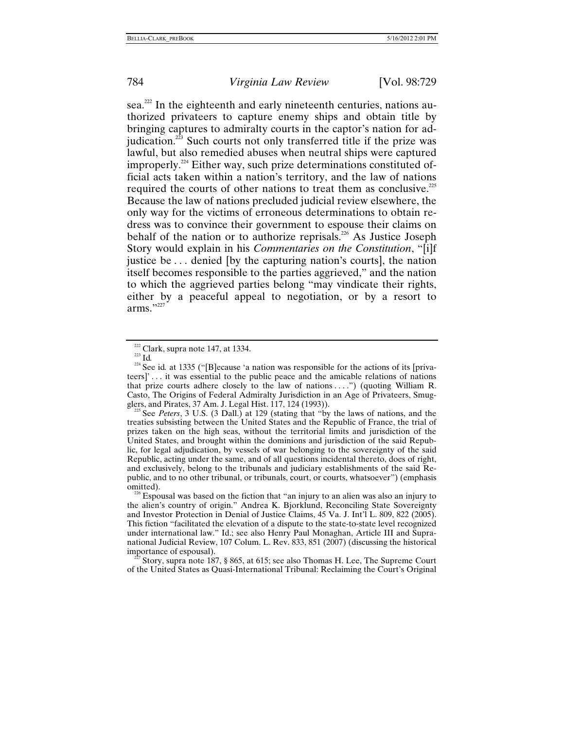sea.<sup>222</sup> In the eighteenth and early nineteenth centuries, nations authorized privateers to capture enemy ships and obtain title by bringing captures to admiralty courts in the captor's nation for adjudication. $223$  Such courts not only transferred title if the prize was lawful, but also remedied abuses when neutral ships were captured improperly.<sup>224</sup> Either way, such prize determinations constituted official acts taken within a nation's territory, and the law of nations required the courts of other nations to treat them as conclusive.<sup>[225](#page-56-3)</sup> Because the law of nations precluded judicial review elsewhere, the only way for the victims of erroneous determinations to obtain redress was to convince their government to espouse their claims on behalf of the nation or to authorize reprisals.<sup>226</sup> As Justice Joseph Story would explain in his *Commentaries on the Constitution*, "[i]f justice be . . . denied [by the capturing nation's courts], the nation itself becomes responsible to the parties aggrieved," and the nation to which the aggrieved parties belong "may vindicate their rights, either by a peaceful appeal to negotiation, or by a resort to arms." $227$ 

<span id="page-56-5"></span>Story, supra note 187, § 865, at 615; see also Thomas H. Lee, The Supreme Court of the United States as Quasi-International Tribunal: Reclaiming the Court's Original

<span id="page-56-2"></span><span id="page-56-1"></span>

<span id="page-56-0"></span><sup>&</sup>lt;sup>222</sup> Clark, supra note 147, at 1334.<br><sup>223</sup> Id.<br><sup>224</sup> See id. at 1335 ("[B]ecause 'a nation was responsible for the actions of its [privateers]' . . . it was essential to the public peace and the amicable relations of nations that prize courts adhere closely to the law of nations  $\dots$ ") (quoting William R. Casto, The Origins of Federal Admiralty Jurisdiction in an Age of Privateers, Smugglers, and Pirates, 37 Am. J. Legal Hist. 117, 124 (1993)).

<span id="page-56-3"></span><sup>&</sup>lt;sup>225</sup> See *Peters*, 3 U.S. (3 Dall.) at 129 (stating that "by the laws of nations, and the treaties subsisting between the United States and the Republic of France, the trial of prizes taken on the high seas, without the territorial limits and jurisdiction of the United States, and brought within the dominions and jurisdiction of the said Republic, for legal adjudication, by vessels of war belonging to the sovereignty of the said Republic, acting under the same, and of all questions incidental thereto, does of right, and exclusively, belong to the tribunals and judiciary establishments of the said Republic, and to no other tribunal, or tribunals, court, or courts, whatsoever") (emphasis

<span id="page-56-4"></span><sup>&</sup>lt;sup>226</sup> Espousal was based on the fiction that "an injury to an alien was also an injury to the alien's country of origin." Andrea K. Bjorklund, Reconciling State Sovereignty and Investor Protection in Denial of Justice Claims, 45 Va. J. Int'l L. 809, 822 (2005). This fiction "facilitated the elevation of a dispute to the state-to-state level recognized under international law." Id.; see also Henry Paul Monaghan, Article III and Supranational Judicial Review, 107 Colum. L. Rev. 833, 851 (2007) (discussing the historical importance of espousal).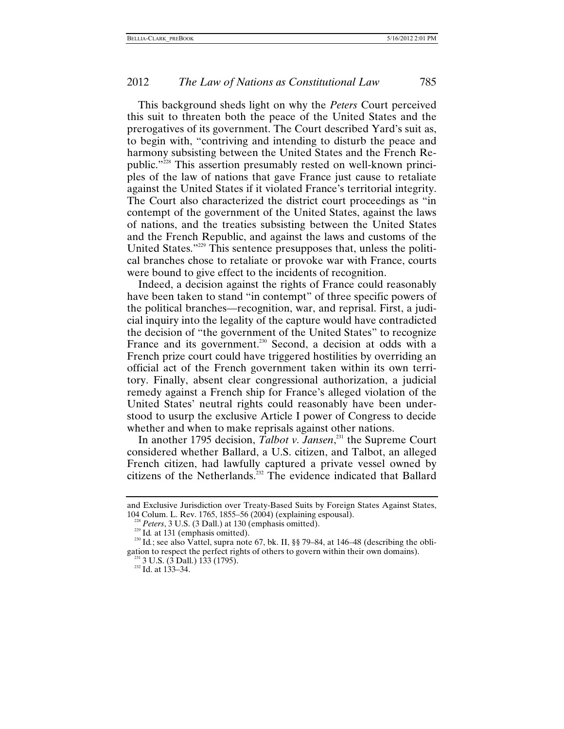This background sheds light on why the *Peters* Court perceived this suit to threaten both the peace of the United States and the prerogatives of its government. The Court described Yard's suit as, to begin with, "contriving and intending to disturb the peace and harmony subsisting between the United States and the French Republic.["228](#page-57-0) This assertion presumably rested on well-known principles of the law of nations that gave France just cause to retaliate against the United States if it violated France's territorial integrity. The Court also characterized the district court proceedings as "in contempt of the government of the United States, against the laws of nations, and the treaties subsisting between the United States and the French Republic, and against the laws and customs of the United States."[229](#page-57-1) This sentence presupposes that, unless the political branches chose to retaliate or provoke war with France, courts were bound to give effect to the incidents of recognition.

Indeed, a decision against the rights of France could reasonably have been taken to stand "in contempt" of three specific powers of the political branches—recognition, war, and reprisal. First, a judicial inquiry into the legality of the capture would have contradicted the decision of "the government of the United States" to recognize France and its government.<sup>230</sup> Second, a decision at odds with a French prize court could have triggered hostilities by overriding an official act of the French government taken within its own territory. Finally, absent clear congressional authorization, a judicial remedy against a French ship for France's alleged violation of the United States' neutral rights could reasonably have been understood to usurp the exclusive Article I power of Congress to decide whether and when to make reprisals against other nations.

In another 1795 decision, *Talbot v. Jansen*, [231](#page-57-3) the Supreme Court considered whether Ballard, a U.S. citizen, and Talbot, an alleged French citizen, had lawfully captured a private vessel owned by citizens of the Netherlands.<sup>232</sup> The evidence indicated that Ballard

and Exclusive Jurisdiction over Treaty-Based Suits by Foreign States Against States,

<span id="page-57-2"></span><span id="page-57-1"></span>

<span id="page-57-0"></span><sup>104</sup> Colum. L. Rev. 1765, 1855–56 (2004) (explaining espousal).<br>
<sup>228</sup> Peters, 3 U.S. (3 Dall.) at 130 (emphasis omitted).<br>
<sup>229</sup> Id. at 131 (emphasis omitted).<br>
<sup>230</sup> Id.; see also Vattel, supra note 67, bk. II, §§ 79–84, gation to respect the perfect rights of others to govern within their own domains). <sup>231</sup> 3 U.S. (3 Dall.) 133 (1795). <sup>232</sup> Id. at 133–34.

<span id="page-57-3"></span>

<span id="page-57-4"></span>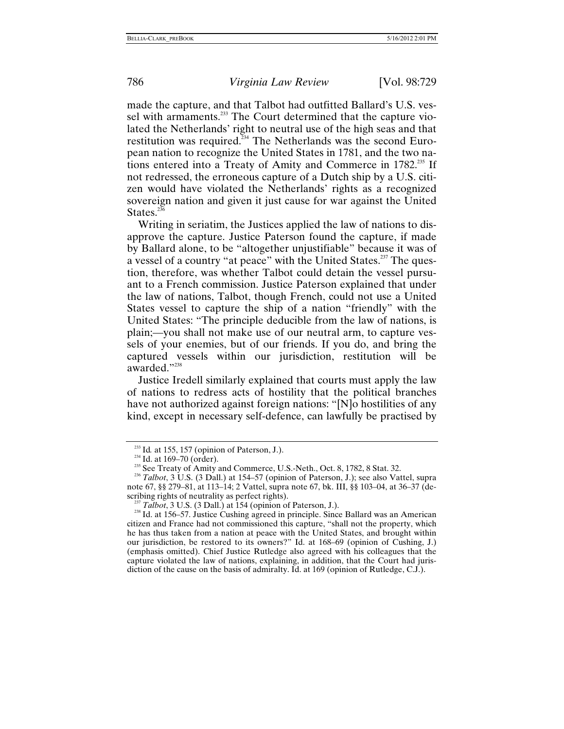made the capture, and that Talbot had outfitted Ballard's U.S. vessel with armaments.<sup>233</sup> The Court determined that the capture violated the Netherlands' right to neutral use of the high seas and that restitution was required.<sup>234</sup> The Netherlands was the second European nation to recognize the United States in 1781, and the two nations entered into a Treaty of Amity and Commerce in 1782.<sup>235</sup> If not redressed, the erroneous capture of a Dutch ship by a U.S. citizen would have violated the Netherlands' rights as a recognized sovereign nation and given it just cause for war against the United States. $236$ 

Writing in seriatim, the Justices applied the law of nations to disapprove the capture. Justice Paterson found the capture, if made by Ballard alone, to be "altogether unjustifiable" because it was of a vessel of a country "at peace" with the United States.<sup>237</sup> The question, therefore, was whether Talbot could detain the vessel pursuant to a French commission. Justice Paterson explained that under the law of nations, Talbot, though French, could not use a United States vessel to capture the ship of a nation "friendly" with the United States: "The principle deducible from the law of nations, is plain;—you shall not make use of our neutral arm, to capture vessels of your enemies, but of our friends. If you do, and bring the captured vessels within our jurisdiction, restitution will be awarded."<sup>[238](#page-58-5)</sup>

Justice Iredell similarly explained that courts must apply the law of nations to redress acts of hostility that the political branches have not authorized against foreign nations: "[N]o hostilities of any kind, except in necessary self-defence, can lawfully be practised by

<span id="page-58-1"></span>

<span id="page-58-3"></span><span id="page-58-2"></span>

<span id="page-58-0"></span><sup>&</sup>lt;sup>233</sup> Id. at 155, 157 (opinion of Paterson, J.).<br><sup>234</sup> Id. at 169–70 (order).<br><sup>235</sup> See Treaty of Amity and Commerce, U.S.-Neth., Oct. 8, 1782, 8 Stat. 32.<br><sup>236</sup> *Talbot*, 3 U.S. (3 Dall.) at 154–57 (opinion of Paterson, note 67, §§ 279–81, at 113–14; 2 Vattel, supra note 67, bk. III, §§ 103–04, at 36–37 (describing rights of neutrality as perfect rights).

<span id="page-58-5"></span><span id="page-58-4"></span><sup>&</sup>lt;sup>237</sup> *Talbot*, 3 U.S. (3 Dall.) at 154 (opinion of Paterson, J.). <sup>238</sup> Id. at 156–57. Justice Cushing agreed in principle. Since Ballard was an American citizen and France had not commissioned this capture, "shall not the property, which he has thus taken from a nation at peace with the United States, and brought within our jurisdiction, be restored to its owners?" Id. at 168–69 (opinion of Cushing, J.) (emphasis omitted). Chief Justice Rutledge also agreed with his colleagues that the capture violated the law of nations, explaining, in addition, that the Court had jurisdiction of the cause on the basis of admiralty. Id. at 169 (opinion of Rutledge, C.J.).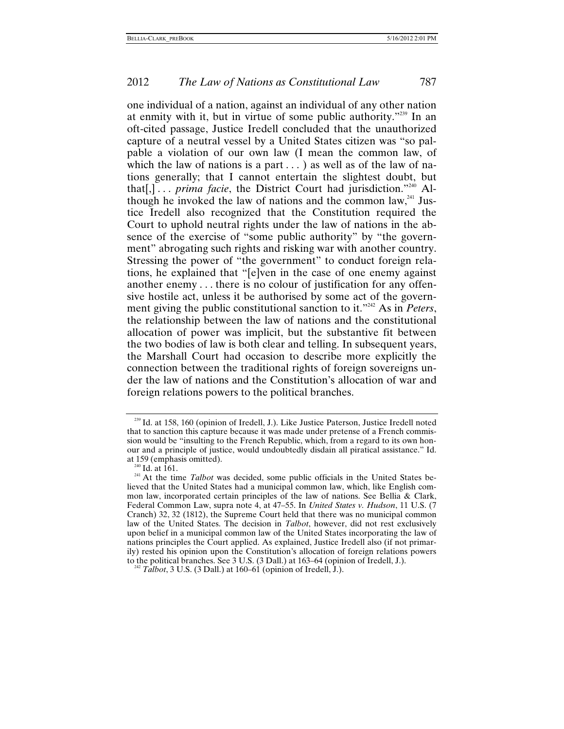one individual of a nation, against an individual of any other nation at enmity with it, but in virtue of some public authority.["239](#page-59-0) In an oft-cited passage, Justice Iredell concluded that the unauthorized capture of a neutral vessel by a United States citizen was "so palpable a violation of our own law (I mean the common law, of which the law of nations is a part  $\dots$ ) as well as of the law of nations generally; that I cannot entertain the slightest doubt, but that[,] . . . *prima facie*, the District Court had jurisdiction."<sup>240</sup> Although he invoked the law of nations and the common law,<sup>241</sup> Justice Iredell also recognized that the Constitution required the Court to uphold neutral rights under the law of nations in the absence of the exercise of "some public authority" by "the government" abrogating such rights and risking war with another country. Stressing the power of "the government" to conduct foreign relations, he explained that "[e]ven in the case of one enemy against another enemy . . . there is no colour of justification for any offensive hostile act, unless it be authorised by some act of the government giving the public constitutional sanction to it."<sup>242</sup> As in *Peters*, the relationship between the law of nations and the constitutional allocation of power was implicit, but the substantive fit between the two bodies of law is both clear and telling. In subsequent years, the Marshall Court had occasion to describe more explicitly the connection between the traditional rights of foreign sovereigns under the law of nations and the Constitution's allocation of war and foreign relations powers to the political branches.

<span id="page-59-0"></span><sup>&</sup>lt;sup>239</sup> Id. at 158, 160 (opinion of Iredell, J.). Like Justice Paterson, Justice Iredell noted that to sanction this capture because it was made under pretense of a French commission would be "insulting to the French Republic, which, from a regard to its own honour and a principle of justice, would undoubtedly disdain all piratical assistance." Id.

<span id="page-59-2"></span><span id="page-59-1"></span>

at 159 (emphasis omitted).<br><sup>240</sup> Id. at 161.<br><sup>241</sup> At the time *Talbot* was decided, some public officials in the United States believed that the United States had a municipal common law, which, like English common law, incorporated certain principles of the law of nations. See Bellia & Clark, Federal Common Law, supra note 4, at 47–55. In *United States v. Hudson*, 11 U.S. (7 Cranch) 32, 32 (1812), the Supreme Court held that there was no municipal common law of the United States. The decision in *Talbot*, however, did not rest exclusively upon belief in a municipal common law of the United States incorporating the law of nations principles the Court applied. As explained, Justice Iredell also (if not primarily) rested his opinion upon the Constitution's allocation of foreign relations powers to the political branches. See 3 U.S. (3 Dall.) at 163–64 (opinion of Iredell, J.). 242 *Talbot*, 3 U.S. (3 Dall.) at 160–61 (opinion of Iredell, J.).

<span id="page-59-3"></span>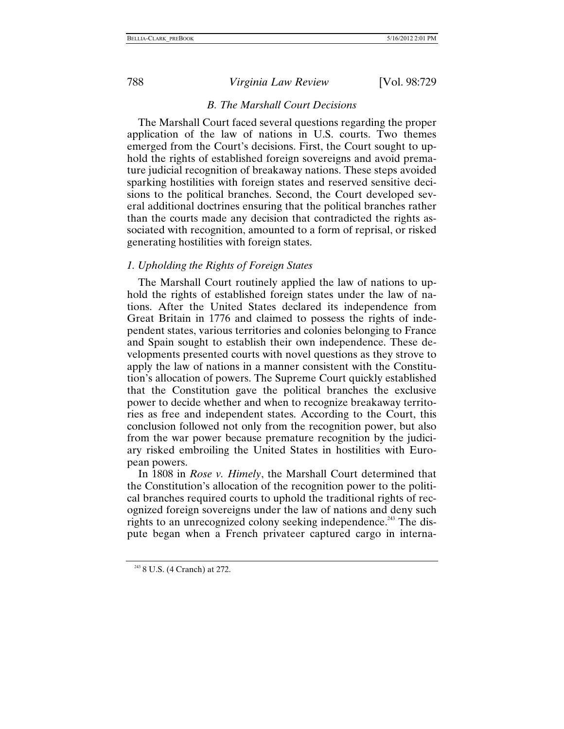#### *B. The Marshall Court Decisions*

The Marshall Court faced several questions regarding the proper application of the law of nations in U.S. courts. Two themes emerged from the Court's decisions. First, the Court sought to uphold the rights of established foreign sovereigns and avoid premature judicial recognition of breakaway nations. These steps avoided sparking hostilities with foreign states and reserved sensitive decisions to the political branches. Second, the Court developed several additional doctrines ensuring that the political branches rather than the courts made any decision that contradicted the rights associated with recognition, amounted to a form of reprisal, or risked generating hostilities with foreign states.

#### *1. Upholding the Rights of Foreign States*

The Marshall Court routinely applied the law of nations to uphold the rights of established foreign states under the law of nations. After the United States declared its independence from Great Britain in 1776 and claimed to possess the rights of independent states, various territories and colonies belonging to France and Spain sought to establish their own independence. These developments presented courts with novel questions as they strove to apply the law of nations in a manner consistent with the Constitution's allocation of powers. The Supreme Court quickly established that the Constitution gave the political branches the exclusive power to decide whether and when to recognize breakaway territories as free and independent states. According to the Court, this conclusion followed not only from the recognition power, but also from the war power because premature recognition by the judiciary risked embroiling the United States in hostilities with European powers.

In 1808 in *Rose v. Himely*, the Marshall Court determined that the Constitution's allocation of the recognition power to the political branches required courts to uphold the traditional rights of recognized foreign sovereigns under the law of nations and deny such rights to an unrecognized colony seeking independence.<sup>243</sup> The dispute began when a French privateer captured cargo in interna-

<span id="page-60-0"></span><sup>243</sup> 8 U.S. (4 Cranch) at 272.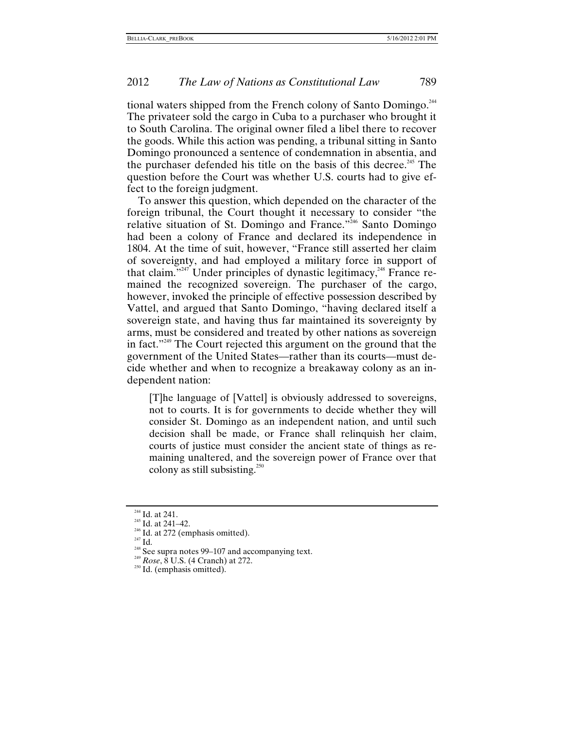tional waters shipped from the French colony of Santo Domingo.<sup>[244](#page-61-0)</sup> The privateer sold the cargo in Cuba to a purchaser who brought it to South Carolina. The original owner filed a libel there to recover the goods. While this action was pending, a tribunal sitting in Santo Domingo pronounced a sentence of condemnation in absentia, and the purchaser defended his title on the basis of this decree.<sup>245</sup> The question before the Court was whether U.S. courts had to give effect to the foreign judgment.

To answer this question, which depended on the character of the foreign tribunal, the Court thought it necessary to consider "the relative situation of St. Domingo and France."<sup>546</sup> Santo Domingo had been a colony of France and declared its independence in 1804. At the time of suit, however, "France still asserted her claim of sovereignty, and had employed a military force in support of that claim."<sup>247</sup> Under principles of dynastic legitimacy,<sup>248</sup> [Fra](#page-61-4)nce remained the recognized sovereign. The purchaser of the cargo, however, invoked the principle of effective possession described by Vattel, and argued that Santo Domingo, "having declared itself a sovereign state, and having thus far maintained its sovereignty by arms, must be considered and treated by other nations as sovereign in fact.["249](#page-61-5) The Court rejected this argument on the ground that the government of the United States—rather than its courts—must decide whether and when to recognize a breakaway colony as an independent nation:

[T]he language of [Vattel] is obviously addressed to sovereigns, not to courts. It is for governments to decide whether they will consider St. Domingo as an independent nation, and until such decision shall be made, or France shall relinquish her claim, courts of justice must consider the ancient state of things as remaining unaltered, and the sovereign power of France over that colony as still subsisting[.](#page-61-6)<sup>250</sup>

<span id="page-61-2"></span><span id="page-61-1"></span>

<span id="page-61-4"></span><span id="page-61-3"></span>

<span id="page-61-0"></span><sup>&</sup>lt;sup>244</sup> Id. at 241.<br><sup>245</sup> Id. at 241–42.<br><sup>246</sup> Id. at 272 (emphasis omitted).<br><sup>247</sup> Id.<br><sup>248</sup> See supra notes 99–107 and accompanying text.<br><sup>249</sup> *Rose*, 8 U.S. (4 Cranch) at 272.<br><sup>250</sup> Id. (emphasis omitted).

<span id="page-61-5"></span>

<span id="page-61-6"></span>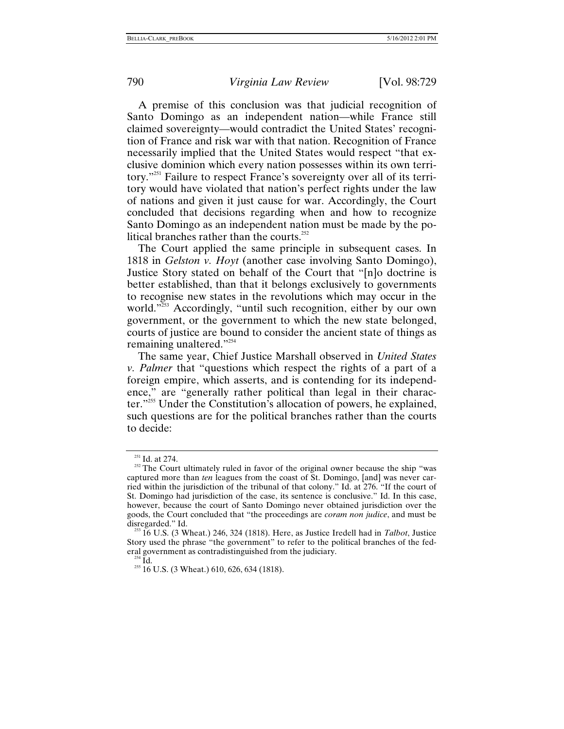A premise of this conclusion was that judicial recognition of Santo Domingo as an independent nation—while France still claimed sovereignty—would contradict the United States' recognition of France and risk war with that nation. Recognition of France necessarily implied that the United States would respect "that exclusive dominion which every nation possesses within its own territory.["251](#page-62-0) Failure to respect France's sovereignty over all of its territory would have violated that nation's perfect rights under the law of nations and given it just cause for war. Accordingly, the Court concluded that decisions regarding when and how to recognize Santo Domingo as an independent nation must be made by the political branches rather than the courts. $252$ 

The Court applied the same principle in subsequent cases. In 1818 in *Gelston v. Hoyt* (another case involving Santo Domingo), Justice Story stated on behalf of the Court that "[n]o doctrine is better established, than that it belongs exclusively to governments to recognise new states in the revolutions which may occur in the world."<sup>253</sup> Accordingly, "until such recognition, either by our own government, or the government to which the new state belonged, courts of justice are bound to consider the ancient state of things as remaining unaltered."<sup>254</sup>

The same year, Chief Justice Marshall observed in *United States v. Palmer* that "questions which respect the rights of a part of a foreign empire, which asserts, and is contending for its independence," are "generally rather political than legal in their character."[255](#page-62-4) Under the Constitution's allocation of powers, he explained, such questions are for the political branches rather than the courts to decide:

<span id="page-62-1"></span>

<span id="page-62-0"></span><sup>&</sup>lt;sup>251</sup> Id. at 274.<br><sup>252</sup> The Court ultimately ruled in favor of the original owner because the ship "was captured more than *ten* leagues from the coast of St. Domingo, [and] was never carried within the jurisdiction of the tribunal of that colony." Id. at 276. "If the court of St. Domingo had jurisdiction of the case, its sentence is conclusive." Id. In this case, however, because the court of Santo Domingo never obtained jurisdiction over the goods, the Court concluded that "the proceedings are *coram non judice*, and must be disregarded." Id. 253 16 U.S. (3 Wheat.) 246, 324 (1818). Here, as Justice Iredell had in *Talbot*, Justice

<span id="page-62-2"></span>Story used the phrase "the government" to refer to the political branches of the federal government as contradistinguished from the judiciary.

<span id="page-62-4"></span><span id="page-62-3"></span>

<sup>&</sup>lt;sup>254</sup> Id. 255 16 U.S. (3 Wheat.) 610, 626, 634 (1818).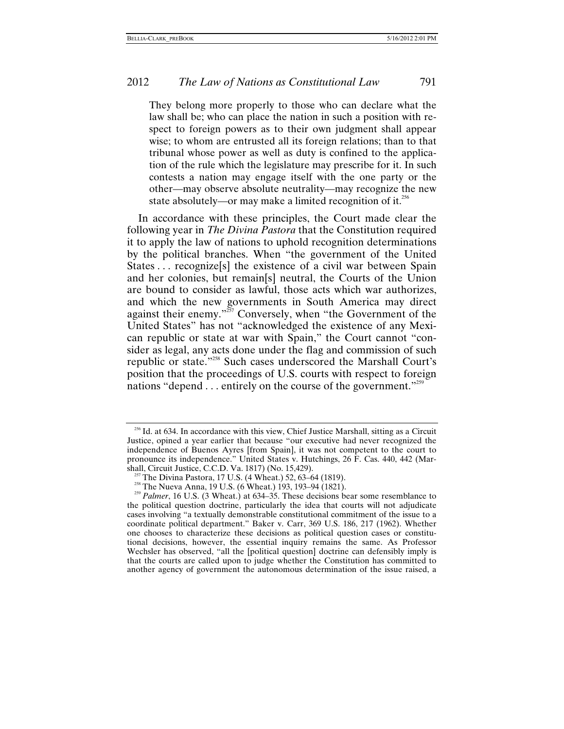They belong more properly to those who can declare what the law shall be; who can place the nation in such a position with respect to foreign powers as to their own judgment shall appear wise; to whom are entrusted all its foreign relations; than to that tribunal whose power as well as duty is confined to the application of the rule which the legislature may prescribe for it. In such contests a nation may engage itself with the one party or the other—may observe absolute neutrality—may recognize the new state absolutely—or may make a limited recognition of it.<sup>[256](#page-63-0)</sup>

In accordance with these principles, the Court made clear the following year in *The Divina Pastora* that the Constitution required it to apply the law of nations to uphold recognition determinations by the political branches. When "the government of the United States ... recognize<sup>[s]</sup> the existence of a civil war between Spain and her colonies, but remain[s] neutral, the Courts of the Union are bound to consider as lawful, those acts which war authorizes, and which the new governments in South America may direct against their enemy."<sup>257</sup> Conversely, when "the Government of the United States" has not "acknowledged the existence of any Mexican republic or state at war with Spain," the Court cannot "consider as legal, any acts done under the flag and commission of such republic or state."[258](#page-63-2) Such cases underscored the Marshall Court's position that the proceedings of U.S. courts with respect to foreign nations "depend . . . entirely on the course of the government."<sup>[259](#page-63-3)</sup>

<span id="page-63-0"></span><sup>&</sup>lt;sup>256</sup> Id. at 634. In accordance with this view, Chief Justice Marshall, sitting as a Circuit Justice, opined a year earlier that because "our executive had never recognized the independence of Buenos Ayres [from Spain], it was not competent to the court to pronounce its independence." United States v. Hutchings, 26 F. Cas. 440, 442 (Mar-

<span id="page-63-3"></span><span id="page-63-2"></span>

<span id="page-63-1"></span>shall, Circuit Justice, C.C.D. Va. 1817) (No. 15,429).<br><sup>257</sup> The Divina Pastora, 17 U.S. (4 Wheat.) 52, 63–64 (1819).<br><sup>258</sup> The Nueva Anna, 19 U.S. (6 Wheat.) 193, 193–94 (1821).<br><sup>259</sup> Palmer, 16 U.S. (3 Wheat.) at 634–35 the political question doctrine, particularly the idea that courts will not adjudicate cases involving "a textually demonstrable constitutional commitment of the issue to a coordinate political department." Baker v. Carr, 369 U.S. 186, 217 (1962). Whether one chooses to characterize these decisions as political question cases or constitutional decisions, however, the essential inquiry remains the same. As Professor Wechsler has observed, "all the [political question] doctrine can defensibly imply is that the courts are called upon to judge whether the Constitution has committed to another agency of government the autonomous determination of the issue raised, a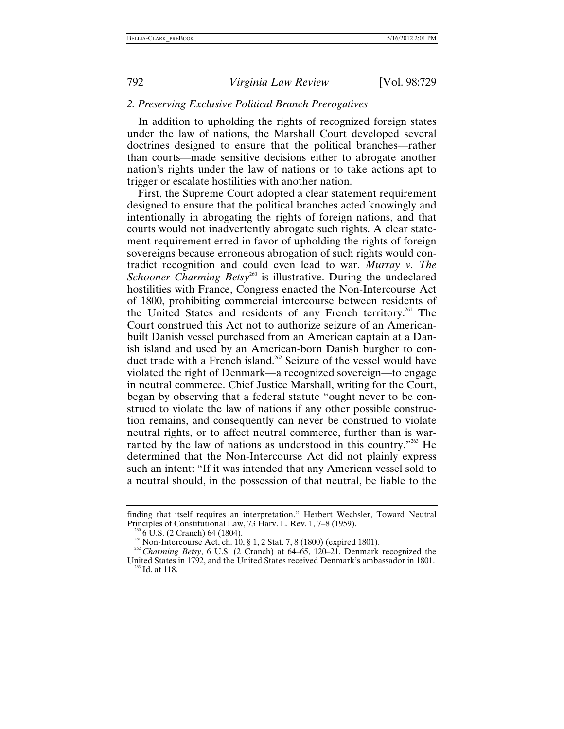#### *2. Preserving Exclusive Political Branch Prerogatives*

In addition to upholding the rights of recognized foreign states under the law of nations, the Marshall Court developed several doctrines designed to ensure that the political branches—rather than courts—made sensitive decisions either to abrogate another nation's rights under the law of nations or to take actions apt to trigger or escalate hostilities with another nation.

First, the Supreme Court adopted a clear statement requirement designed to ensure that the political branches acted knowingly and intentionally in abrogating the rights of foreign nations, and that courts would not inadvertently abrogate such rights. A clear statement requirement erred in favor of upholding the rights of foreign sovereigns because erroneous abrogation of such rights would contradict recognition and could even lead to war. *Murray v. The*  Schooner Charming Betsy<sup>260</sup> is illustrative. During the undeclared hostilities with France, Congress enacted the Non-Intercourse Act of 1800, prohibiting commercial intercourse between residents of the United States and residents of any French territory.<sup>261</sup> The Court construed this Act not to authorize seizure of an Americanbuilt Danish vessel purchased from an American captain at a Danish island and used by an American-born Danish burgher to conduct trade with a French island.<sup>262</sup> Seizure of the vessel would have violated the right of Denmark—a recognized sovereign—to engage in neutral commerce. Chief Justice Marshall, writing for the Court, began by observing that a federal statute "ought never to be construed to violate the law of nations if any other possible construction remains, and consequently can never be construed to violate neutral rights, or to affect neutral commerce, further than is warranted by the law of nations as understood in this country."<sup>263</sup> He determined that the Non-Intercourse Act did not plainly express such an intent: "If it was intended that any American vessel sold to a neutral should, in the possession of that neutral, be liable to the

finding that itself requires an interpretation." Herbert Wechsler, Toward Neutral Principles of Constitutional Law, 73 Harv. L. Rev. 1, 7–8 (1959).<br><sup>260</sup> 6 U.S. (2 Cranch) 64 (1804).<br><sup>261</sup> Non-Intercourse Act, ch. 10, § 1, 2 Stat. 7, 8 (1800) (expired 1801).<br><sup>262</sup> Charming Betsy, 6 U.S. (2 Cranch) at 6

<span id="page-64-0"></span>

<span id="page-64-1"></span>

<span id="page-64-3"></span><span id="page-64-2"></span>United States in 1792, and the United States received Denmark's ambassador in 1801.<br><sup>263</sup> Id. at 118.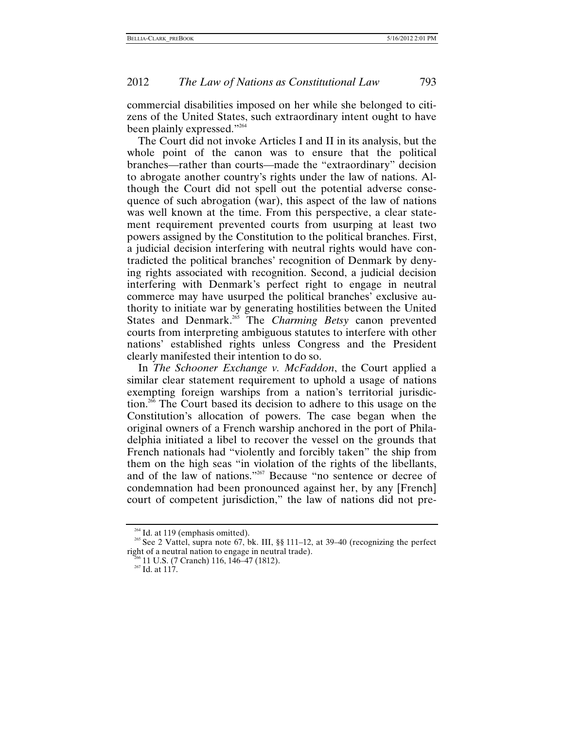commercial disabilities imposed on her while she belonged to citizens of the United States, such extraordinary intent ought to have been plainly expressed."<sup>[264](#page-65-0)</sup>

The Court did not invoke Articles I and II in its analysis, but the whole point of the canon was to ensure that the political branches—rather than courts—made the "extraordinary" decision to abrogate another country's rights under the law of nations. Although the Court did not spell out the potential adverse consequence of such abrogation (war), this aspect of the law of nations was well known at the time. From this perspective, a clear statement requirement prevented courts from usurping at least two powers assigned by the Constitution to the political branches. First, a judicial decision interfering with neutral rights would have contradicted the political branches' recognition of Denmark by denying rights associated with recognition. Second, a judicial decision interfering with Denmark's perfect right to engage in neutral commerce may have usurped the political branches' exclusive authority to initiate war by generating hostilities between the United States and Denmark[.265](#page-65-1) The *Charming Betsy* canon prevented courts from interpreting ambiguous statutes to interfere with other nations' established rights unless Congress and the President clearly manifested their intention to do so.

In *The Schooner Exchange v. McFaddon*, the Court applied a similar clear statement requirement to uphold a usage of nations exempting foreign warships from a nation's territorial jurisdiction.<sup>266</sup> The Court based its decision to adhere to this usage on the Constitution's allocation of powers. The case began when the original owners of a French warship anchored in the port of Philadelphia initiated a libel to recover the vessel on the grounds that French nationals had "violently and forcibly taken" the ship from them on the high seas "in violation of the rights of the libellants, and of the law of nations."<sup>267</sup> Because "no sentence or decree of condemnation had been pronounced against her, by any [French] court of competent jurisdiction," the law of nations did not pre-

<span id="page-65-1"></span>

<span id="page-65-0"></span><sup>&</sup>lt;sup>264</sup> Id. at 119 (emphasis omitted).<br><sup>265</sup> See 2 Vattel, supra note 67, bk. III, §§ 111–12, at 39–40 (recognizing the perfect right of a neutral nation to engage in neutral trade).<br><sup>266</sup> 11 U.S. (7 Cranch) 116, 146–47 (1812).<br><sup>267</sup> Id. at 117.

<span id="page-65-2"></span>

<span id="page-65-3"></span>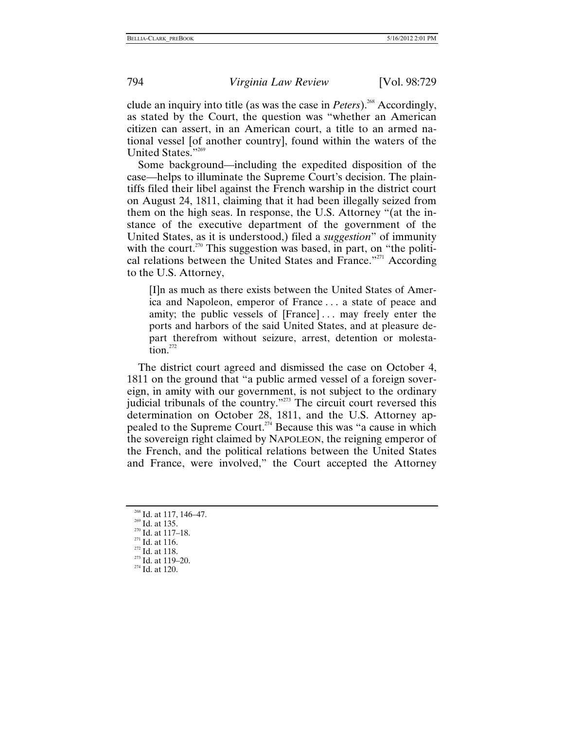clude an inquiry into title (as was the case in *Peters*).<sup>268</sup> Accordingly, as stated by the Court, the question was "whether an American citizen can assert, in an American court, a title to an armed national vessel [of another country], found within the waters of the United States."<sup>[269](#page-66-1)</sup>

Some background—including the expedited disposition of the case—helps to illuminate the Supreme Court's decision. The plaintiffs filed their libel against the French warship in the district court on August 24, 1811, claiming that it had been illegally seized from them on the high seas. In response, the U.S. Attorney "(at the instance of the executive department of the government of the United States, as it is understood,) filed a *suggestion*" of immunity with the court.<sup>270</sup> This suggestion was based, in part, on "the political relations between the United States and France."<sup>271</sup> According to the U.S. Attorney,

[I]n as much as there exists between the United States of America and Napoleon, emperor of France . . . a state of peace and amity; the public vessels of [France]... may freely enter the ports and harbors of the said United States, and at pleasure depart therefrom without seizure, arrest, detention or molesta- $\arctan^{272}$ 

The district court agreed and dismissed the case on October 4, 1811 on the ground that "a public armed vessel of a foreign sovereign, in amity with our government, is not subject to the ordinary judicial tribunals of the country."<sup>273</sup> The circuit court reversed this determination on October 28, 1811, and the U.S. Attorney appealed to the Supreme Court.<sup>274</sup> Because this was "a cause in which the sovereign right claimed by NAPOLEON, the reigning emperor of the French, and the political relations between the United States and France, were involved," the Court accepted the Attorney

<span id="page-66-0"></span><sup>&</sup>lt;sup>268</sup> Id. at 117, 146–47.<br><sup>269</sup> Id. at 135.<br><sup>270</sup> Id. at 117–18.<br><sup>271</sup> Id. at 116.<br><sup>272</sup> Id. at 118. <sup>273</sup> Id. at 119–20.<br><sup>274</sup> Id. at 120.

<span id="page-66-1"></span>

<span id="page-66-2"></span>

<span id="page-66-3"></span>

<span id="page-66-4"></span>

<span id="page-66-5"></span>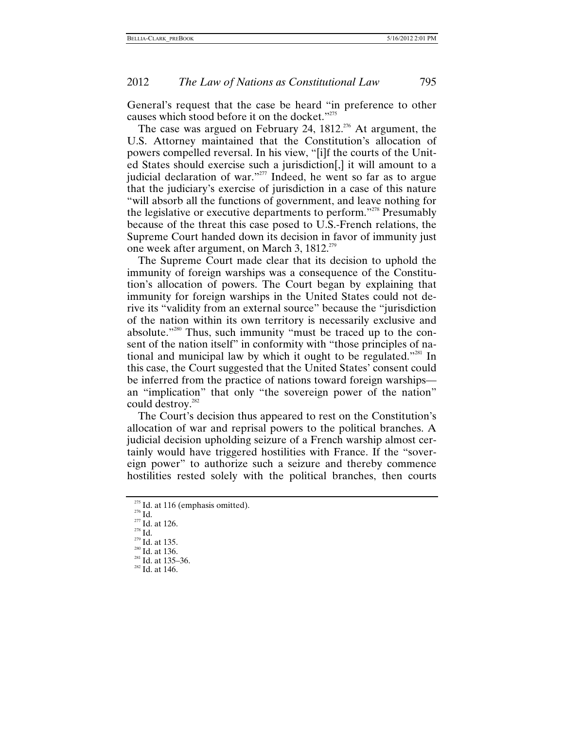General's request that the case be heard "in preference to other causes which stood before it on the docket."<sup>[275](#page-67-0)</sup>

The case was argued on February 24,  $1812^{276}$  At argument, the U.S. Attorney maintained that the Constitution's allocation of powers compelled reversal. In his view, "[i]f the courts of the United States should exercise such a jurisdiction[,] it will amount to a judicial declaration of war."<sup>277</sup> Indeed, he went so far as to argue that the judiciary's exercise of jurisdiction in a case of this nature "will absorb all the functions of government, and leave nothing for the legislative or executive departments to perform."[278](#page-67-3) Presumably because of the threat this case posed to U.S.-French relations, the Supreme Court handed down its decision in favor of immunity just one week after argument, on March 3,  $1812.^{279}$ 

The Supreme Court made clear that its decision to uphold the immunity of foreign warships was a consequence of the Constitution's allocation of powers. The Court began by explaining that immunity for foreign warships in the United States could not derive its "validity from an external source" because the "jurisdiction of the nation within its own territory is necessarily exclusive and absolute."[280](#page-67-5) Thus, such immunity "must be traced up to the consent of the nation itself" in conformity with "those principles of national and municipal law by which it ought to be regulated."[281](#page-67-6) In this case, the Court suggested that the United States' consent could be inferred from the practice of nations toward foreign warships an "implication" that only "the sovereign power of the nation" could destroy.<sup>282</sup>

The Court's decision thus appeared to rest on the Constitution's allocation of war and reprisal powers to the political branches. A judicial decision upholding seizure of a French warship almost certainly would have triggered hostilities with France. If the "sovereign power" to authorize such a seizure and thereby commence hostilities rested solely with the political branches, then courts

<span id="page-67-0"></span><sup>&</sup>lt;sup>275</sup> Id. at 116 (emphasis omitted).<br><sup>276</sup> Id.<br><sup>277</sup> Id. at 126.<br><sup>278</sup> Id. at 135.<br><sup>280</sup> Id. at 136.<br><sup>281</sup> Id. at 135–36.<br><sup>281</sup> Id. at 146.

<span id="page-67-1"></span>

<span id="page-67-2"></span>

<span id="page-67-3"></span>

<span id="page-67-4"></span>

<span id="page-67-5"></span>

<span id="page-67-7"></span><span id="page-67-6"></span>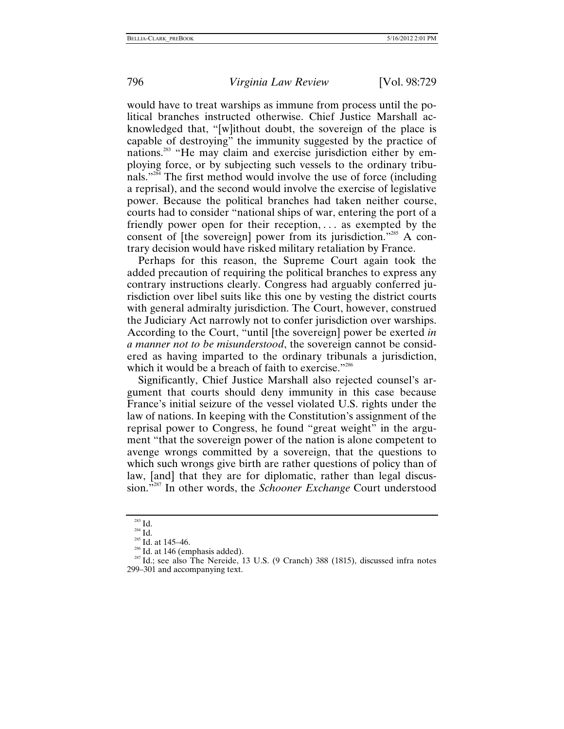would have to treat warships as immune from process until the political branches instructed otherwise. Chief Justice Marshall acknowledged that, "[w]ithout doubt, the sovereign of the place is capable of destroying" the immunity suggested by the practice of nations.<sup>283</sup> "He may claim and exercise jurisdiction either by employing force, or by subjecting such vessels to the ordinary tribunals.["284](#page-68-1) The first method would involve the use of force (including a reprisal), and the second would involve the exercise of legislative power. Because the political branches had taken neither course, courts had to consider "national ships of war, entering the port of a friendly power open for their reception, ... as exempted by the consent of [the sovereign] power from its jurisdiction."[285](#page-68-2) A contrary decision would have risked military retaliation by France.

Perhaps for this reason, the Supreme Court again took the added precaution of requiring the political branches to express any contrary instructions clearly. Congress had arguably conferred jurisdiction over libel suits like this one by vesting the district courts with general admiralty jurisdiction. The Court, however, construed the Judiciary Act narrowly not to confer jurisdiction over warships. According to the Court, "until [the sovereign] power be exerted *in a manner not to be misunderstood*, the sovereign cannot be considered as having imparted to the ordinary tribunals a jurisdiction, which it would be a breach of faith to exercise."<sup>286</sup>

Significantly, Chief Justice Marshall also rejected counsel's argument that courts should deny immunity in this case because France's initial seizure of the vessel violated U.S. rights under the law of nations. In keeping with the Constitution's assignment of the reprisal power to Congress, he found "great weight" in the argument "that the sovereign power of the nation is alone competent to avenge wrongs committed by a sovereign, that the questions to which such wrongs give birth are rather questions of policy than of law, [and] that they are for diplomatic, rather than legal discussion.["287](#page-68-4) In other words, the *Schooner Exchange* Court understood

<span id="page-68-1"></span>

<span id="page-68-2"></span>

<span id="page-68-4"></span><span id="page-68-3"></span>

<span id="page-68-0"></span><sup>&</sup>lt;sup>283</sup> Id.<br><sup>284</sup> Id. 285 Id. at 145–46.<br><sup>286</sup> Id. at 146 (emphasis added). <sup>287</sup> Id.; see also The Nereide, 13 U.S. (9 Cranch) 388 (1815), discussed infra notes 299–301 and accompanying text.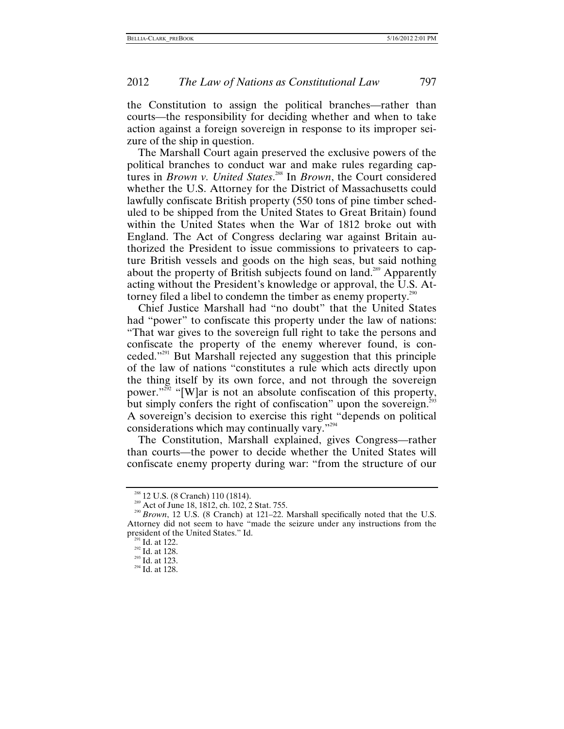the Constitution to assign the political branches—rather than courts—the responsibility for deciding whether and when to take action against a foreign sovereign in response to its improper seizure of the ship in question.

The Marshall Court again preserved the exclusive powers of the political branches to conduct war and make rules regarding captures in *Brown v. United States*. [288](#page-69-0) In *Brown*, the Court considered whether the U.S. Attorney for the District of Massachusetts could lawfully confiscate British property (550 tons of pine timber scheduled to be shipped from the United States to Great Britain) found within the United States when the War of 1812 broke out with England. The Act of Congress declaring war against Britain authorized the President to issue commissions to privateers to capture British vessels and goods on the high seas, but said nothing about the property of British subjects found on land.<sup>289</sup> Apparently acting without the President's knowledge or approval, the U.S. At-torney filed a libel to condemn the timber as enemy property.<sup>[290](#page-69-2)</sup>

Chief Justice Marshall had "no doubt" that the United States had "power" to confiscate this property under the law of nations: "That war gives to the sovereign full right to take the persons and confiscate the property of the enemy wherever found, is conceded.["291](#page-69-3) But Marshall rejected any suggestion that this principle of the law of nations "constitutes a rule which acts directly upon the thing itself by its own force, and not through the sovereign power."<sup>292</sup> "[W]ar is not an absolute confiscation of this property, but simply confers the right of confiscation" upon the sovereign.<sup>[293](#page-69-5)</sup> A sovereign's decision to exercise this right "depends on political considerations which may continually vary.["294](#page-69-6)

The Constitution, Marshall explained, gives Congress—rather than courts—the power to decide whether the United States will confiscate enemy property during war: "from the structure of our

<span id="page-69-2"></span><span id="page-69-1"></span>

<span id="page-69-0"></span><sup>&</sup>lt;sup>288</sup> 12 U.S. (8 Cranch) 110 (1814).<br><sup>289</sup> Act of June 18, 1812, ch. 102, 2 Stat. 755.<br><sup>290</sup> *Brown*, 12 U.S. (8 Cranch) at 121–22. Marshall specifically noted that the U.S. Attorney did not seem to have "made the seizure under any instructions from the president of the United States." Id.<br><sup>291</sup> Id. at 122.<br><sup>292</sup> Id. at 128.<br><sup>293</sup> Id. at 123.<br><sup>294</sup> Id. at 128.

<span id="page-69-3"></span>

<span id="page-69-4"></span>

<span id="page-69-5"></span>

<span id="page-69-6"></span>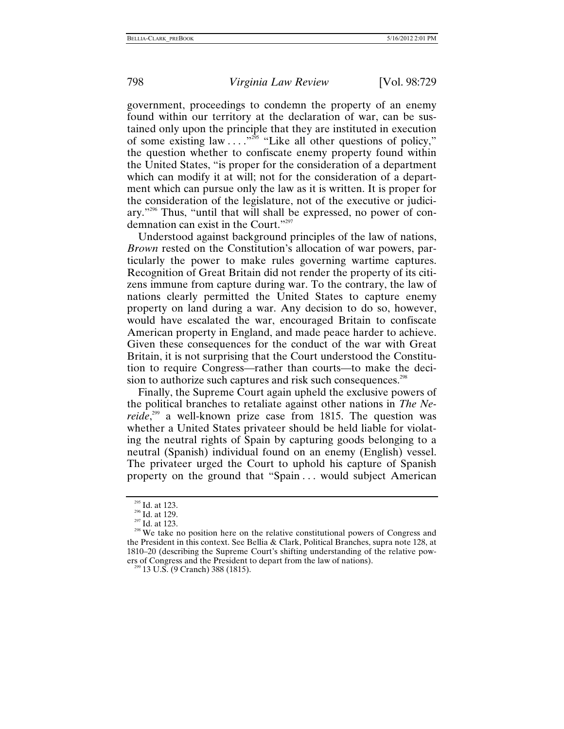government, proceedings to condemn the property of an enemy found within our territory at the declaration of war, can be sustained only upon the principle that they are instituted in execution of some existing law  $\ldots$ ."<sup>295</sup> "Like all other questions of policy," the question whether to confiscate enemy property found within the United States, "is proper for the consideration of a department which can modify it at will; not for the consideration of a department which can pursue only the law as it is written. It is proper for the consideration of the legislature, not of the executive or judiciary."[296](#page-70-1) Thus, "until that will shall be expressed, no power of condemnation can exist in the Court.["297](#page-70-2)

Understood against background principles of the law of nations, *Brown* rested on the Constitution's allocation of war powers, particularly the power to make rules governing wartime captures. Recognition of Great Britain did not render the property of its citizens immune from capture during war. To the contrary, the law of nations clearly permitted the United States to capture enemy property on land during a war. Any decision to do so, however, would have escalated the war, encouraged Britain to confiscate American property in England, and made peace harder to achieve. Given these consequences for the conduct of the war with Great Britain, it is not surprising that the Court understood the Constitution to require Congress—rather than courts—to make the decision to authorize such captures and risk such consequences.<sup>298</sup>

Finally, the Supreme Court again upheld the exclusive powers of the political branches to retaliate against other nations in *The Nereide*<sup>299</sup> a well-known prize case from 1815. The question was whether a United States privateer should be held liable for violating the neutral rights of Spain by capturing goods belonging to a neutral (Spanish) individual found on an enemy (English) vessel. The privateer urged the Court to uphold his capture of Spanish property on the ground that "Spain . . . would subject American

<span id="page-70-1"></span>

<span id="page-70-3"></span><span id="page-70-2"></span>

<span id="page-70-0"></span><sup>&</sup>lt;sup>295</sup> Id. at 123.<br><sup>296</sup> Id. at 129.<br><sup>297</sup> Id. at 123.<br><sup>298</sup> We take no position here on the relative constitutional powers of Congress and the President in this context. See Bellia & Clark, Political Branches, supra note 128, at 1810–20 (describing the Supreme Court's shifting understanding of the relative powers of Congress and the President to depart from the law of nations). <sup>299</sup> 13 U.S. (9 Cranch) 388 (1815).

<span id="page-70-4"></span>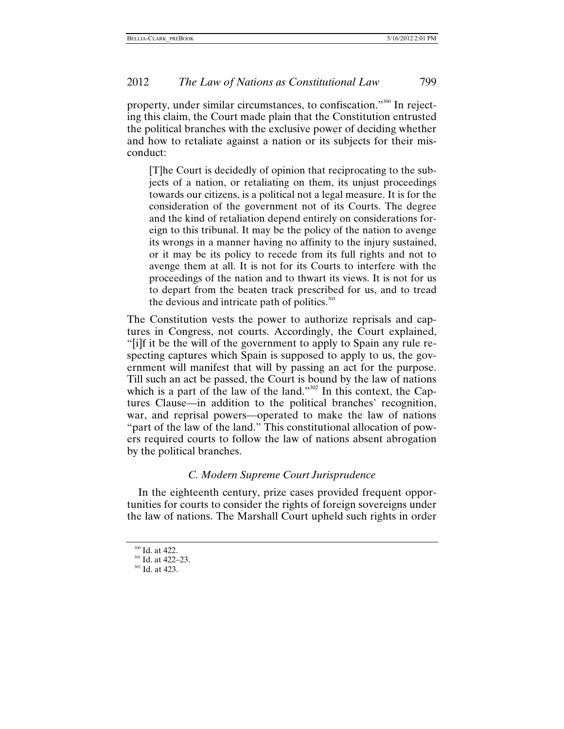property, under similar circumstances, to confiscation."<sup>300</sup> In rejecting this claim, the Court made plain that the Constitution entrusted the political branches with the exclusive power of deciding whether and how to retaliate against a nation or its subjects for their misconduct:

[T]he Court is decidedly of opinion that reciprocating to the subjects of a nation, or retaliating on them, its unjust proceedings towards our citizens, is a political not a legal measure. It is for the consideration of the government not of its Courts. The degree and the kind of retaliation depend entirely on considerations foreign to this tribunal. It may be the policy of the nation to avenge its wrongs in a manner having no affinity to the injury sustained, or it may be its policy to recede from its full rights and not to avenge them at all. It is not for its Courts to interfere with the proceedings of the nation and to thwart its views. It is not for us to depart from the beaten track prescribed for us, and to tread the devious and intricate path of politics. $301$ 

The Constitution vests the power to authorize reprisals and captures in Congress, not courts. Accordingly, the Court explained, "[i]f it be the will of the government to apply to Spain any rule respecting captures which Spain is supposed to apply to us, the government will manifest that will by passing an act for the purpose. Till such an act be passed, the Court is bound by the law of nations which is a part of the law of the land." $302$  In this context, the Captures Clause—in addition to the political branches' recognition, war, and reprisal powers—operated to make the law of nations "part of the law of the land." This constitutional allocation of powers required courts to follow the law of nations absent abrogation by the political branches.

#### *C. Modern Supreme Court Jurisprudence*

In the eighteenth century, prize cases provided frequent opportunities for courts to consider the rights of foreign sovereigns under the law of nations. The Marshall Court upheld such rights in order

<span id="page-71-0"></span> $\frac{300}{301}$  Id. at 422–23.<br> $\frac{302}{302}$  Id. at 423.

<span id="page-71-1"></span>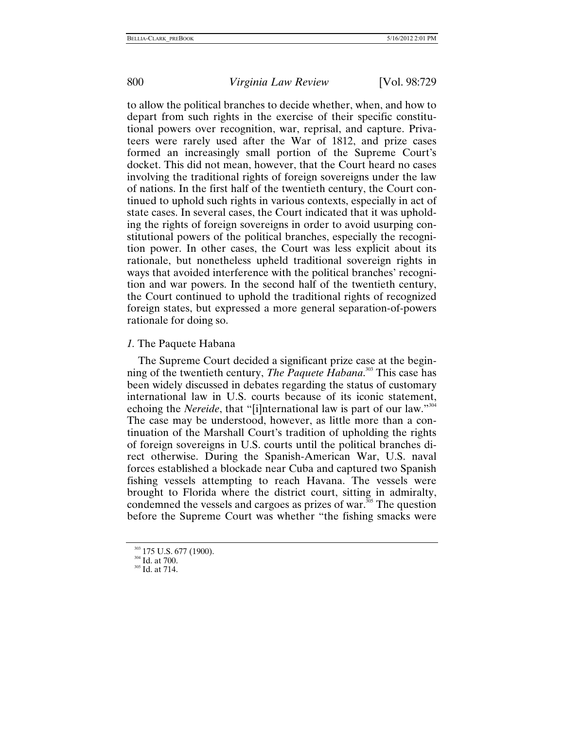to allow the political branches to decide whether, when, and how to depart from such rights in the exercise of their specific constitutional powers over recognition, war, reprisal, and capture. Privateers were rarely used after the War of 1812, and prize cases formed an increasingly small portion of the Supreme Court's docket. This did not mean, however, that the Court heard no cases involving the traditional rights of foreign sovereigns under the law of nations. In the first half of the twentieth century, the Court continued to uphold such rights in various contexts, especially in act of state cases. In several cases, the Court indicated that it was upholding the rights of foreign sovereigns in order to avoid usurping constitutional powers of the political branches, especially the recognition power. In other cases, the Court was less explicit about its rationale, but nonetheless upheld traditional sovereign rights in ways that avoided interference with the political branches' recognition and war powers. In the second half of the twentieth century, the Court continued to uphold the traditional rights of recognized foreign states, but expressed a more general separation-of-powers rationale for doing so.

### *1.* The Paquete Habana

The Supreme Court decided a significant prize case at the beginning of the twentieth century, *The Paquete Habana*. [303](#page-72-0) This case has been widely discussed in debates regarding the status of customary international law in U.S. courts because of its iconic statement, echoing the *Nereide*, that "[i]nternational law is part of our law."<sup>[304](#page-72-1)</sup> The case may be understood, however, as little more than a continuation of the Marshall Court's tradition of upholding the rights of foreign sovereigns in U.S. courts until the political branches direct otherwise. During the Spanish-American War, U.S. naval forces established a blockade near Cuba and captured two Spanish fishing vessels attempting to reach Havana. The vessels were brought to Florida where the district court, sitting in admiralty, condemned the vessels and cargoes as prizes of war.<sup>305</sup> The question before the Supreme Court was whether "the fishing smacks were

<span id="page-72-0"></span> $\frac{303}{304}$  175 U.S. 677 (1900).<br> $\frac{304}{305}$  Id. at 714.

<span id="page-72-1"></span>

<span id="page-72-2"></span>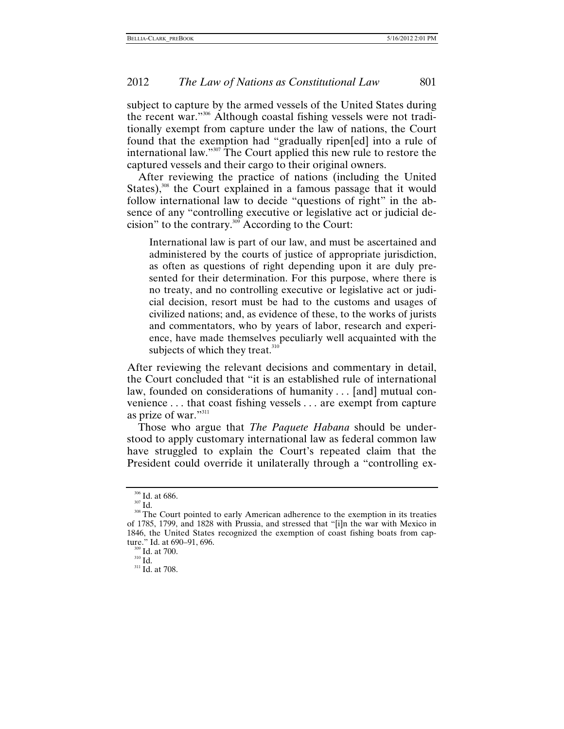subject to capture by the armed vessels of the United States during the recent war."[306](#page-73-0) Although coastal fishing vessels were not traditionally exempt from capture under the law of nations, the Court found that the exemption had "gradually ripen[ed] into a rule of international law."<sup>307</sup> The Court applied this new rule to restore the captured vessels and their cargo to their original owners.

After reviewing the practice of nations (including the United States), $308$  the Court explained in a famous passage that it would follow international law to decide "questions of right" in the absence of any "controlling executive or legislative act or judicial decision" to the contrary. $309$  According to the Court:

International law is part of our law, and must be ascertained and administered by the courts of justice of appropriate jurisdiction, as often as questions of right depending upon it are duly presented for their determination. For this purpose, where there is no treaty, and no controlling executive or legislative act or judicial decision, resort must be had to the customs and usages of civilized nations; and, as evidence of these, to the works of jurists and commentators, who by years of labor, research and experience, have made themselves peculiarly well acquainted with the subjects of which they treat.<sup>310</sup>

After reviewing the relevant decisions and commentary in detail, the Court concluded that "it is an established rule of international law, founded on considerations of humanity . . . [and] mutual convenience . . . that coast fishing vessels . . . are exempt from capture as prize of war."<sup>311</sup>

Those who argue that *The Paquete Habana* should be understood to apply customary international law as federal common law have struggled to explain the Court's repeated claim that the President could override it unilaterally through a "controlling ex-

<span id="page-73-2"></span><span id="page-73-1"></span>

<span id="page-73-0"></span><sup>&</sup>lt;sup>306</sup> Id. at 686.<br><sup>307</sup> Id.<br><sup>308</sup> The Court pointed to early American adherence to the exemption in its treaties of 1785, 1799, and 1828 with Prussia, and stressed that "[i]n the war with Mexico in 1846, the United States recognized the exemption of coast fishing boats from capture." Id. at 690–91, 696.<br><sup>309</sup> Id. at 700.<br><sup>310</sup> Id. <sup>311</sup> Id. at 708.

<span id="page-73-3"></span>

<span id="page-73-4"></span>

<span id="page-73-5"></span>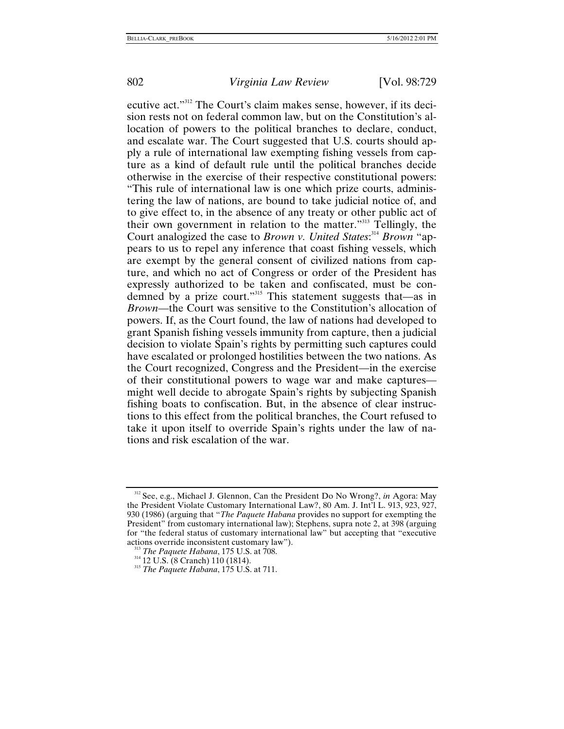ecutive act."[312](#page-74-0) The Court's claim makes sense, however, if its decision rests not on federal common law, but on the Constitution's allocation of powers to the political branches to declare, conduct, and escalate war. The Court suggested that U.S. courts should apply a rule of international law exempting fishing vessels from capture as a kind of default rule until the political branches decide otherwise in the exercise of their respective constitutional powers: "This rule of international law is one which prize courts, administering the law of nations, are bound to take judicial notice of, and to give effect to, in the absence of any treaty or other public act of their own government in relation to the matter.["313](#page-74-1) Tellingly, the Court analogized the case to *Brown v. United States*: [314](#page-74-2) *Brown* "appears to us to repel any inference that coast fishing vessels, which are exempt by the general consent of civilized nations from capture, and which no act of Congress or order of the President has expressly authorized to be taken and confiscated, must be condemned by a prize court."[315](#page-74-3) This statement suggests that—as in *Brown*—the Court was sensitive to the Constitution's allocation of powers. If, as the Court found, the law of nations had developed to grant Spanish fishing vessels immunity from capture, then a judicial decision to violate Spain's rights by permitting such captures could have escalated or prolonged hostilities between the two nations. As the Court recognized, Congress and the President—in the exercise of their constitutional powers to wage war and make captures might well decide to abrogate Spain's rights by subjecting Spanish fishing boats to confiscation. But, in the absence of clear instructions to this effect from the political branches, the Court refused to take it upon itself to override Spain's rights under the law of nations and risk escalation of the war.

<span id="page-74-0"></span><sup>312</sup> See, e.g., Michael J. Glennon, Can the President Do No Wrong?, *in* Agora: May the President Violate Customary International Law?, 80 Am. J. Int'l L. 913, 923, 927, 930 (1986) (arguing that "*The Paquete Habana* provides no support for exempting the President" from customary international law); Stephens, supra note 2, at 398 (arguing for "the federal status of customary international law" but accepting that "executive actions override inconsistent customary law").

<span id="page-74-1"></span><sup>&</sup>lt;sup>313</sup> *The Paquete Habana*, 175 U.S. at 708.<br><sup>314</sup> 12 U.S. (8 Cranch) 110 (1814).<br><sup>315</sup> *The Paquete Habana*, 175 U.S. at 711.

<span id="page-74-2"></span>

<span id="page-74-3"></span>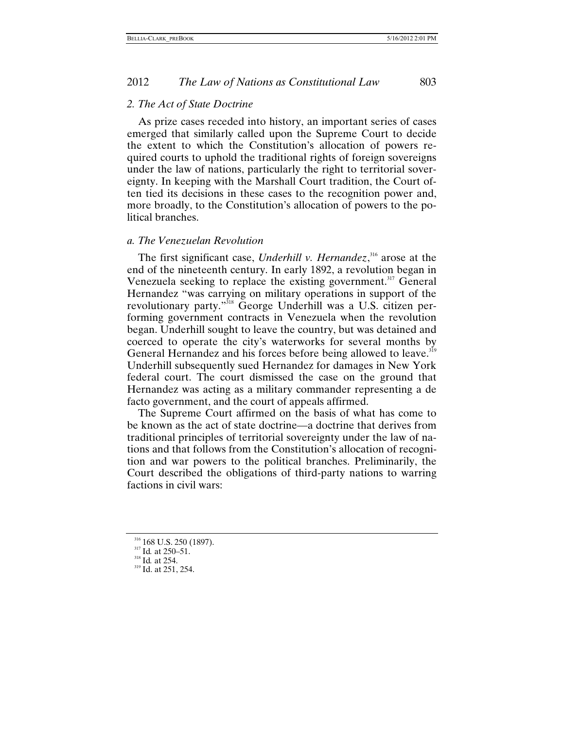#### *2. The Act of State Doctrine*

As prize cases receded into history, an important series of cases emerged that similarly called upon the Supreme Court to decide the extent to which the Constitution's allocation of powers required courts to uphold the traditional rights of foreign sovereigns under the law of nations, particularly the right to territorial sovereignty. In keeping with the Marshall Court tradition, the Court often tied its decisions in these cases to the recognition power and, more broadly, to the Constitution's allocation of powers to the political branches.

## *a. The Venezuelan Revolution*

The first significant case, *Underhill v. Hernandez*, [316](#page-75-0) arose at the end of the nineteenth century. In early 1892, a revolution began in Venezuela seeking to replace the existing government.<sup>317</sup> General Hernandez "was carrying on military operations in support of the revolutionary party."[318](#page-75-2) George Underhill was a U.S. citizen performing government contracts in Venezuela when the revolution began. Underhill sought to leave the country, but was detained and coerced to operate the city's waterworks for several months by General Hernandez and his forces before being allowed to leave.<sup>[319](#page-75-3)</sup> Underhill subsequently sued Hernandez for damages in New York federal court. The court dismissed the case on the ground that Hernandez was acting as a military commander representing a de facto government, and the court of appeals affirmed.

The Supreme Court affirmed on the basis of what has come to be known as the act of state doctrine—a doctrine that derives from traditional principles of territorial sovereignty under the law of nations and that follows from the Constitution's allocation of recognition and war powers to the political branches. Preliminarily, the Court described the obligations of third-party nations to warring factions in civil wars:

<span id="page-75-0"></span><sup>&</sup>lt;sup>316</sup> 168 U.S. 250 (1897).<br><sup>317</sup> Id. at 250–51.<br><sup>318</sup> Id. at 254.<br><sup>319</sup> Id. at 251, 254.

<span id="page-75-1"></span>

<span id="page-75-2"></span>

<span id="page-75-3"></span>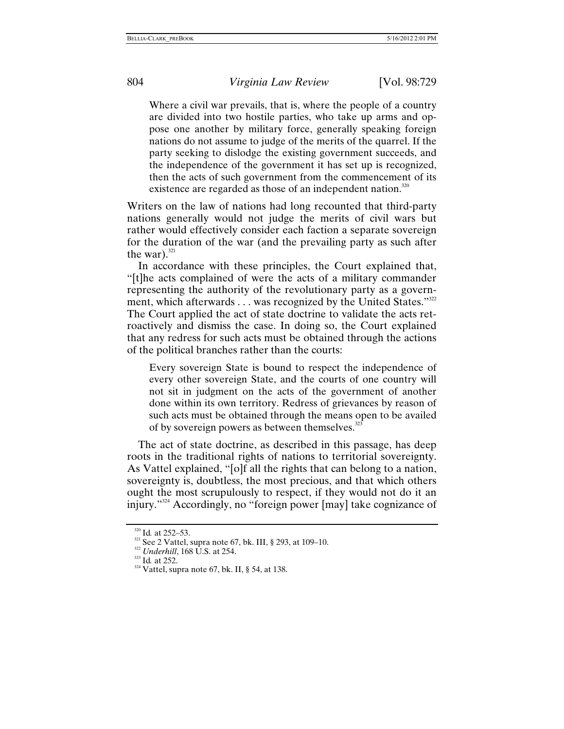Where a civil war prevails, that is, where the people of a country are divided into two hostile parties, who take up arms and oppose one another by military force, generally speaking foreign nations do not assume to judge of the merits of the quarrel. If the party seeking to dislodge the existing government succeeds, and the independence of the government it has set up is recognized, then the acts of such government from the commencement of its existence are regarded as those of an independent nation.<sup>320</sup>

Writers on the law of nations had long recounted that third-party nations generally would not judge the merits of civil wars but rather would effectively consider each faction a separate sovereign for the duration of the war (and the prevailing party as such after the war). $321$ 

In accordance with these principles, the Court explained that, "[t]he acts complained of were the acts of a military commander representing the authority of the revolutionary party as a govern-ment, which afterwards . . . was recognized by the United States."<sup>[322](#page-76-2)</sup> The Court applied the act of state doctrine to validate the acts retroactively and dismiss the case. In doing so, the Court explained that any redress for such acts must be obtained through the actions of the political branches rather than the courts:

Every sovereign State is bound to respect the independence of every other sovereign State, and the courts of one country will not sit in judgment on the acts of the government of another done within its own territory. Redress of grievances by reason of such acts must be obtained through the means open to be availed of by sovereign powers as between themselves. $323$ 

The act of state doctrine, as described in this passage, has deep roots in the traditional rights of nations to territorial sovereignty. As Vattel explained, "[o]f all the rights that can belong to a nation, sovereignty is, doubtless, the most precious, and that which others ought the most scrupulously to respect, if they would not do it an injury.["324](#page-76-3) Accordingly, no "foreign power [may] take cognizance of

<span id="page-76-1"></span>

<span id="page-76-0"></span><sup>&</sup>lt;sup>320</sup> Id. at 252–53.<br><sup>321</sup> See 2 Vattel, supra note 67, bk. III, § 293, at 109–10.<br><sup>322</sup> *Underhill*, 168 U.S. at 254.<br><sup>323</sup> Id. at 252.<br><sup>324</sup> Vattel, supra note 67, bk. II, § 54, at 138.

<span id="page-76-2"></span>

<span id="page-76-3"></span>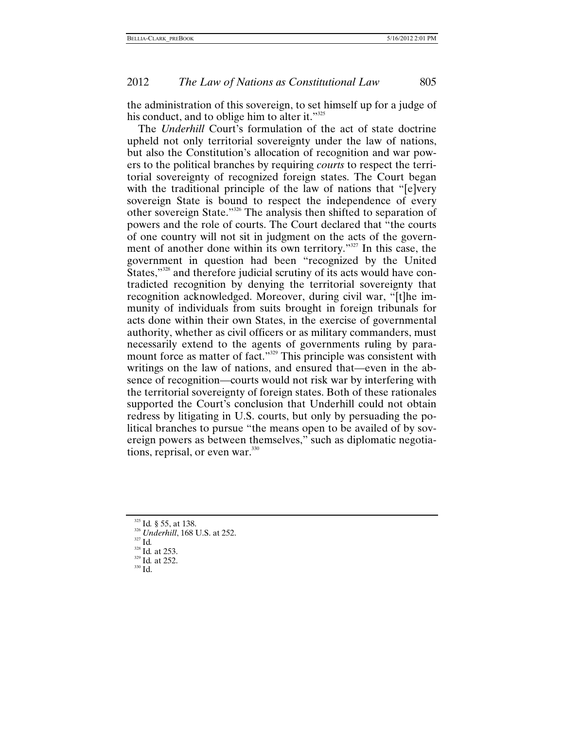the administration of this sovereign, to set himself up for a judge of his conduct, and to oblige him to alter it."<sup>325</sup>

The *Underhill* Court's formulation of the act of state doctrine upheld not only territorial sovereignty under the law of nations, but also the Constitution's allocation of recognition and war powers to the political branches by requiring *courts* to respect the territorial sovereignty of recognized foreign states. The Court began with the traditional principle of the law of nations that "[e]very sovereign State is bound to respect the independence of every other sovereign State."[326](#page-77-1) The analysis then shifted to separation of powers and the role of courts. The Court declared that "the courts of one country will not sit in judgment on the acts of the government of another done within its own territory."<sup>327</sup> In this case, the government in question had been "recognized by the United States,"<sup>328</sup> and therefore judicial scrutiny of its acts would have contradicted recognition by denying the territorial sovereignty that recognition acknowledged. Moreover, during civil war, "[t]he immunity of individuals from suits brought in foreign tribunals for acts done within their own States, in the exercise of governmental authority, whether as civil officers or as military commanders, must necessarily extend to the agents of governments ruling by paramount force as matter of fact."<sup>329</sup> This principle was consistent with writings on the law of nations, and ensured that—even in the absence of recognition—courts would not risk war by interfering with the territorial sovereignty of foreign states. Both of these rationales supported the Court's conclusion that Underhill could not obtain redress by litigating in U.S. courts, but only by persuading the political branches to pursue "the means open to be availed of by sovereign powers as between themselves," such as diplomatic negotiations, reprisal, or even war. $330$ 

- <span id="page-77-1"></span>
- <span id="page-77-0"></span><sup>325</sup> Id. § 55, at 138.<br><sup>326</sup> *Underhill*, 168 U.S. at 252.<br><sup>327</sup> Id.<br><sup>328</sup> Id. at 253.<br><sup>329</sup> Id. at 252.<br><sup>330</sup> Id.
- <span id="page-77-2"></span>
- <span id="page-77-3"></span>
- <span id="page-77-4"></span>
- <span id="page-77-5"></span>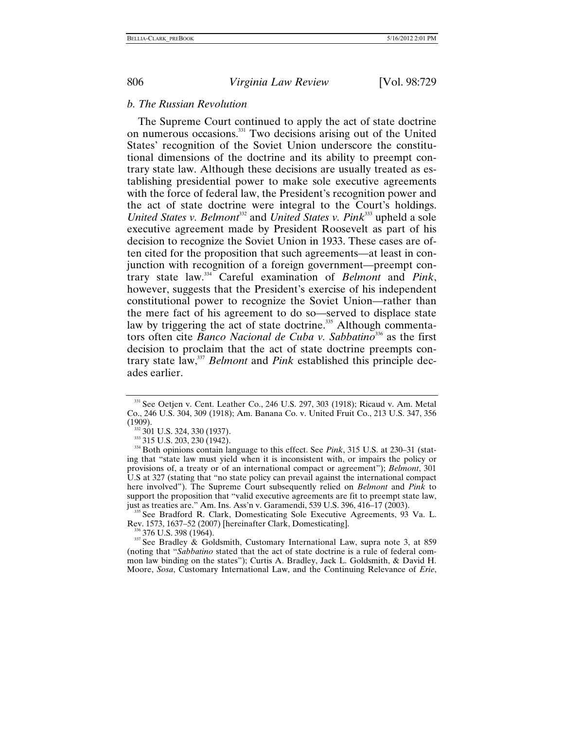#### *b. The Russian Revolution*

The Supreme Court continued to apply the act of state doctrine on numerous occasions.[331](#page-78-0) Two decisions arising out of the United States' recognition of the Soviet Union underscore the constitutional dimensions of the doctrine and its ability to preempt contrary state law. Although these decisions are usually treated as establishing presidential power to make sole executive agreements with the force of federal law, the President's recognition power and the act of state doctrine were integral to the Court's holdings. *United States v. Belmont*<sup>332</sup> and *United States v. Pink*<sup>[333](#page-78-2)</sup> upheld a sole executive agreement made by President Roosevelt as part of his decision to recognize the Soviet Union in 1933. These cases are often cited for the proposition that such agreements—at least in conjunction with recognition of a foreign government—preempt contrary state law.[334](#page-78-3) Careful examination of *Belmont* and *Pink*, however, suggests that the President's exercise of his independent constitutional power to recognize the Soviet Union—rather than the mere fact of his agreement to do so—served to displace state law by triggering the act of state doctrine.<sup>335</sup> Although commentators often cite *Banco Nacional de Cuba v. Sabbatino*[336](#page-78-5) as the first decision to proclaim that the act of state doctrine preempts contrary state law[,337](#page-78-6) *Belmont* and *Pink* established this principle decades earlier.

<span id="page-78-4"></span>just as treaties are." Am. Ins. Ass'n v. Garamendi, 539 U.S. 396, 416–17 (2003).<br><sup>335</sup> See Bradford R. Clark, Domesticating Sole Executive Agreements, 93 Va. L.<br>Rev. 1573, 1637–52 (2007) [hereinafter Clark, Domesticating].

<span id="page-78-6"></span><span id="page-78-5"></span> $\frac{336}{377}$  See Bradlev & Goldsmith, Customary International Law, supra note 3, at 859 (noting that "*Sabbatino* stated that the act of state doctrine is a rule of federal common law binding on the states"); Curtis A. Bradley, Jack L. Goldsmith, & David H. Moore, *Sosa*, Customary International Law, and the Continuing Relevance of *Erie*,

<span id="page-78-0"></span><sup>331</sup> See Oetjen v. Cent. Leather Co., 246 U.S. 297, 303 (1918); Ricaud v. Am. Metal Co., 246 U.S. 304, 309 (1918); Am. Banana Co. v. United Fruit Co., 213 U.S. 347, 356 (1909).<br><sup>332</sup> 301 U.S. 324, 330 (1937).<br><sup>333</sup> 315 U.S. 203, 230 (1942).<br><sup>334</sup> Both opinions contain language to this effect. See *Pink*, 315 U.S. at 230–31 (stat-

<span id="page-78-1"></span>

<span id="page-78-2"></span>

<span id="page-78-3"></span>ing that "state law must yield when it is inconsistent with, or impairs the policy or provisions of, a treaty or of an international compact or agreement"); *Belmont*, 301 U.S at 327 (stating that "no state policy can prevail against the international compact here involved"). The Supreme Court subsequently relied on *Belmont* and *Pink* to support the proposition that "valid executive agreements are fit to preempt state law,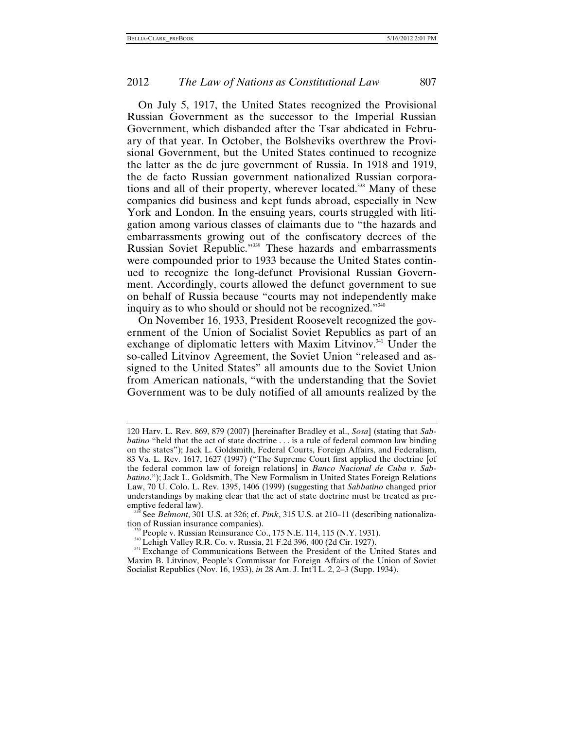On July 5, 1917, the United States recognized the Provisional Russian Government as the successor to the Imperial Russian Government, which disbanded after the Tsar abdicated in February of that year. In October, the Bolsheviks overthrew the Provisional Government, but the United States continued to recognize the latter as the de jure government of Russia. In 1918 and 1919, the de facto Russian government nationalized Russian corporations and all of their property, wherever located.<sup>338</sup> Many of these companies did business and kept funds abroad, especially in New York and London. In the ensuing years, courts struggled with litigation among various classes of claimants due to "the hazards and embarrassments growing out of the confiscatory decrees of the Russian Soviet Republic."[339](#page-79-1) These hazards and embarrassments were compounded prior to 1933 because the United States continued to recognize the long-defunct Provisional Russian Government. Accordingly, courts allowed the defunct government to sue on behalf of Russia because "courts may not independently make inquiry as to who should or should not be recognized."[340](#page-79-2)

On November 16, 1933, President Roosevelt recognized the government of the Union of Socialist Soviet Republics as part of an exchange of diplomatic letters with Maxim Litvinov.<sup>341</sup> Under the so-called Litvinov Agreement, the Soviet Union "released and assigned to the United States" all amounts due to the Soviet Union from American nationals, "with the understanding that the Soviet Government was to be duly notified of all amounts realized by the

<sup>120</sup> Harv. L. Rev. 869, 879 (2007) [hereinafter Bradley et al., *Sosa*] (stating that *Sabbatino* "held that the act of state doctrine . . . is a rule of federal common law binding on the states"); Jack L. Goldsmith, Federal Courts, Foreign Affairs, and Federalism, 83 Va. L. Rev. 1617, 1627 (1997) ("The Supreme Court first applied the doctrine [of the federal common law of foreign relations] in *Banco Nacional de Cuba v. Sabbatino*."); Jack L. Goldsmith, The New Formalism in United States Foreign Relations Law, 70 U. Colo. L. Rev. 1395, 1406 (1999) (suggesting that *Sabbatino* changed prior understandings by making clear that the act of state doctrine must be treated as pre-

<span id="page-79-0"></span>See *Belmont*, 301 U.S. at 326; cf. *Pink*, 315 U.S. at 210–11 (describing nationalization of Russian insurance companies).<br>  $^{339}$  People v. Russian Reinsurance Co., 175 N.E. 114, 115 (N.Y. 1931).<br>  $^{340}$  Lehigh Valley R.R. Co. v. Russia, 21 F.2d 396, 400 (2d Cir. 1927).<br>  $^{341}$  Exchange of Communicati

<span id="page-79-1"></span>

<span id="page-79-2"></span>

<span id="page-79-3"></span>Maxim B. Litvinov, People's Commissar for Foreign Affairs of the Union of Soviet Socialist Republics (Nov. 16, 1933), *in* 28 Am. J. Int'l L. 2, 2–3 (Supp. 1934).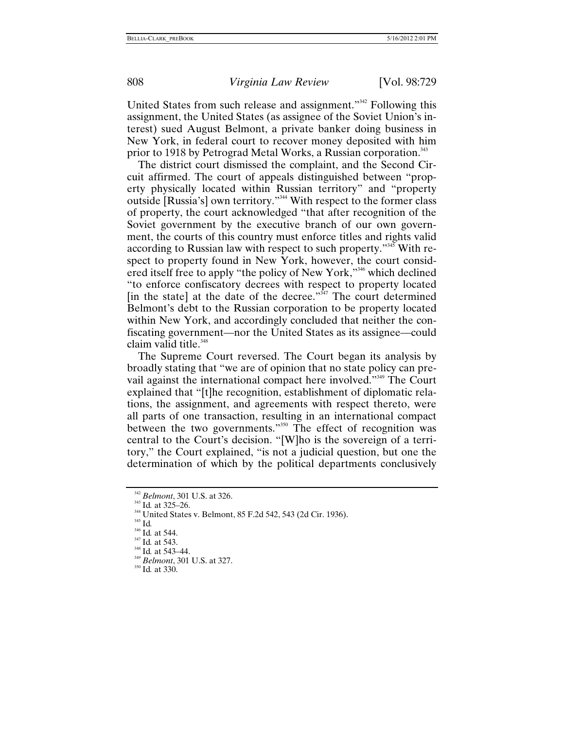United States from such release and assignment."[342](#page-80-0) Following this assignment, the United States (as assignee of the Soviet Union's interest) sued August Belmont, a private banker doing business in New York, in federal court to recover money deposited with him prior to 1918 by Petrograd Metal Works, a Russian corporation.<sup>[343](#page-80-1)</sup>

The district court dismissed the complaint, and the Second Circuit affirmed. The court of appeals distinguished between "property physically located within Russian territory" and "property outside [Russia's] own territory."[344](#page-80-2) With respect to the former class of property, the court acknowledged "that after recognition of the Soviet government by the executive branch of our own government, the courts of this country must enforce titles and rights valid according to Russian law with respect to such property."[345](#page-80-3) With respect to property found in New York, however, the court considered itself free to apply "the policy of New York,"[346](#page-80-4) which declined "to enforce confiscatory decrees with respect to property located [in the state] at the date of the decree." $347$  The court determined Belmont's debt to the Russian corporation to be property located within New York, and accordingly concluded that neither the confiscating government—nor the United States as its assignee—could claim valid title.<sup>[348](#page-80-6)</sup>

The Supreme Court reversed. The Court began its analysis by broadly stating that "we are of opinion that no state policy can prevail against the international compact here involved."<sup>349</sup> The Court explained that "[t]he recognition, establishment of diplomatic relations, the assignment, and agreements with respect thereto, were all parts of one transaction, resulting in an international compact between the two governments."<sup>350</sup> The effect of recognition was central to the Court's decision. "[W]ho is the sovereign of a territory," the Court explained, "is not a judicial question, but one the determination of which by the political departments conclusively

<span id="page-80-2"></span><span id="page-80-1"></span>

<span id="page-80-0"></span><sup>&</sup>lt;sup>342</sup> Belmont, 301 U.S. at 326.<br><sup>343</sup> Id. at 325–26.<br><sup>344</sup> United States v. Belmont, 85 F.2d 542, 543 (2d Cir. 1936).<br><sup>345</sup> Id. at 544.<br><sup>347</sup> Id. at 543.<br><sup>348</sup> Id. at 543-44.<br><sup>348</sup> Belmont, 301 U.S. at 327.<br><sup>350</sup> Id. at 33

<span id="page-80-4"></span><span id="page-80-3"></span>

<span id="page-80-5"></span>

<span id="page-80-6"></span>

<span id="page-80-8"></span><span id="page-80-7"></span>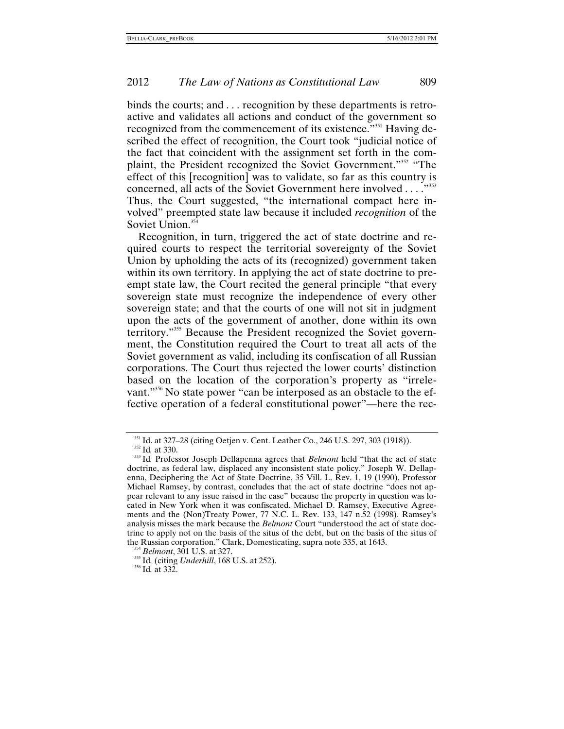binds the courts; and . . . recognition by these departments is retroactive and validates all actions and conduct of the government so recognized from the commencement of its existence."<sup>351</sup> Having described the effect of recognition, the Court took "judicial notice of the fact that coincident with the assignment set forth in the complaint, the President recognized the Soviet Government."[352](#page-81-1) "The effect of this [recognition] was to validate, so far as this country is concerned, all acts of the Soviet Government here involved . . . . "<sup>[353](#page-81-2)</sup> Thus, the Court suggested, "the international compact here involved" preempted state law because it included *recognition* of the Soviet Union.<sup>354</sup>

Recognition, in turn, triggered the act of state doctrine and required courts to respect the territorial sovereignty of the Soviet Union by upholding the acts of its (recognized) government taken within its own territory. In applying the act of state doctrine to preempt state law, the Court recited the general principle "that every sovereign state must recognize the independence of every other sovereign state; and that the courts of one will not sit in judgment upon the acts of the government of another, done within its own territory."[355](#page-81-4) Because the President recognized the Soviet government, the Constitution required the Court to treat all acts of the Soviet government as valid, including its confiscation of all Russian corporations. The Court thus rejected the lower courts' distinction based on the location of the corporation's property as "irrelevant."[356](#page-81-5) No state power "can be interposed as an obstacle to the effective operation of a federal constitutional power"—here the rec-

<span id="page-81-2"></span><span id="page-81-1"></span>

<span id="page-81-0"></span><sup>&</sup>lt;sup>351</sup> Id. at 327–28 (citing Oetjen v. Cent. Leather Co., 246 U.S. 297, 303 (1918)).<br><sup>352</sup> Id. at 330.<br><sup>353</sup> Id. Professor Joseph Dellapenna agrees that *Belmont* held "that the act of state doctrine, as federal law, displaced any inconsistent state policy." Joseph W. Dellapenna, Deciphering the Act of State Doctrine, 35 Vill. L. Rev. 1, 19 (1990). Professor Michael Ramsey, by contrast, concludes that the act of state doctrine "does not appear relevant to any issue raised in the case" because the property in question was located in New York when it was confiscated. Michael D. Ramsey, Executive Agreements and the (Non)Treaty Power, 77 N.C. L. Rev. 133, 147 n.52 (1998). Ramsey's analysis misses the mark because the *Belmont* Court "understood the act of state doctrine to apply not on the basis of the situs of the debt, but on the basis of the situs of the Russian corporation." Clark, Domesticating, supra note 335, at 1643.<br><sup>354</sup> *Belmont*, 301 U.S. at 327.<br><sup>355</sup> Id. (citing *Underhill*, 168 U.S. at 252).<br><sup>356</sup> Id. at 332.

<span id="page-81-3"></span>

<span id="page-81-5"></span><span id="page-81-4"></span>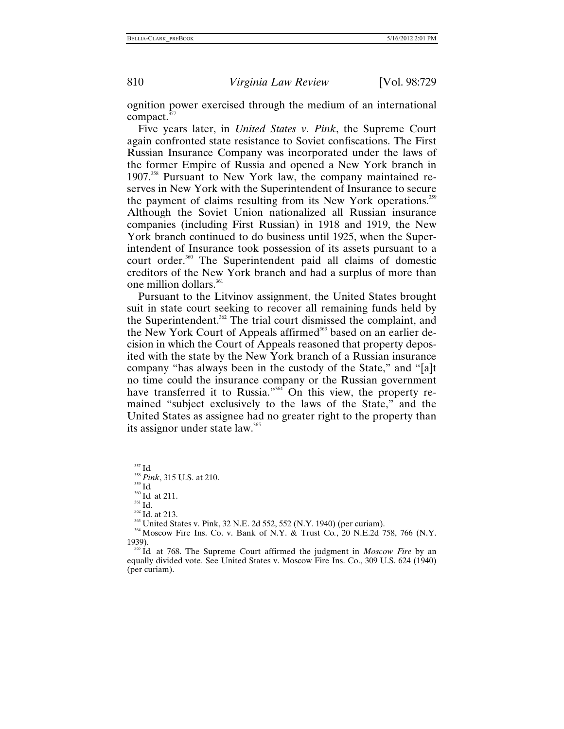ognition power exercised through the medium of an international compact. $3$ 

Five years later, in *United States v. Pink*, the Supreme Court again confronted state resistance to Soviet confiscations. The First Russian Insurance Company was incorporated under the laws of the former Empire of Russia and opened a New York branch in 1907.<sup>358</sup> Pursuant to New York law, the company maintained reserves in New York with the Superintendent of Insurance to secure the payment of claims resulting from its New York operations.<sup>[359](#page-82-2)</sup> Although the Soviet Union nationalized all Russian insurance companies (including First Russian) in 1918 and 1919, the New York branch continued to do business until 1925, when the Superintendent of Insurance took possession of its assets pursuant to a court order.<sup>360</sup> The Superintendent paid all claims of domestic creditors of the New York branch and had a surplus of more than one million dollars.<sup>361</sup>

Pursuant to the Litvinov assignment, the United States brought suit in state court seeking to recover all remaining funds held by the Superintendent.<sup>362</sup> The trial court dismissed the complaint, and the New York Court of Appeals affirmed<sup>363</sup> based on an earlier decision in which the Court of Appeals reasoned that property deposited with the state by the New York branch of a Russian insurance company "has always been in the custody of the State," and "[a]t no time could the insurance company or the Russian government have transferred it to Russia."<sup>364</sup> On this view, the property remained "subject exclusively to the laws of the State," and the United States as assignee had no greater right to the property than its assignor under state law.<sup>365</sup>

<span id="page-82-1"></span>

<span id="page-82-2"></span>

<span id="page-82-3"></span>

<span id="page-82-4"></span>

<span id="page-82-5"></span>

<span id="page-82-7"></span><span id="page-82-6"></span>

<span id="page-82-0"></span><sup>&</sup>lt;sup>357</sup> Id.<br><sup>358</sup> Pink, 315 U.S. at 210.<br><sup>359</sup> Id.<br><sup>360</sup> Id. at 211.<br><sup>361</sup> Id. at 213.<br><sup>361</sup> Id. at 213.<br><sup>363</sup> United States v. Pink, 32 N.E. 2d 552, 552 (N.Y. 1940) (per curiam).<br><sup>364</sup> Moscow Fire Ins. Co. v. Bank of N.Y. 1939). 365 Id*.* at 768. The Supreme Court affirmed the judgment in *Moscow Fire* by an

<span id="page-82-8"></span>equally divided vote. See United States v. Moscow Fire Ins. Co., 309 U.S. 624 (1940) (per curiam).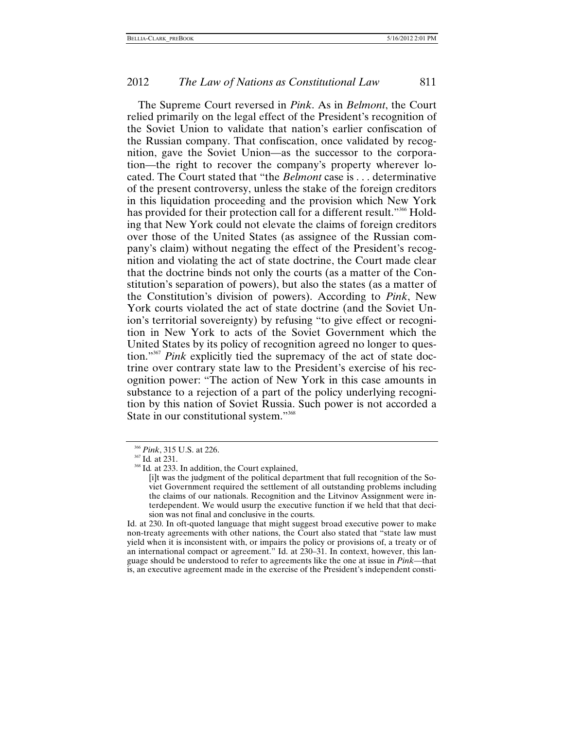The Supreme Court reversed in *Pink*. As in *Belmont*, the Court relied primarily on the legal effect of the President's recognition of the Soviet Union to validate that nation's earlier confiscation of the Russian company. That confiscation, once validated by recognition, gave the Soviet Union—as the successor to the corporation—the right to recover the company's property wherever located. The Court stated that "the *Belmont* case is . . . determinative of the present controversy, unless the stake of the foreign creditors in this liquidation proceeding and the provision which New York has provided for their protection call for a different result."<sup>366</sup> Holding that New York could not elevate the claims of foreign creditors over those of the United States (as assignee of the Russian company's claim) without negating the effect of the President's recognition and violating the act of state doctrine, the Court made clear that the doctrine binds not only the courts (as a matter of the Constitution's separation of powers), but also the states (as a matter of the Constitution's division of powers). According to *Pink*, New York courts violated the act of state doctrine (and the Soviet Union's territorial sovereignty) by refusing "to give effect or recognition in New York to acts of the Soviet Government which the United States by its policy of recognition agreed no longer to question.["367](#page-83-1) *Pink* explicitly tied the supremacy of the act of state doctrine over contrary state law to the President's exercise of his recognition power: "The action of New York in this case amounts in substance to a rejection of a part of the policy underlying recognition by this nation of Soviet Russia. Such power is not accorded a State in our constitutional system."<sup>[368](#page-83-2)</sup>

Id. at 230. In oft-quoted language that might suggest broad executive power to make non-treaty agreements with other nations, the Court also stated that "state law must yield when it is inconsistent with, or impairs the policy or provisions of, a treaty or of an international compact or agreement." Id. at 230–31. In context, however, this language should be understood to refer to agreements like the one at issue in *Pink*—that is, an executive agreement made in the exercise of the President's independent consti-

<span id="page-83-2"></span><span id="page-83-1"></span>

<span id="page-83-0"></span><sup>&</sup>lt;sup>366</sup> *Pink*, 315 U.S. at 226.<br><sup>367</sup> Id. at 231.<br><sup>368</sup> Id. at 233. In addition, the Court explained,

<sup>[</sup>i]t was the judgment of the political department that full recognition of the Soviet Government required the settlement of all outstanding problems including the claims of our nationals. Recognition and the Litvinov Assignment were interdependent. We would usurp the executive function if we held that that decision was not final and conclusive in the courts.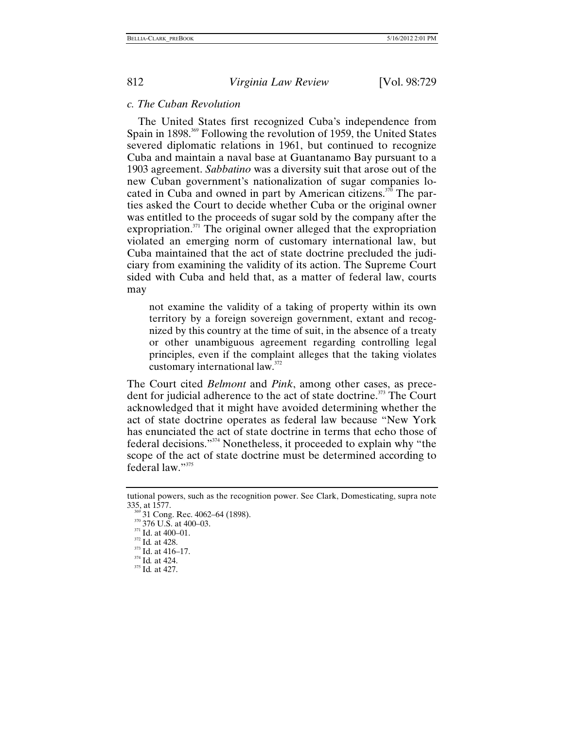### *c. The Cuban Revolution*

The United States first recognized Cuba's independence from Spain in 1898.<sup>369</sup> Following the revolution of 1959, the United States severed diplomatic relations in 1961, but continued to recognize Cuba and maintain a naval base at Guantanamo Bay pursuant to a 1903 agreement. *Sabbatino* was a diversity suit that arose out of the new Cuban government's nationalization of sugar companies located in Cuba and owned in part by American citizens.<sup>370</sup> The parties asked the Court to decide whether Cuba or the original owner was entitled to the proceeds of sugar sold by the company after the expropriation. $371$  The original owner alleged that the expropriation violated an emerging norm of customary international law, but Cuba maintained that the act of state doctrine precluded the judiciary from examining the validity of its action. The Supreme Court sided with Cuba and held that, as a matter of federal law, courts may

not examine the validity of a taking of property within its own territory by a foreign sovereign government, extant and recognized by this country at the time of suit, in the absence of a treaty or other unambiguous agreement regarding controlling legal principles, even if the complaint alleges that the taking violates customary international law.<sup>[372](#page-84-3)</sup>

The Court cited *Belmont* and *Pink*, among other cases, as prece-dent for judicial adherence to the act of state doctrine.<sup>[373](#page-84-4)</sup> The Court acknowledged that it might have avoided determining whether the act of state doctrine operates as federal law because "New York has enunciated the act of state doctrine in terms that echo those of federal decisions."[374](#page-84-5) Nonetheless, it proceeded to explain why "the scope of the act of state doctrine must be determined according to federal law."[375](#page-84-6)

tutional powers, such as the recognition power. See Clark, Domesticating, supra note

<span id="page-84-0"></span><sup>&</sup>lt;sup>359</sup> 31 Cong. Rec. 4062–64 (1898).<br><sup>370</sup> 376 U.S. at 400–03.<br><sup>371</sup> Id. at 400–01.<br><sup>372</sup> Id. at 428.<br><sup>373</sup> Id. at 416–17.<br><sup>374</sup> Id. at 424.<br><sup>375</sup> Id. at 427.

<span id="page-84-1"></span>

<span id="page-84-2"></span>

<span id="page-84-3"></span>

<span id="page-84-4"></span>

<span id="page-84-5"></span>

<span id="page-84-6"></span>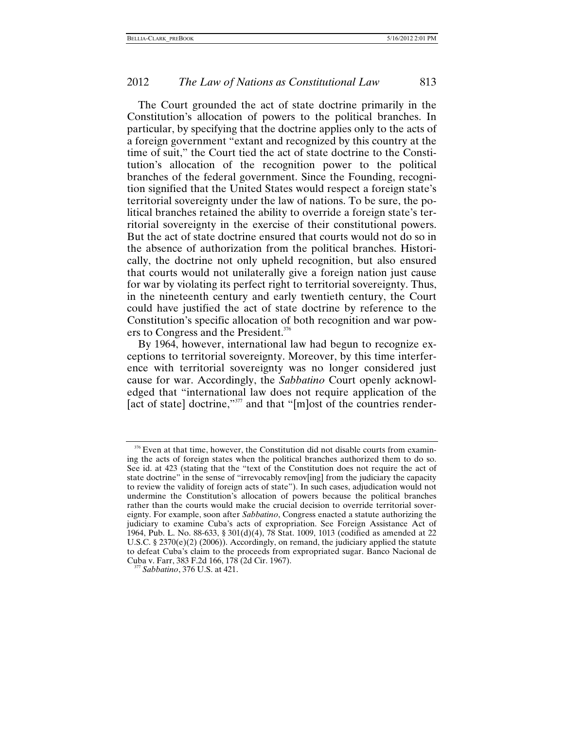The Court grounded the act of state doctrine primarily in the Constitution's allocation of powers to the political branches. In particular, by specifying that the doctrine applies only to the acts of a foreign government "extant and recognized by this country at the time of suit," the Court tied the act of state doctrine to the Constitution's allocation of the recognition power to the political branches of the federal government. Since the Founding, recognition signified that the United States would respect a foreign state's territorial sovereignty under the law of nations. To be sure, the political branches retained the ability to override a foreign state's territorial sovereignty in the exercise of their constitutional powers. But the act of state doctrine ensured that courts would not do so in the absence of authorization from the political branches. Historically, the doctrine not only upheld recognition, but also ensured that courts would not unilaterally give a foreign nation just cause for war by violating its perfect right to territorial sovereignty. Thus, in the nineteenth century and early twentieth century, the Court could have justified the act of state doctrine by reference to the Constitution's specific allocation of both recognition and war pow-ers to Congress and the President.<sup>[376](#page-85-0)</sup>

By 1964, however, international law had begun to recognize exceptions to territorial sovereignty. Moreover, by this time interference with territorial sovereignty was no longer considered just cause for war. Accordingly, the *Sabbatino* Court openly acknowledged that "international law does not require application of the [act of state] doctrine,"<sup>377</sup> and that "[m]ost of the countries render-

<span id="page-85-0"></span><sup>&</sup>lt;sup>376</sup> Even at that time, however, the Constitution did not disable courts from examining the acts of foreign states when the political branches authorized them to do so. See id. at 423 (stating that the "text of the Constitution does not require the act of state doctrine" in the sense of "irrevocably remov[ing] from the judiciary the capacity to review the validity of foreign acts of state"). In such cases, adjudication would not undermine the Constitution's allocation of powers because the political branches rather than the courts would make the crucial decision to override territorial sovereignty. For example, soon after *Sabbatino*, Congress enacted a statute authorizing the judiciary to examine Cuba's acts of expropriation. See Foreign Assistance Act of 1964, Pub. L. No. 88-633, § 301(d)(4), 78 Stat. 1009, 1013 (codified as amended at 22 U.S.C. §  $2370(e)(2)$  (2006)). Accordingly, on remand, the judiciary applied the statute to defeat Cuba's claim to the proceeds from expropriated sugar. Banco Nacional de Cuba v. Farr, 383 F.2d 166, 178 (2d Cir. 1967). 377 *Sabbatino*, 376 U.S. at 421.

<span id="page-85-1"></span>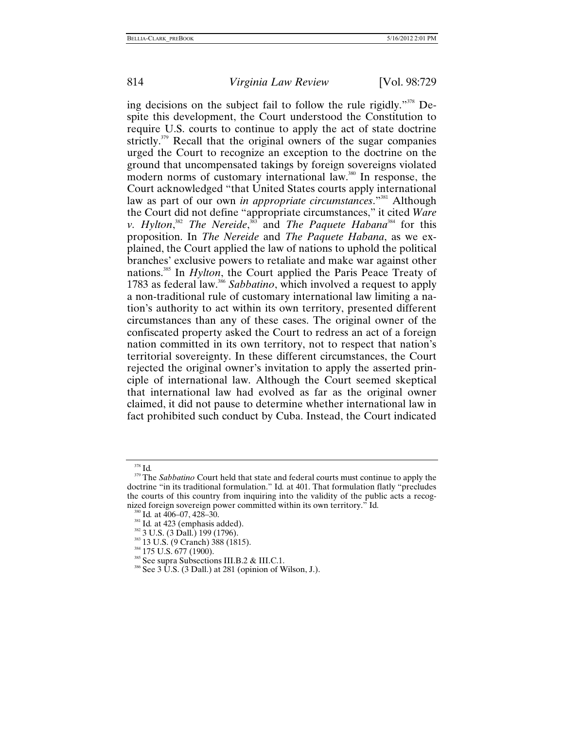ing decisions on the subject fail to follow the rule rigidly.["378](#page-86-0) Despite this development, the Court understood the Constitution to require U.S. courts to continue to apply the act of state doctrine strictly.<sup>379</sup> Recall that the original owners of the sugar companies urged the Court to recognize an exception to the doctrine on the ground that uncompensated takings by foreign sovereigns violated modern norms of customary international law.<sup>380</sup> In response, the Court acknowledged "that United States courts apply international law as part of our own *in appropriate circumstances*."<sup>381</sup> Although the Court did not define "appropriate circumstances," it cited *Ware v. Hylton*,<sup>[382](#page-86-4)</sup> *The Nereide*,<sup>383</sup> and *The Paquete Habana*<sup>[384](#page-86-6)</sup> for this proposition. In *The Nereide* and *The Paquete Habana*, as we explained, the Court applied the law of nations to uphold the political branches' exclusive powers to retaliate and make war against other nations[.385](#page-86-7) In *Hylton*, the Court applied the Paris Peace Treaty of 1783 as federal law.[386](#page-86-8) *Sabbatino*, which involved a request to apply a non-traditional rule of customary international law limiting a nation's authority to act within its own territory, presented different circumstances than any of these cases. The original owner of the confiscated property asked the Court to redress an act of a foreign nation committed in its own territory, not to respect that nation's territorial sovereignty. In these different circumstances, the Court rejected the original owner's invitation to apply the asserted principle of international law. Although the Court seemed skeptical that international law had evolved as far as the original owner claimed, it did not pause to determine whether international law in fact prohibited such conduct by Cuba. Instead, the Court indicated

<span id="page-86-1"></span>

<span id="page-86-0"></span><sup>378</sup> Id*.* <sup>379</sup> The *Sabbatino* Court held that state and federal courts must continue to apply the doctrine "in its traditional formulation." Id*.* at 401. That formulation flatly "precludes the courts of this country from inquiring into the validity of the public acts a recognized foreign sovereign power committed within its own territory." Id.

<span id="page-86-3"></span>

<span id="page-86-4"></span>

<span id="page-86-5"></span>

<span id="page-86-6"></span>

<span id="page-86-8"></span><span id="page-86-7"></span>

<span id="page-86-2"></span><sup>&</sup>lt;sup>380</sup> Id. at 406–07, 428–30.<br><sup>381</sup> Id. at 423 (emphasis added).<br><sup>382</sup> 3 U.S. (3 Dall.) 199 (1796).<br><sup>383</sup> 13 U.S. (9 Cranch) 388 (1815).<br><sup>384</sup> 175 U.S. 677 (1900).<br><sup>385</sup> See supra Subsections III.B.2 & III.C.1.<br><sup>386</sup> See 3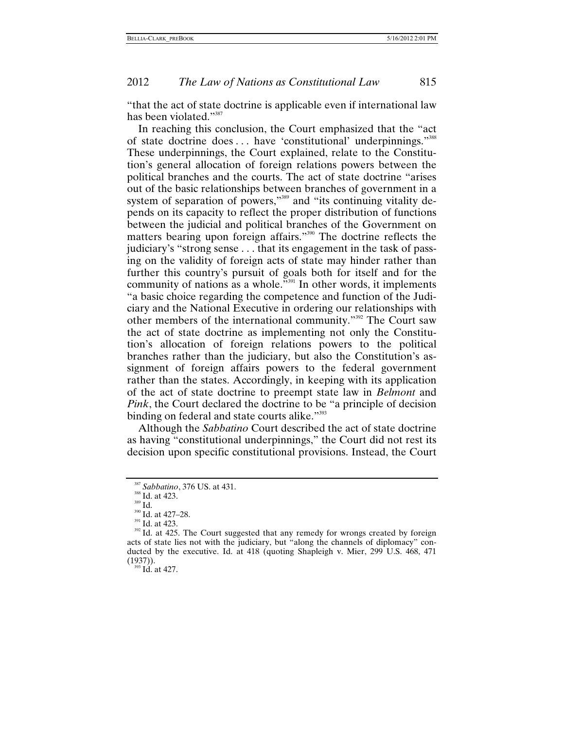"that the act of state doctrine is applicable even if international law has been violated."<sup>[387](#page-87-0)</sup>

In reaching this conclusion, the Court emphasized that the "act of state doctrine does ... have 'constitutional' underpinnings."<sup>[388](#page-87-1)</sup> These underpinnings, the Court explained, relate to the Constitution's general allocation of foreign relations powers between the political branches and the courts. The act of state doctrine "arises out of the basic relationships between branches of government in a system of separation of powers,"<sup>389</sup> and "its continuing vitality depends on its capacity to reflect the proper distribution of functions between the judicial and political branches of the Government on matters bearing upon foreign affairs."[390](#page-87-3) The doctrine reflects the judiciary's "strong sense . . . that its engagement in the task of passing on the validity of foreign acts of state may hinder rather than further this country's pursuit of goals both for itself and for the community of nations as a whole."<sup>391</sup> In other words, it implements "a basic choice regarding the competence and function of the Judiciary and the National Executive in ordering our relationships with other members of the international community.["392](#page-87-5) The Court saw the act of state doctrine as implementing not only the Constitution's allocation of foreign relations powers to the political branches rather than the judiciary, but also the Constitution's assignment of foreign affairs powers to the federal government rather than the states. Accordingly, in keeping with its application of the act of state doctrine to preempt state law in *Belmont* and *Pink*, the Court declared the doctrine to be "a principle of decision binding on federal and state courts alike."<sup>[393](#page-87-6)</sup>

Although the *Sabbatino* Court described the act of state doctrine as having "constitutional underpinnings," the Court did not rest its decision upon specific constitutional provisions. Instead, the Court

<span id="page-87-1"></span>

<span id="page-87-2"></span>

<span id="page-87-3"></span>

<span id="page-87-5"></span><span id="page-87-4"></span>

<span id="page-87-0"></span><sup>&</sup>lt;sup>387</sup> *Sabbatino*, 376 US. at 431.<br><sup>388</sup> Id. at 423.<br><sup>390</sup> Id. at 427–28.<br><sup>391</sup> Id. at 423.<br><sup>392</sup> Id. at 425. The Court suggested that any remedy for wrongs created by foreign acts of state lies not with the judiciary, but "along the channels of diplomacy" conducted by the executive. Id. at 418 (quoting Shapleigh v. Mier, 299 U.S. 468, 471  $(1937))$ .<br><sup>393</sup> Id. at 427.

<span id="page-87-6"></span>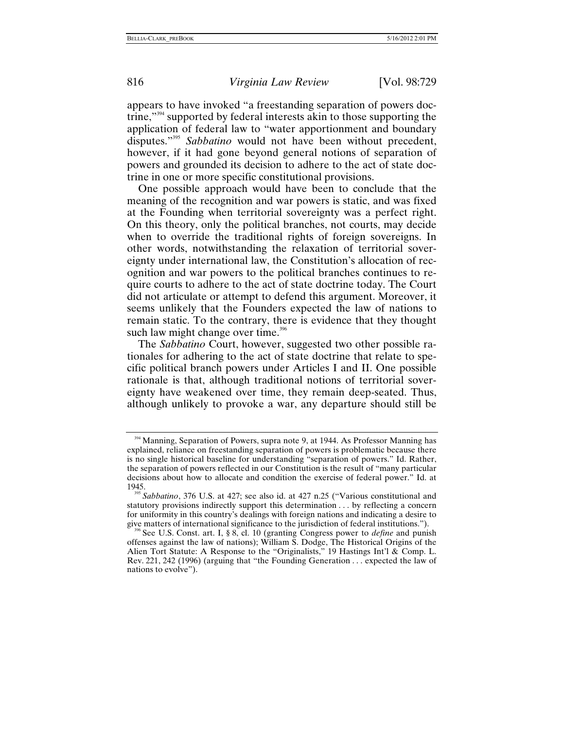appears to have invoked "a freestanding separation of powers doctrine,["394](#page-88-0) supported by federal interests akin to those supporting the application of federal law to "water apportionment and boundary disputes."[395](#page-88-1) *Sabbatino* would not have been without precedent, however, if it had gone beyond general notions of separation of powers and grounded its decision to adhere to the act of state doctrine in one or more specific constitutional provisions.

One possible approach would have been to conclude that the meaning of the recognition and war powers is static, and was fixed at the Founding when territorial sovereignty was a perfect right. On this theory, only the political branches, not courts, may decide when to override the traditional rights of foreign sovereigns. In other words, notwithstanding the relaxation of territorial sovereignty under international law, the Constitution's allocation of recognition and war powers to the political branches continues to require courts to adhere to the act of state doctrine today. The Court did not articulate or attempt to defend this argument. Moreover, it seems unlikely that the Founders expected the law of nations to remain static. To the contrary, there is evidence that they thought such law might change over time. $396$ 

The *Sabbatino* Court, however, suggested two other possible rationales for adhering to the act of state doctrine that relate to specific political branch powers under Articles I and II. One possible rationale is that, although traditional notions of territorial sovereignty have weakened over time, they remain deep-seated. Thus, although unlikely to provoke a war, any departure should still be

<span id="page-88-0"></span><sup>&</sup>lt;sup>394</sup> Manning, Separation of Powers, supra note 9, at 1944. As Professor Manning has explained, reliance on freestanding separation of powers is problematic because there is no single historical baseline for understanding "separation of powers." Id. Rather, the separation of powers reflected in our Constitution is the result of "many particular decisions about how to allocate and condition the exercise of federal power." Id. at

<span id="page-88-1"></span><sup>1945. 395</sup> *Sabbatino*, 376 U.S. at 427; see also id. at 427 n.25 ("Various constitutional and statutory provisions indirectly support this determination . . . by reflecting a concern for uniformity in this country's dealings with foreign nations and indicating a desire to give matters of international significance to the jurisdiction of federal institutions.").

<span id="page-88-2"></span><sup>&</sup>lt;sup>6</sup> See U.S. Const. art. I, § 8, cl. 10 (granting Congress power to *define* and punish offenses against the law of nations); William S. Dodge, The Historical Origins of the Alien Tort Statute: A Response to the "Originalists," 19 Hastings Int'l & Comp. L. Rev. 221, 242 (1996) (arguing that "the Founding Generation . . . expected the law of nations to evolve").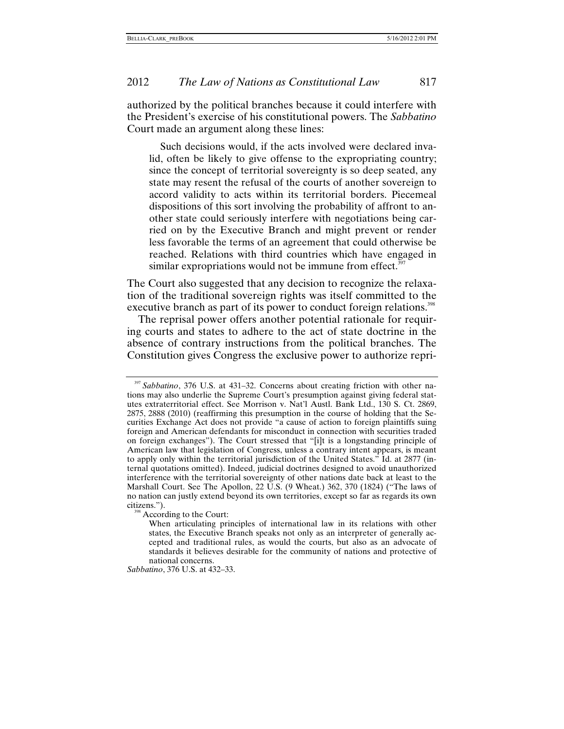authorized by the political branches because it could interfere with the President's exercise of his constitutional powers. The *Sabbatino* Court made an argument along these lines:

Such decisions would, if the acts involved were declared invalid, often be likely to give offense to the expropriating country; since the concept of territorial sovereignty is so deep seated, any state may resent the refusal of the courts of another sovereign to accord validity to acts within its territorial borders. Piecemeal dispositions of this sort involving the probability of affront to another state could seriously interfere with negotiations being carried on by the Executive Branch and might prevent or render less favorable the terms of an agreement that could otherwise be reached. Relations with third countries which have engaged in similar expropriations would not be immune from effect[.](#page-89-0) $397$ 

The Court also suggested that any decision to recognize the relaxation of the traditional sovereign rights was itself committed to the executive branch as part of its power to conduct foreign relations.<sup>398</sup>

The reprisal power offers another potential rationale for requiring courts and states to adhere to the act of state doctrine in the absence of contrary instructions from the political branches. The Constitution gives Congress the exclusive power to authorize repri-

<span id="page-89-1"></span><sup>398</sup> According to the Court:

*Sabbatino*, 376 U.S. at 432–33.

<span id="page-89-0"></span><sup>397</sup> *Sabbatino*, 376 U.S. at 431–32. Concerns about creating friction with other nations may also underlie the Supreme Court's presumption against giving federal statutes extraterritorial effect. See Morrison v. Nat'l Austl. Bank Ltd., 130 S. Ct. 2869, 2875, 2888 (2010) (reaffirming this presumption in the course of holding that the Securities Exchange Act does not provide "a cause of action to foreign plaintiffs suing foreign and American defendants for misconduct in connection with securities traded on foreign exchanges"). The Court stressed that "[i]t is a longstanding principle of American law that legislation of Congress, unless a contrary intent appears, is meant to apply only within the territorial jurisdiction of the United States." Id. at 2877 (internal quotations omitted). Indeed, judicial doctrines designed to avoid unauthorized interference with the territorial sovereignty of other nations date back at least to the Marshall Court. See The Apollon, 22 U.S. (9 Wheat.) 362, 370 (1824) ("The laws of no nation can justly extend beyond its own territories, except so far as regards its own

When articulating principles of international law in its relations with other states, the Executive Branch speaks not only as an interpreter of generally accepted and traditional rules, as would the courts, but also as an advocate of standards it believes desirable for the community of nations and protective of national concerns.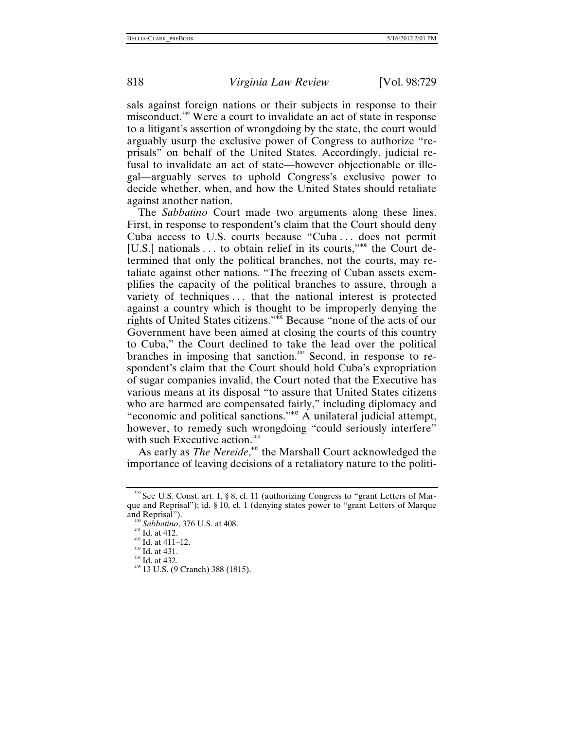sals against foreign nations or their subjects in response to their misconduct.[399](#page-90-0) Were a court to invalidate an act of state in response to a litigant's assertion of wrongdoing by the state, the court would arguably usurp the exclusive power of Congress to authorize "reprisals" on behalf of the United States. Accordingly, judicial refusal to invalidate an act of state—however objectionable or illegal—arguably serves to uphold Congress's exclusive power to decide whether, when, and how the United States should retaliate against another nation.

The *Sabbatino* Court made two arguments along these lines. First, in response to respondent's claim that the Court should deny Cuba access to U.S. courts because "Cuba . . . does not permit [U.S.] nationals . . . to obtain relief in its courts,"<sup>400</sup> the Court determined that only the political branches, not the courts, may retaliate against other nations. "The freezing of Cuban assets exemplifies the capacity of the political branches to assure, through a variety of techniques . . . that the national interest is protected against a country which is thought to be improperly denying the rights of United States citizens.["401](#page-90-2) Because "none of the acts of our Government have been aimed at closing the courts of this country to Cuba," the Court declined to take the lead over the political branches in imposing that sanction.<sup>402</sup> Second, in response to respondent's claim that the Court should hold Cuba's expropriation of sugar companies invalid, the Court noted that the Executive has various means at its disposal "to assure that United States citizens who are harmed are compensated fairly," including diplomacy and "economic and political sanctions."[403](#page-90-4) A unilateral judicial attempt, however, to remedy such wrongdoing "could seriously interfere" with such Executive action.<sup>404</sup>

As early as *The Nereide*,<sup>405</sup> the Marshall Court acknowledged the importance of leaving decisions of a retaliatory nature to the politi-

<span id="page-90-0"></span><sup>399</sup> See U.S. Const. art. I, § 8, cl. 11 (authorizing Congress to "grant Letters of Marque and Reprisal"); id. § 10, cl. 1 (denying states power to "grant Letters of Marque and Reprisal").<br><sup>400</sup> *Sabbatino*, 376 U.S. at 408.<br><sup>401</sup> Id. at 412.<br><sup>402</sup> Id. at 431.<br><sup>404</sup> Id. at 432.<br><sup>405</sup> 13 U.S. (9 Cranch) 388 (1815).

<span id="page-90-1"></span>

<span id="page-90-2"></span>

<span id="page-90-3"></span>

<span id="page-90-4"></span>

<span id="page-90-5"></span>

<span id="page-90-6"></span>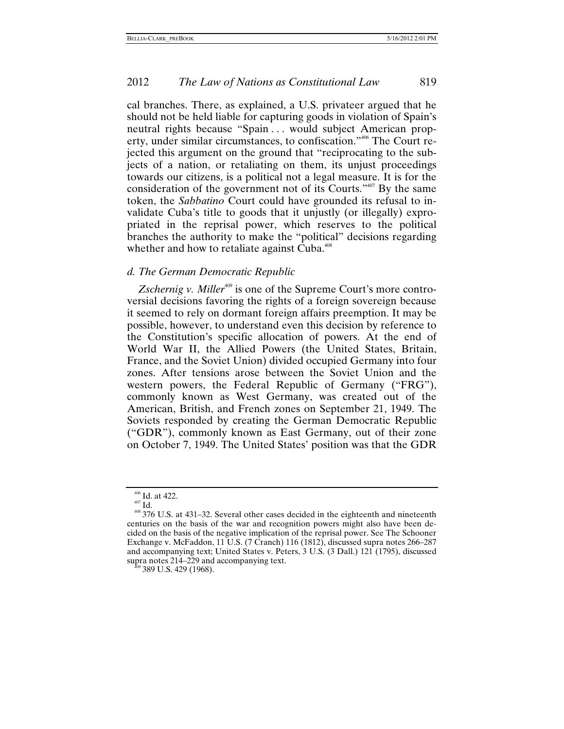cal branches. There, as explained, a U.S. privateer argued that he should not be held liable for capturing goods in violation of Spain's neutral rights because "Spain ... would subject American property, under similar circumstances, to confiscation.["406](#page-91-0) The Court rejected this argument on the ground that "reciprocating to the subjects of a nation, or retaliating on them, its unjust proceedings towards our citizens, is a political not a legal measure. It is for the consideration of the government not of its Courts."[407](#page-91-1) By the same token, the *Sabbatino* Court could have grounded its refusal to invalidate Cuba's title to goods that it unjustly (or illegally) expropriated in the reprisal power, which reserves to the political branches the authority to make the "political" decisions regarding whether and how to retaliate against Cuba.<sup>[408](#page-91-2)</sup>

### *d. The German Democratic Republic*

*Zschernig v. Miller*<sup>409</sup> is one of the Supreme Court's more controversial decisions favoring the rights of a foreign sovereign because it seemed to rely on dormant foreign affairs preemption. It may be possible, however, to understand even this decision by reference to the Constitution's specific allocation of powers. At the end of World War II, the Allied Powers (the United States, Britain, France, and the Soviet Union) divided occupied Germany into four zones. After tensions arose between the Soviet Union and the western powers, the Federal Republic of Germany ("FRG"), commonly known as West Germany, was created out of the American, British, and French zones on September 21, 1949. The Soviets responded by creating the German Democratic Republic ("GDR"), commonly known as East Germany, out of their zone on October 7, 1949. The United States' position was that the GDR

<span id="page-91-2"></span><span id="page-91-1"></span>

<span id="page-91-0"></span><sup>&</sup>lt;sup>406</sup> Id. at 422.<br><sup>407</sup> Id.  $\frac{408}{376}$  U.S. at 431–32. Several other cases decided in the eighteenth and nineteenth centuries on the basis of the war and recognition powers might also have been decided on the basis of the negative implication of the reprisal power. See The Schooner Exchange v. McFaddon, 11 U.S. (7 Cranch) 116 (1812), discussed supra notes 266–287 and accompanying text; United States v. Peters, 3 U.S. (3 Dall.) 121 (1795), discussed supra notes 214–229 and accompanying text. 409 389 U.S. 429 (1968).

<span id="page-91-3"></span>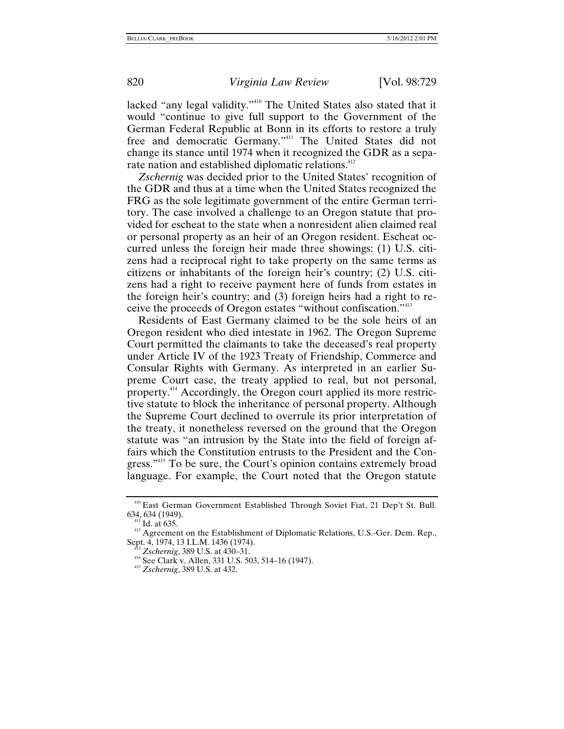lacked "any legal validity."[410](#page-92-0) The United States also stated that it would "continue to give full support to the Government of the German Federal Republic at Bonn in its efforts to restore a truly free and democratic Germany."<sup>411</sup> The United States did not change its stance until 1974 when it recognized the GDR as a sepa-rate nation and established diplomatic relations.<sup>[412](#page-92-2)</sup>

*Zschernig* was decided prior to the United States' recognition of the GDR and thus at a time when the United States recognized the FRG as the sole legitimate government of the entire German territory. The case involved a challenge to an Oregon statute that provided for escheat to the state when a nonresident alien claimed real or personal property as an heir of an Oregon resident. Escheat occurred unless the foreign heir made three showings: (1) U.S. citizens had a reciprocal right to take property on the same terms as citizens or inhabitants of the foreign heir's country; (2) U.S. citizens had a right to receive payment here of funds from estates in the foreign heir's country; and (3) foreign heirs had a right to receive the proceeds of Oregon estates "without confiscation."[413](#page-92-3)

Residents of East Germany claimed to be the sole heirs of an Oregon resident who died intestate in 1962. The Oregon Supreme Court permitted the claimants to take the deceased's real property under Article IV of the 1923 Treaty of Friendship, Commerce and Consular Rights with Germany. As interpreted in an earlier Supreme Court case, the treaty applied to real, but not personal, property.[414](#page-92-4) Accordingly, the Oregon court applied its more restrictive statute to block the inheritance of personal property. Although the Supreme Court declined to overrule its prior interpretation of the treaty, it nonetheless reversed on the ground that the Oregon statute was "an intrusion by the State into the field of foreign affairs which the Constitution entrusts to the President and the Congress."<sup>415</sup> To be sure, the Court's opinion contains extremely broad language. For example, the Court noted that the Oregon statute

<span id="page-92-0"></span><sup>410</sup> East German Government Established Through Soviet Fiat, 21 Dep't St. Bull.

<span id="page-92-2"></span><span id="page-92-1"></span>

<sup>634, 634 (1949).&</sup>lt;br><sup>411</sup> Id. at 635.<br><sup>412</sup> Agreement on the Establishment of Diplomatic Relations, U.S.-Ger. Dem. Rep.,<br>Sept. 4, 1974, 13 I.L.M. 1436 (1974).

<span id="page-92-4"></span><span id="page-92-3"></span>

<sup>&</sup>lt;sup>413</sup> *Zschernig*, 389 U.S. at 430–31.<br><sup>414</sup> See Clark v. Allen, 331 U.S. 503, 514–16 (1947).<br><sup>415</sup> *Zschernig*, 389 U.S. at 432.

<span id="page-92-5"></span>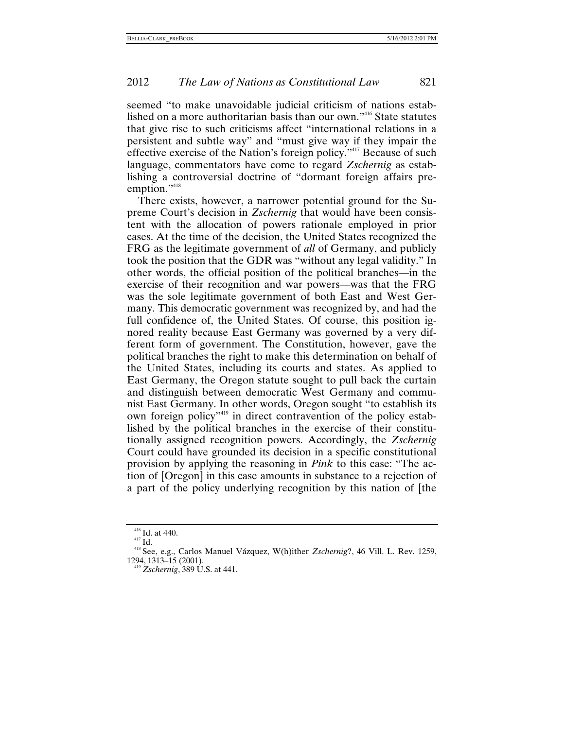seemed "to make unavoidable judicial criticism of nations established on a more authoritarian basis than our own."[416](#page-93-0) State statutes that give rise to such criticisms affect "international relations in a persistent and subtle way" and "must give way if they impair the effective exercise of the Nation's foreign policy.<sup>"417</sup> Because of such language, commentators have come to regard *Zschernig* as establishing a controversial doctrine of "dormant foreign affairs preemption."<sup>418</sup>

There exists, however, a narrower potential ground for the Supreme Court's decision in *Zschernig* that would have been consistent with the allocation of powers rationale employed in prior cases. At the time of the decision, the United States recognized the FRG as the legitimate government of *all* of Germany, and publicly took the position that the GDR was "without any legal validity." In other words, the official position of the political branches—in the exercise of their recognition and war powers—was that the FRG was the sole legitimate government of both East and West Germany. This democratic government was recognized by, and had the full confidence of, the United States. Of course, this position ignored reality because East Germany was governed by a very different form of government. The Constitution, however, gave the political branches the right to make this determination on behalf of the United States, including its courts and states. As applied to East Germany, the Oregon statute sought to pull back the curtain and distinguish between democratic West Germany and communist East Germany. In other words, Oregon sought "to establish its own foreign policy"[419](#page-93-3) in direct contravention of the policy established by the political branches in the exercise of their constitutionally assigned recognition powers. Accordingly, the *Zschernig* Court could have grounded its decision in a specific constitutional provision by applying the reasoning in *Pink* to this case: "The action of [Oregon] in this case amounts in substance to a rejection of a part of the policy underlying recognition by this nation of [the

<span id="page-93-2"></span><span id="page-93-1"></span>

<span id="page-93-0"></span><sup>416</sup> Id. at 440. 417 Id. 418 See, e.g., Carlos Manuel Vázquez, W(h)ither *Zschernig*?, 46 Vill. L. Rev. 1259,

<span id="page-93-3"></span><sup>&</sup>lt;sup>419</sup> *Zschernig*, 389 U.S. at 441.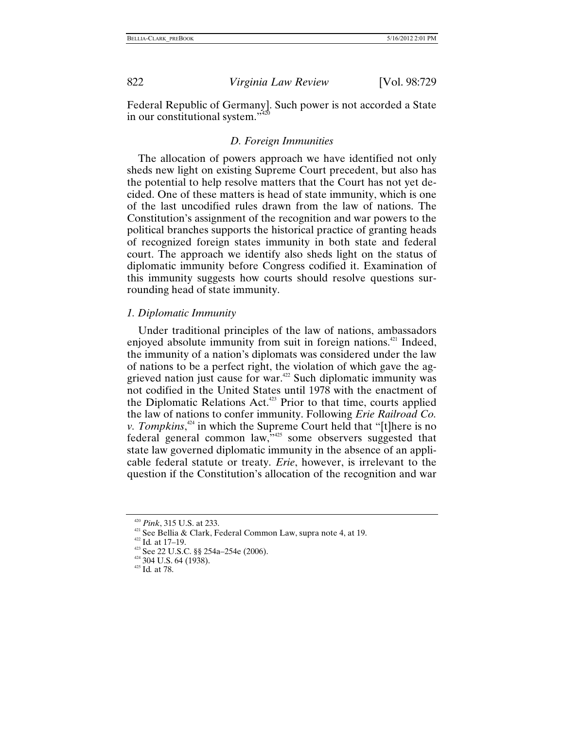Federal Republic of Germany]. Such power is not accorded a State in our constitutional system."

## *D. Foreign Immunities*

The allocation of powers approach we have identified not only sheds new light on existing Supreme Court precedent, but also has the potential to help resolve matters that the Court has not yet decided. One of these matters is head of state immunity, which is one of the last uncodified rules drawn from the law of nations. The Constitution's assignment of the recognition and war powers to the political branches supports the historical practice of granting heads of recognized foreign states immunity in both state and federal court. The approach we identify also sheds light on the status of diplomatic immunity before Congress codified it. Examination of this immunity suggests how courts should resolve questions surrounding head of state immunity.

## *1. Diplomatic Immunity*

Under traditional principles of the law of nations, ambassadors enjoyed absolute immunity from suit in foreign nations.<sup>421</sup> Indeed, the immunity of a nation's diplomats was considered under the law of nations to be a perfect right, the violation of which gave the aggrieved nation just cause for war[.422](#page-94-2) Such diplomatic immunity was not codified in the United States until 1978 with the enactment of the Diplomatic Relations Act.<sup>423</sup> Prior to that time, courts applied the law of nations to confer immunity. Following *Erie Railroad Co. v. Tompkins*<sup>424</sup> in which the Supreme Court held that "[t]here is no federal general common law,"[425](#page-94-5) some observers suggested that state law governed diplomatic immunity in the absence of an applicable federal statute or treaty. *Erie*, however, is irrelevant to the question if the Constitution's allocation of the recognition and war

<span id="page-94-1"></span>

<span id="page-94-0"></span><sup>&</sup>lt;sup>420</sup> *Pink*, 315 U.S. at 233.<br><sup>421</sup> See Bellia & Clark, Federal Common Law, supra note 4, at 19.<br><sup>422</sup> Id. at 17–19.<br><sup>423</sup> See 22 U.S.C. §§ 254a–254e (2006).<br><sup>424</sup> 304 U.S. 64 (1938).<br><sup>425</sup> Id. at 78.

<span id="page-94-2"></span>

<span id="page-94-3"></span>

<span id="page-94-4"></span>

<span id="page-94-5"></span>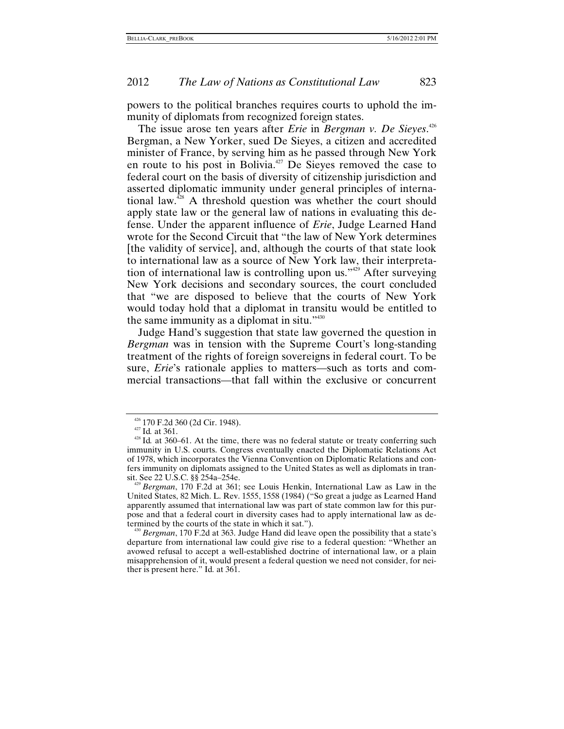powers to the political branches requires courts to uphold the immunity of diplomats from recognized foreign states.

The issue arose ten years after *Erie* in *Bergman v. De Sieyes*. [426](#page-95-0) Bergman, a New Yorker, sued De Sieyes, a citizen and accredited minister of France, by serving him as he passed through New York en route to his post in Bolivia.<sup>427</sup> De Sieyes removed the case to federal court on the basis of diversity of citizenship jurisdiction and asserted diplomatic immunity under general principles of international law.[428](#page-95-2) A threshold question was whether the court should apply state law or the general law of nations in evaluating this defense. Under the apparent influence of *Erie*, Judge Learned Hand wrote for the Second Circuit that "the law of New York determines [the validity of service], and, although the courts of that state look to international law as a source of New York law, their interpretation of international law is controlling upon us."<sup>429</sup> After surveying New York decisions and secondary sources, the court concluded that "we are disposed to believe that the courts of New York would today hold that a diplomat in transitu would be entitled to the same immunity as a diplomat in situ."[430](#page-95-4)

Judge Hand's suggestion that state law governed the question in *Bergman* was in tension with the Supreme Court's long-standing treatment of the rights of foreign sovereigns in federal court. To be sure, *Erie*'s rationale applies to matters—such as torts and commercial transactions—that fall within the exclusive or concurrent

<span id="page-95-2"></span><span id="page-95-1"></span>

<span id="page-95-0"></span><sup>&</sup>lt;sup>426</sup> 170 F.2d 360 (2d Cir. 1948).<br><sup>427</sup> Id. at 361.<br><sup>428</sup> Id. at 360–61. At the time, there was no federal statute or treaty conferring such immunity in U.S. courts. Congress eventually enacted the Diplomatic Relations Act of 1978, which incorporates the Vienna Convention on Diplomatic Relations and confers immunity on diplomats assigned to the United States as well as diplomats in tran-

<span id="page-95-3"></span><sup>&</sup>lt;sup>9</sup> Bergman, 170 F.2d at 361; see Louis Henkin, International Law as Law in the United States, 82 Mich. L. Rev. 1555, 1558 (1984) ("So great a judge as Learned Hand apparently assumed that international law was part of state common law for this purpose and that a federal court in diversity cases had to apply international law as determined by the courts of the state in which it sat."). 430 *Bergman*, 170 F.2d at 363. Judge Hand did leave open the possibility that a state's

<span id="page-95-4"></span>departure from international law could give rise to a federal question: "Whether an avowed refusal to accept a well-established doctrine of international law, or a plain misapprehension of it, would present a federal question we need not consider, for neither is present here." Id*.* at 361.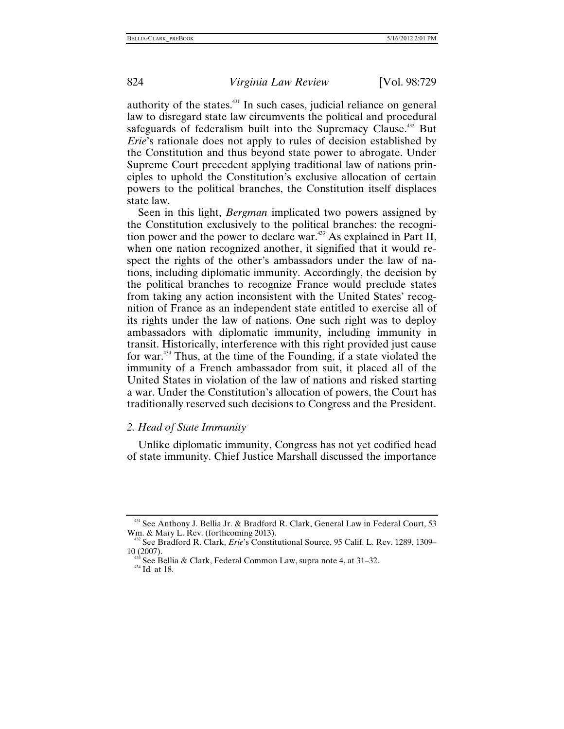authority of the states. $431$  In such cases, judicial reliance on general law to disregard state law circumvents the political and procedural safeguards of federalism built into the Supremacy Clause.<sup>432</sup> But *Erie*'s rationale does not apply to rules of decision established by the Constitution and thus beyond state power to abrogate. Under Supreme Court precedent applying traditional law of nations principles to uphold the Constitution's exclusive allocation of certain powers to the political branches, the Constitution itself displaces state law.

Seen in this light, *Bergman* implicated two powers assigned by the Constitution exclusively to the political branches: the recognition power and the power to declare war. $433$  As explained in Part II, when one nation recognized another, it signified that it would respect the rights of the other's ambassadors under the law of nations, including diplomatic immunity. Accordingly, the decision by the political branches to recognize France would preclude states from taking any action inconsistent with the United States' recognition of France as an independent state entitled to exercise all of its rights under the law of nations. One such right was to deploy ambassadors with diplomatic immunity, including immunity in transit. Historically, interference with this right provided just cause for war.[434](#page-96-3) Thus, at the time of the Founding, if a state violated the immunity of a French ambassador from suit, it placed all of the United States in violation of the law of nations and risked starting a war. Under the Constitution's allocation of powers, the Court has traditionally reserved such decisions to Congress and the President.

## *2. Head of State Immunity*

Unlike diplomatic immunity, Congress has not yet codified head of state immunity. Chief Justice Marshall discussed the importance

<span id="page-96-0"></span><sup>&</sup>lt;sup>431</sup> See Anthony J. Bellia Jr. & Bradford R. Clark, General Law in Federal Court, 53 Wm. & Mary L. Rev. (forthcoming 2013).

<span id="page-96-1"></span><sup>&</sup>lt;sup>32</sup> See Bradford R. Clark, *Erie*'s Constitutional Source, 95 Calif. L. Rev. 1289, 1309–

<span id="page-96-2"></span><sup>10 (2007). 433</sup> See Bellia & Clark, Federal Common Law, supra note 4, at 31–32. 434 Id*.* at 18.

<span id="page-96-3"></span>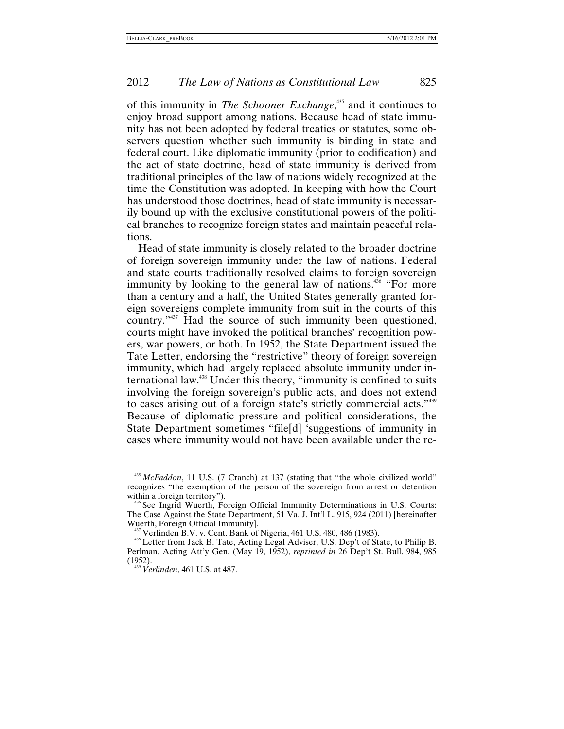of this immunity in *The Schooner Exchange*, [435](#page-97-0) and it continues to enjoy broad support among nations. Because head of state immunity has not been adopted by federal treaties or statutes, some observers question whether such immunity is binding in state and federal court. Like diplomatic immunity (prior to codification) and the act of state doctrine, head of state immunity is derived from traditional principles of the law of nations widely recognized at the time the Constitution was adopted. In keeping with how the Court has understood those doctrines, head of state immunity is necessarily bound up with the exclusive constitutional powers of the political branches to recognize foreign states and maintain peaceful relations.

Head of state immunity is closely related to the broader doctrine of foreign sovereign immunity under the law of nations. Federal and state courts traditionally resolved claims to foreign sovereign immunity by looking to the general law of nations.<sup>436</sup> "For more than a century and a half, the United States generally granted foreign sovereigns complete immunity from suit in the courts of this country.["437](#page-97-2) Had the source of such immunity been questioned, courts might have invoked the political branches' recognition powers, war powers, or both. In 1952, the State Department issued the Tate Letter, endorsing the "restrictive" theory of foreign sovereign immunity, which had largely replaced absolute immunity under international law[.438](#page-97-3) Under this theory, "immunity is confined to suits involving the foreign sovereign's public acts, and does not extend to cases arising out of a foreign state's strictly commercial acts."[439](#page-97-4) Because of diplomatic pressure and political considerations, the State Department sometimes "file[d] 'suggestions of immunity in cases where immunity would not have been available under the re-

<span id="page-97-0"></span><sup>435</sup> *McFaddon*, 11 U.S. (7 Cranch) at 137 (stating that "the whole civilized world" recognizes "the exemption of the person of the sovereign from arrest or detention

<span id="page-97-1"></span> $\delta$  See Ingrid Wuerth, Foreign Official Immunity Determinations in U.S. Courts: The Case Against the State Department, 51 Va. J. Int'l L. 915, 924 (2011) [hereinafter

<span id="page-97-3"></span>

<span id="page-97-2"></span>Wuerth, Foreign Official Immunity].<br><sup>437</sup> Verlinden B.V. v. Cent. Bank of Nigeria, 461 U.S. 480, 486 (1983).<br><sup>438</sup> Letter from Jack B. Tate, Acting Legal Adviser, U.S. Dep't of State, to Philip B. Perlman, Acting Att'y Gen. (May 19, 1952), *reprinted in* 26 Dep't St. Bull. 984, 985 (1952). 439 *Verlinden*, 461 U.S. at 487.

<span id="page-97-4"></span>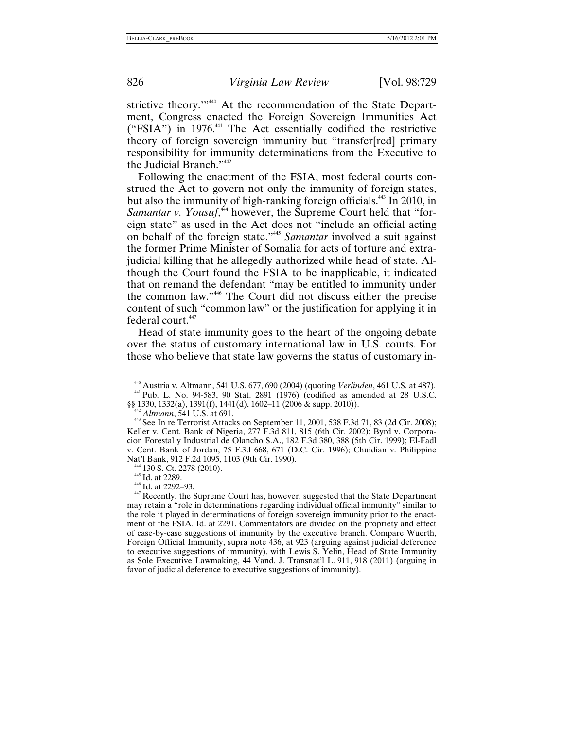strictive theory."<sup>440</sup> At the recommendation of the State Department, Congress enacted the Foreign Sovereign Immunities Act ("FSIA") in  $1976<sup>441</sup>$  The Act essentially codified the restrictive theory of foreign sovereign immunity but "transfer[red] primary responsibility for immunity determinations from the Executive to the Judicial Branch.["442](#page-98-2)

Following the enactment of the FSIA, most federal courts construed the Act to govern not only the immunity of foreign states, but also the immunity of high-ranking foreign officials.<sup>443</sup> In 2010, in Samantar v. Yousuf,<sup>444</sup> however, the Supreme Court held that "foreign state" as used in the Act does not "include an official acting on behalf of the foreign state."[445](#page-98-5) *Samantar* involved a suit against the former Prime Minister of Somalia for acts of torture and extrajudicial killing that he allegedly authorized while head of state. Although the Court found the FSIA to be inapplicable, it indicated that on remand the defendant "may be entitled to immunity under the common law.["446](#page-98-6) The Court did not discuss either the precise content of such "common law" or the justification for applying it in federal court.<sup>447</sup>

Head of state immunity goes to the heart of the ongoing debate over the status of customary international law in U.S. courts. For those who believe that state law governs the status of customary in-

<span id="page-98-1"></span><span id="page-98-0"></span><sup>440</sup> Austria v. Altmann, 541 U.S. 677, 690 (2004) (quoting *Verlinden*, 461 U.S. at 487). 441 Pub. L. No. 94-583, 90 Stat. 2891 (1976) (codified as amended at 28 U.S.C. §§ 1330, 1332(a), 1391(f), 1441(d), 1602–11 (2006 & supp. 2010)).<br><sup>442</sup> *Altmann*, 541 U.S. at 691.<br><sup>443</sup> See In re Terrorist Attacks on September 11, 2001, 538 F.3d 71, 83 (2d Cir. 2008);

<span id="page-98-2"></span>

<span id="page-98-3"></span>Keller v. Cent. Bank of Nigeria, 277 F.3d 811, 815 (6th Cir. 2002); Byrd v. Corporacion Forestal y Industrial de Olancho S.A., 182 F.3d 380, 388 (5th Cir. 1999); El-Fadl v. Cent. Bank of Jordan, 75 F.3d 668, 671 (D.C. Cir. 1996); Chuidian v. Philippine Nat'l Bank, 912 F.2d 1095, 1103 (9th Cir. 1990).<br><sup>444</sup> 130 S. Ct. 2278 (2010).<br><sup>445</sup> Id. at 2289.<br><sup>446</sup> Id. at 2292–93.<br><sup>447</sup> Recently, the Supreme Court has, however, suggested that the State Department

<span id="page-98-4"></span>

<span id="page-98-5"></span>

<span id="page-98-6"></span>

<span id="page-98-7"></span>may retain a "role in determinations regarding individual official immunity" similar to the role it played in determinations of foreign sovereign immunity prior to the enactment of the FSIA. Id. at 2291. Commentators are divided on the propriety and effect of case-by-case suggestions of immunity by the executive branch. Compare Wuerth, Foreign Official Immunity, supra note 436, at 923 (arguing against judicial deference to executive suggestions of immunity), with Lewis S. Yelin, Head of State Immunity as Sole Executive Lawmaking, 44 Vand. J. Transnat'l L. 911, 918 (2011) (arguing in favor of judicial deference to executive suggestions of immunity).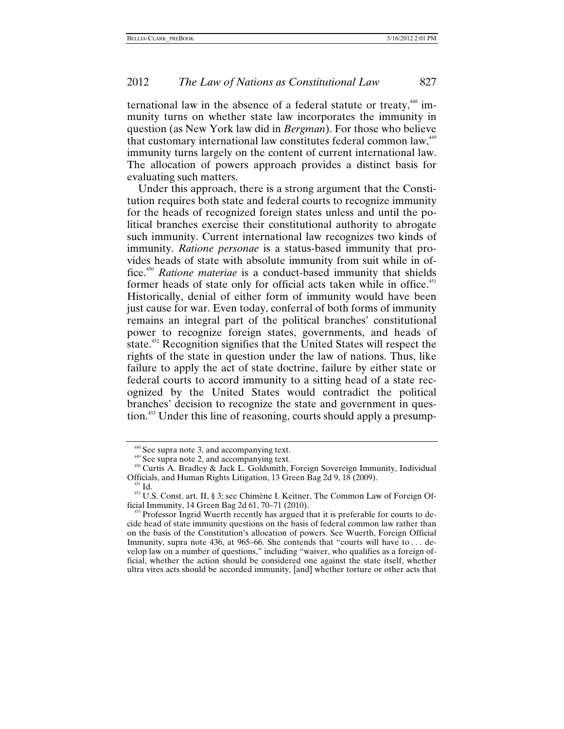ternational law in the absence of a federal statute or treaty,<sup>448</sup> immunity turns on whether state law incorporates the immunity in question (as New York law did in *Bergman*). For those who believe that customary international law constitutes federal common law, <sup>[449](#page-99-1)</sup> immunity turns largely on the content of current international law. The allocation of powers approach provides a distinct basis for evaluating such matters.

Under this approach, there is a strong argument that the Constitution requires both state and federal courts to recognize immunity for the heads of recognized foreign states unless and until the political branches exercise their constitutional authority to abrogate such immunity. Current international law recognizes two kinds of immunity. *Ratione personae* is a status-based immunity that provides heads of state with absolute immunity from suit while in office.[450](#page-99-2) *Ratione materiae* is a conduct-based immunity that shields former heads of state only for official acts taken while in office.<sup>[451](#page-99-3)</sup> Historically, denial of either form of immunity would have been just cause for war. Even today, conferral of both forms of immunity remains an integral part of the political branches' constitutional power to recognize foreign states, governments, and heads of state.<sup>452</sup> Recognition signifies that the United States will respect the rights of the state in question under the law of nations. Thus, like failure to apply the act of state doctrine, failure by either state or federal courts to accord immunity to a sitting head of a state recognized by the United States would contradict the political branches' decision to recognize the state and government in question.[453](#page-99-5) Under this line of reasoning, courts should apply a presump-

<span id="page-99-2"></span><span id="page-99-1"></span>

<span id="page-99-0"></span><sup>&</sup>lt;sup>448</sup> See supra note 3, and accompanying text.<br><sup>449</sup> See supra note 2, and accompanying text.<br><sup>450</sup> Curtis A. Bradley & Jack L. Goldsmith, Foreign Sovereign Immunity, Individual<br>Officials, and Human Rights Litigation, 13

<span id="page-99-4"></span><span id="page-99-3"></span><sup>&</sup>lt;sup>451</sup> Id.<br><sup>452</sup> U.S. Const. art. II, § 3; see Chimène I. Keitner, The Common Law of Foreign Of-<br>ficial Immunity, 14 Green Bag 2d 61, 70–71 (2010).

<span id="page-99-5"></span><sup>&</sup>lt;sup>3</sup> Professor Ingrid Wuerth recently has argued that it is preferable for courts to decide head of state immunity questions on the basis of federal common law rather than on the basis of the Constitution's allocation of powers. See Wuerth, Foreign Official Immunity, supra note 436, at 965–66. She contends that "courts will have to . . . develop law on a number of questions," including "waiver, who qualifies as a foreign official, whether the action should be considered one against the state itself, whether ultra vires acts should be accorded immunity, [and] whether torture or other acts that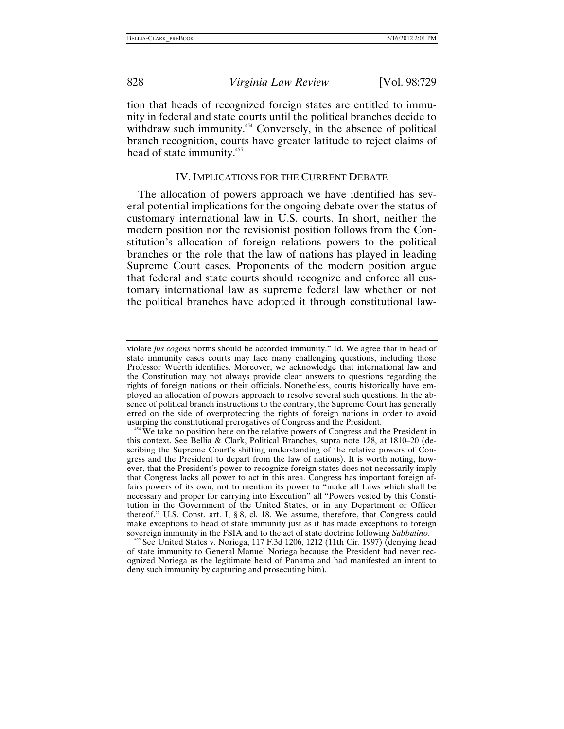tion that heads of recognized foreign states are entitled to immunity in federal and state courts until the political branches decide to withdraw such immunity.<sup>454</sup> Conversely, in the absence of political branch recognition, courts have greater latitude to reject claims of head of state immunity.<sup>[455](#page-100-1)</sup>

# IV.IMPLICATIONS FOR THE CURRENT DEBATE

The allocation of powers approach we have identified has several potential implications for the ongoing debate over the status of customary international law in U.S. courts. In short, neither the modern position nor the revisionist position follows from the Constitution's allocation of foreign relations powers to the political branches or the role that the law of nations has played in leading Supreme Court cases. Proponents of the modern position argue that federal and state courts should recognize and enforce all customary international law as supreme federal law whether or not the political branches have adopted it through constitutional law-

<span id="page-100-1"></span><sup>455</sup> See United States v. Noriega, 117 F.3d 1206, 1212 (11th Cir. 1997) (denying head of state immunity to General Manuel Noriega because the President had never recognized Noriega as the legitimate head of Panama and had manifested an intent to deny such immunity by capturing and prosecuting him).

violate *jus cogens* norms should be accorded immunity." Id. We agree that in head of state immunity cases courts may face many challenging questions, including those Professor Wuerth identifies. Moreover, we acknowledge that international law and the Constitution may not always provide clear answers to questions regarding the rights of foreign nations or their officials. Nonetheless, courts historically have employed an allocation of powers approach to resolve several such questions. In the absence of political branch instructions to the contrary, the Supreme Court has generally erred on the side of overprotecting the rights of foreign nations in order to avoid usurping the constitutional prerogatives of Congress and the President. 454 We take no position here on the relative powers of Congress and the President in

<span id="page-100-0"></span>this context. See Bellia & Clark, Political Branches, supra note 128, at 1810–20 (describing the Supreme Court's shifting understanding of the relative powers of Congress and the President to depart from the law of nations). It is worth noting, however, that the President's power to recognize foreign states does not necessarily imply that Congress lacks all power to act in this area. Congress has important foreign affairs powers of its own, not to mention its power to "make all Laws which shall be necessary and proper for carrying into Execution" all "Powers vested by this Constitution in the Government of the United States, or in any Department or Officer thereof." U.S. Const. art. I, § 8, cl. 18. We assume, therefore, that Congress could make exceptions to head of state immunity just as it has made exceptions to foreign sovereign immunity in the FSIA and to the act of state doctrine following *Sabbatino*.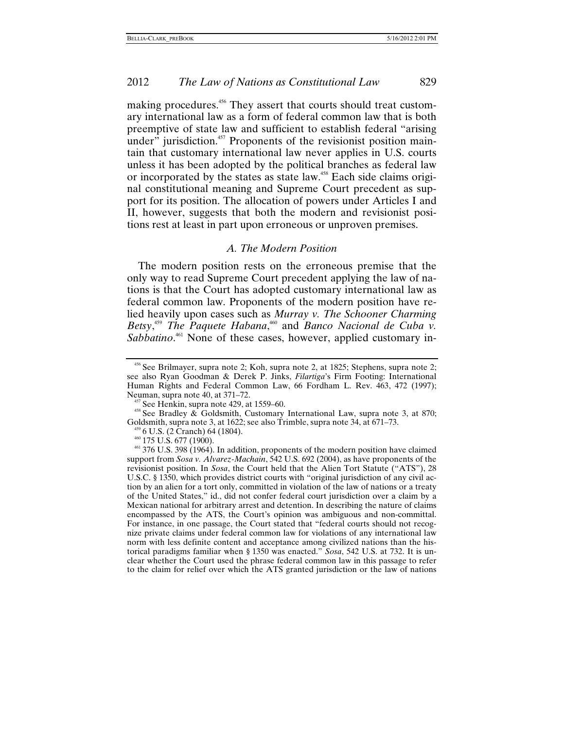making procedures.<sup>456</sup> They assert that courts should treat customary international law as a form of federal common law that is both preemptive of state law and sufficient to establish federal "arising under" jurisdiction.<sup>457</sup> Proponents of the revisionist position maintain that customary international law never applies in U.S. courts unless it has been adopted by the political branches as federal law or incorporated by the states as state law.<sup>458</sup> Each side claims original constitutional meaning and Supreme Court precedent as support for its position. The allocation of powers under Articles I and II, however, suggests that both the modern and revisionist positions rest at least in part upon erroneous or unproven premises.

# *A. The Modern Position*

The modern position rests on the erroneous premise that the only way to read Supreme Court precedent applying the law of nations is that the Court has adopted customary international law as federal common law. Proponents of the modern position have relied heavily upon cases such as *Murray v. The Schooner Charming*  Betsy,<sup>[459](#page-101-3)</sup> The Paquete Habana,<sup>460</sup> and *Banco Nacional de Cuba v.* Sabbatino.<sup>461</sup> None of these cases, however, applied customary in-

<span id="page-101-2"></span><span id="page-101-1"></span><sup>457</sup> See Henkin, supra note 429, at 1559–60.<br><sup>458</sup> See Bradley & Goldsmith, Customary International Law, supra note 3, at 870;<br>Goldsmith, supra note 3, at 1622; see also Trimble, supra note 34, at 671–73.

<span id="page-101-0"></span><sup>456</sup> See Brilmayer, supra note 2; Koh, supra note 2, at 1825; Stephens, supra note 2; see also Ryan Goodman & Derek P. Jinks, *Filartiga*'s Firm Footing: International Human Rights and Federal Common Law, 66 Fordham L. Rev. 463, 472 (1997);

<span id="page-101-5"></span><span id="page-101-4"></span>

<span id="page-101-3"></span><sup>&</sup>lt;sup>459</sup> 6 U.S. (2 Cranch) 64 (1804).<br><sup>460</sup> 175 U.S. 677 (1900). 460 175 U.S. 677 (1900). 461 175 U.S. 677 (1900). 461 and 475 U.S. 398 (1964). In addition, proponents of the modern position have claimed support from *Sosa v. Alvarez-Machain*, 542 U.S. 692 (2004), as have proponents of the revisionist position. In *Sosa*, the Court held that the Alien Tort Statute ("ATS"), 28 U.S.C. § 1350, which provides district courts with "original jurisdiction of any civil action by an alien for a tort only, committed in violation of the law of nations or a treaty of the United States," id., did not confer federal court jurisdiction over a claim by a Mexican national for arbitrary arrest and detention. In describing the nature of claims encompassed by the ATS, the Court's opinion was ambiguous and non-committal. For instance, in one passage, the Court stated that "federal courts should not recognize private claims under federal common law for violations of any international law norm with less definite content and acceptance among civilized nations than the historical paradigms familiar when § 1350 was enacted." *Sosa*, 542 U.S. at 732. It is unclear whether the Court used the phrase federal common law in this passage to refer to the claim for relief over which the ATS granted jurisdiction or the law of nations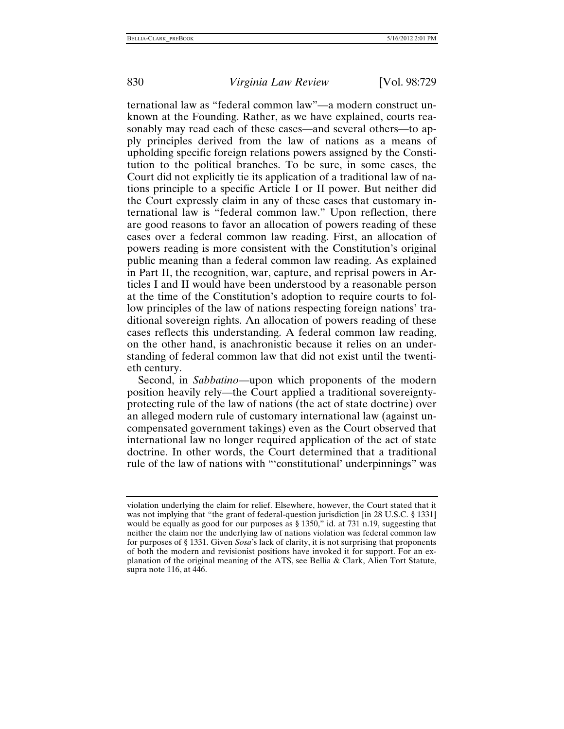ternational law as "federal common law"—a modern construct unknown at the Founding. Rather, as we have explained, courts reasonably may read each of these cases—and several others—to apply principles derived from the law of nations as a means of upholding specific foreign relations powers assigned by the Constitution to the political branches. To be sure, in some cases, the Court did not explicitly tie its application of a traditional law of nations principle to a specific Article I or II power. But neither did the Court expressly claim in any of these cases that customary international law is "federal common law." Upon reflection, there are good reasons to favor an allocation of powers reading of these cases over a federal common law reading. First, an allocation of powers reading is more consistent with the Constitution's original public meaning than a federal common law reading. As explained in Part II, the recognition, war, capture, and reprisal powers in Articles I and II would have been understood by a reasonable person at the time of the Constitution's adoption to require courts to follow principles of the law of nations respecting foreign nations' traditional sovereign rights. An allocation of powers reading of these cases reflects this understanding. A federal common law reading, on the other hand, is anachronistic because it relies on an understanding of federal common law that did not exist until the twentieth century.

Second, in *Sabbatino*—upon which proponents of the modern position heavily rely—the Court applied a traditional sovereigntyprotecting rule of the law of nations (the act of state doctrine) over an alleged modern rule of customary international law (against uncompensated government takings) even as the Court observed that international law no longer required application of the act of state doctrine. In other words, the Court determined that a traditional rule of the law of nations with "'constitutional' underpinnings" was

violation underlying the claim for relief. Elsewhere, however, the Court stated that it was not implying that "the grant of federal-question jurisdiction [in 28 U.S.C. § 1331] would be equally as good for our purposes as § 1350," id. at 731 n.19, suggesting that neither the claim nor the underlying law of nations violation was federal common law for purposes of § 1331. Given *Sosa*'s lack of clarity, it is not surprising that proponents of both the modern and revisionist positions have invoked it for support. For an explanation of the original meaning of the ATS, see Bellia & Clark, Alien Tort Statute, supra note 116, at 446.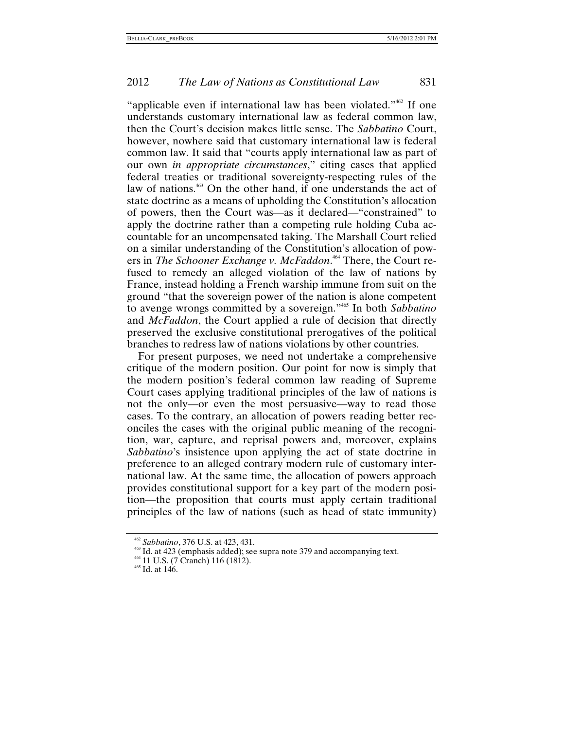"applicable even if international law has been violated."[462](#page-103-0) If one understands customary international law as federal common law, then the Court's decision makes little sense. The *Sabbatino* Court, however, nowhere said that customary international law is federal common law. It said that "courts apply international law as part of our own *in appropriate circumstances*," citing cases that applied federal treaties or traditional sovereignty-respecting rules of the law of nations.<sup>463</sup> On the other hand, if one understands the act of state doctrine as a means of upholding the Constitution's allocation of powers, then the Court was—as it declared—"constrained" to apply the doctrine rather than a competing rule holding Cuba accountable for an uncompensated taking. The Marshall Court relied on a similar understanding of the Constitution's allocation of powers in *The Schooner Exchange v. McFaddon*. [464](#page-103-2) There, the Court refused to remedy an alleged violation of the law of nations by France, instead holding a French warship immune from suit on the ground "that the sovereign power of the nation is alone competent to avenge wrongs committed by a sovereign."[465](#page-103-3) In both *Sabbatino* and *McFaddon*, the Court applied a rule of decision that directly preserved the exclusive constitutional prerogatives of the political branches to redress law of nations violations by other countries.

For present purposes, we need not undertake a comprehensive critique of the modern position. Our point for now is simply that the modern position's federal common law reading of Supreme Court cases applying traditional principles of the law of nations is not the only—or even the most persuasive—way to read those cases. To the contrary, an allocation of powers reading better reconciles the cases with the original public meaning of the recognition, war, capture, and reprisal powers and, moreover, explains *Sabbatino*'s insistence upon applying the act of state doctrine in preference to an alleged contrary modern rule of customary international law. At the same time, the allocation of powers approach provides constitutional support for a key part of the modern position—the proposition that courts must apply certain traditional principles of the law of nations (such as head of state immunity)

<span id="page-103-1"></span>

<span id="page-103-0"></span><sup>&</sup>lt;sup>462</sup> *Sabbatino*, 376 U.S. at 423, 431.<br><sup>463</sup> Id. at 423 (emphasis added); see supra note 379 and accompanying text.  $464$  11 U.S. (7 Cranch) 116 (1812).<br><sup>465</sup> Id. at 146.

<span id="page-103-2"></span>

<span id="page-103-3"></span>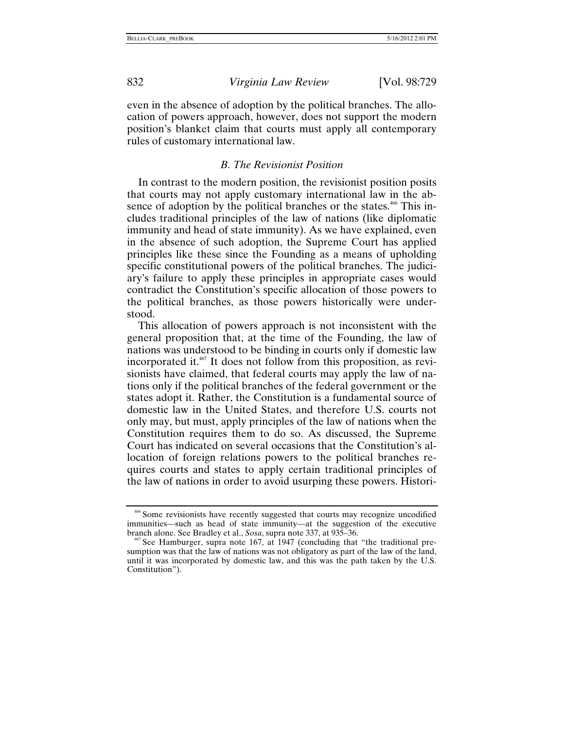even in the absence of adoption by the political branches. The allocation of powers approach, however, does not support the modern position's blanket claim that courts must apply all contemporary rules of customary international law.

## *B. The Revisionist Position*

In contrast to the modern position, the revisionist position posits that courts may not apply customary international law in the absence of adoption by the political branches or the states.<sup>466</sup> This includes traditional principles of the law of nations (like diplomatic immunity and head of state immunity). As we have explained, even in the absence of such adoption, the Supreme Court has applied principles like these since the Founding as a means of upholding specific constitutional powers of the political branches. The judiciary's failure to apply these principles in appropriate cases would contradict the Constitution's specific allocation of those powers to the political branches, as those powers historically were understood.

This allocation of powers approach is not inconsistent with the general proposition that, at the time of the Founding, the law of nations was understood to be binding in courts only if domestic law incorporated it.<sup>467</sup> It does not follow from this proposition, as revisionists have claimed, that federal courts may apply the law of nations only if the political branches of the federal government or the states adopt it. Rather, the Constitution is a fundamental source of domestic law in the United States, and therefore U.S. courts not only may, but must, apply principles of the law of nations when the Constitution requires them to do so. As discussed, the Supreme Court has indicated on several occasions that the Constitution's allocation of foreign relations powers to the political branches requires courts and states to apply certain traditional principles of the law of nations in order to avoid usurping these powers. Histori-

<span id="page-104-0"></span><sup>466</sup> Some revisionists have recently suggested that courts may recognize uncodified immunities—such as head of state immunity—at the suggestion of the executive branch alone. See Bradley et al., *Sosa*, supra note 337, at 935–36.

<span id="page-104-1"></span><sup>&</sup>lt;sup>67</sup> See Hamburger, supra note 167, at 1947 (concluding that "the traditional presumption was that the law of nations was not obligatory as part of the law of the land, until it was incorporated by domestic law, and this was the path taken by the U.S. Constitution").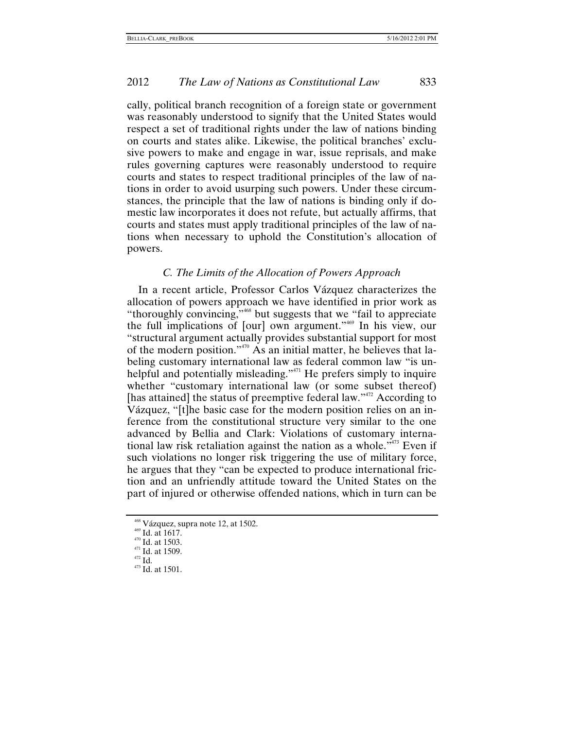cally, political branch recognition of a foreign state or government was reasonably understood to signify that the United States would respect a set of traditional rights under the law of nations binding on courts and states alike. Likewise, the political branches' exclusive powers to make and engage in war, issue reprisals, and make rules governing captures were reasonably understood to require courts and states to respect traditional principles of the law of nations in order to avoid usurping such powers. Under these circumstances, the principle that the law of nations is binding only if domestic law incorporates it does not refute, but actually affirms, that courts and states must apply traditional principles of the law of nations when necessary to uphold the Constitution's allocation of powers.

# *C. The Limits of the Allocation of Powers Approach*

In a recent article, Professor Carlos Vázquez characterizes the allocation of powers approach we have identified in prior work as "thoroughly convincing,"<sup>468</sup> but suggests that we "fail to appreciate the full implications of [our] own argument.["469](#page-105-1) In his view, our "structural argument actually provides substantial support for most of the modern position."[470](#page-105-2) As an initial matter, he believes that labeling customary international law as federal common law "is unhelpful and potentially misleading."<sup>471</sup> He prefers simply to inquire whether "customary international law (or some subset thereof) [has attained] the status of preemptive federal law."<sup>472</sup> According to Vázquez, "[t]he basic case for the modern position relies on an inference from the constitutional structure very similar to the one advanced by Bellia and Clark: Violations of customary international law risk retaliation against the nation as a whole."<sup>473</sup> Even if such violations no longer risk triggering the use of military force, he argues that they "can be expected to produce international friction and an unfriendly attitude toward the United States on the part of injured or otherwise offended nations, which in turn can be

<span id="page-105-0"></span><sup>&</sup>lt;sup>468</sup> Vázquez, supra note 12, at 1502.<br><sup>469</sup> Id. at 1617.<br><sup>470</sup> Id. at 1503.<br><sup>471</sup> Id. at 1509.<br><sup>472</sup> Id. 473 Id. at 1501.

<span id="page-105-1"></span>

<span id="page-105-2"></span>

<span id="page-105-4"></span><span id="page-105-3"></span>

<span id="page-105-5"></span>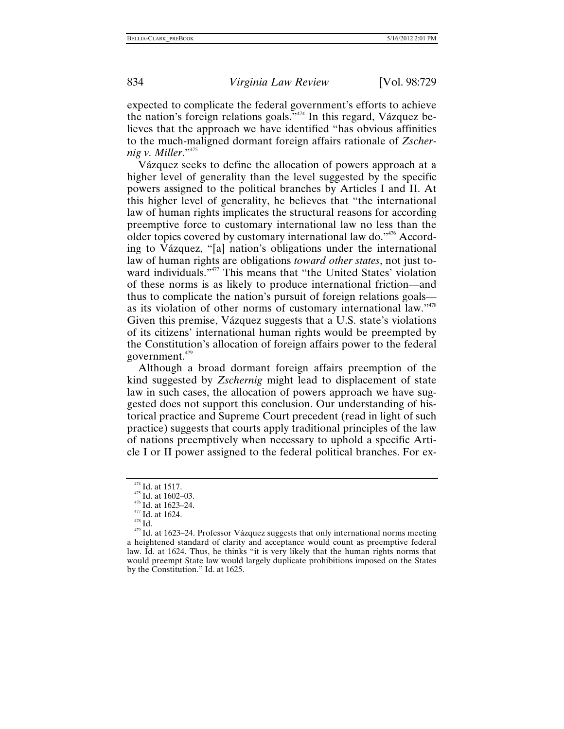expected to complicate the federal government's efforts to achieve the nation's foreign relations goals."[474](#page-106-0) In this regard, Vázquez believes that the approach we have identified "has obvious affinities to the much-maligned dormant foreign affairs rationale of *Zschernig v. Miller*.["475](#page-106-1)

Vázquez seeks to define the allocation of powers approach at a higher level of generality than the level suggested by the specific powers assigned to the political branches by Articles I and II. At this higher level of generality, he believes that "the international law of human rights implicates the structural reasons for according preemptive force to customary international law no less than the older topics covered by customary international law do."<sup>476</sup> According to Vázquez, "[a] nation's obligations under the international law of human rights are obligations *toward other states*, not just toward individuals."[477](#page-106-3) This means that "the United States' violation of these norms is as likely to produce international friction—and thus to complicate the nation's pursuit of foreign relations goals— as its violation of other norms of customary international law."<sup>[478](#page-106-4)</sup> Given this premise, Vázquez suggests that a U.S. state's violations of its citizens' international human rights would be preempted by the Constitution's allocation of foreign affairs power to the federal government. $479$ 

Although a broad dormant foreign affairs preemption of the kind suggested by *Zschernig* might lead to displacement of state law in such cases, the allocation of powers approach we have suggested does not support this conclusion. Our understanding of historical practice and Supreme Court precedent (read in light of such practice) suggests that courts apply traditional principles of the law of nations preemptively when necessary to uphold a specific Article I or II power assigned to the federal political branches. For ex-

<span id="page-106-1"></span>

<span id="page-106-2"></span>

<span id="page-106-3"></span>

<span id="page-106-5"></span><span id="page-106-4"></span>

<span id="page-106-0"></span><sup>&</sup>lt;sup>474</sup> Id. at 1517.<br><sup>475</sup> Id. at 1602–03.<br><sup>476</sup> Id. at 1623–24.<br><sup>477</sup> Id. at 1623–24. Professor Vázquez suggests that only international norms meeting<br><sup>479</sup> Id. at 1623–24. Professor Vázquez suggests that only internationa a heightened standard of clarity and acceptance would count as preemptive federal law. Id. at 1624. Thus, he thinks "it is very likely that the human rights norms that would preempt State law would largely duplicate prohibitions imposed on the States by the Constitution." Id. at 1625.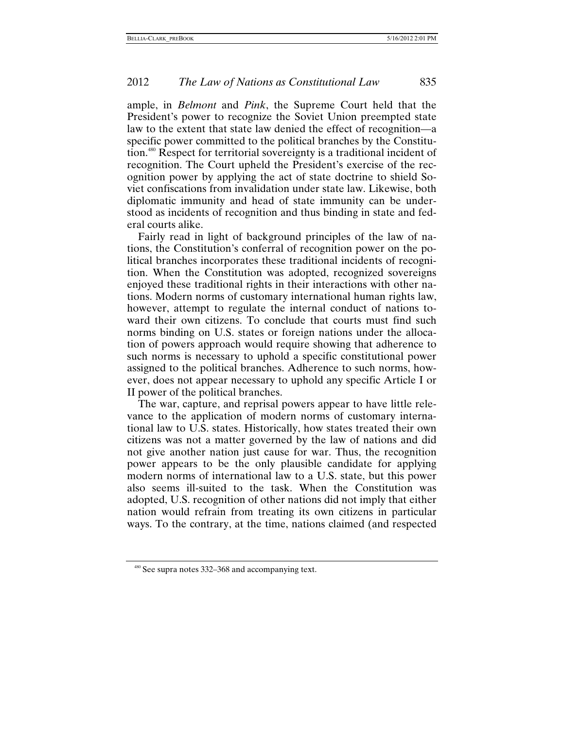ample, in *Belmont* and *Pink*, the Supreme Court held that the President's power to recognize the Soviet Union preempted state law to the extent that state law denied the effect of recognition—a specific power committed to the political branches by the Constitution.[480](#page-107-0) Respect for territorial sovereignty is a traditional incident of recognition. The Court upheld the President's exercise of the recognition power by applying the act of state doctrine to shield Soviet confiscations from invalidation under state law. Likewise, both diplomatic immunity and head of state immunity can be understood as incidents of recognition and thus binding in state and federal courts alike.

Fairly read in light of background principles of the law of nations, the Constitution's conferral of recognition power on the political branches incorporates these traditional incidents of recognition. When the Constitution was adopted, recognized sovereigns enjoyed these traditional rights in their interactions with other nations. Modern norms of customary international human rights law, however, attempt to regulate the internal conduct of nations toward their own citizens. To conclude that courts must find such norms binding on U.S. states or foreign nations under the allocation of powers approach would require showing that adherence to such norms is necessary to uphold a specific constitutional power assigned to the political branches. Adherence to such norms, however, does not appear necessary to uphold any specific Article I or II power of the political branches.

The war, capture, and reprisal powers appear to have little relevance to the application of modern norms of customary international law to U.S. states. Historically, how states treated their own citizens was not a matter governed by the law of nations and did not give another nation just cause for war. Thus, the recognition power appears to be the only plausible candidate for applying modern norms of international law to a U.S. state, but this power also seems ill-suited to the task. When the Constitution was adopted, U.S. recognition of other nations did not imply that either nation would refrain from treating its own citizens in particular ways. To the contrary, at the time, nations claimed (and respected

<span id="page-107-0"></span><sup>480</sup> See supra notes 332–368 and accompanying text.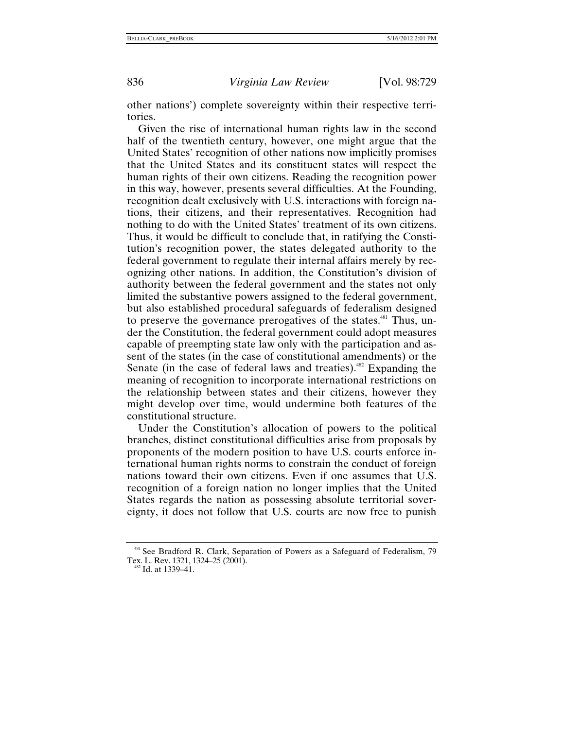836 *Virginia Law Review* [Vol. 98:729

other nations') complete sovereignty within their respective territories.

Given the rise of international human rights law in the second half of the twentieth century, however, one might argue that the United States' recognition of other nations now implicitly promises that the United States and its constituent states will respect the human rights of their own citizens. Reading the recognition power in this way, however, presents several difficulties. At the Founding, recognition dealt exclusively with U.S. interactions with foreign nations, their citizens, and their representatives. Recognition had nothing to do with the United States' treatment of its own citizens. Thus, it would be difficult to conclude that, in ratifying the Constitution's recognition power, the states delegated authority to the federal government to regulate their internal affairs merely by recognizing other nations. In addition, the Constitution's division of authority between the federal government and the states not only limited the substantive powers assigned to the federal government, but also established procedural safeguards of federalism designed to preserve the governance prerogatives of the states.<sup>481</sup> Thus, under the Constitution, the federal government could adopt measures capable of preempting state law only with the participation and assent of the states (in the case of constitutional amendments) or the Senate (in the case of federal laws and treaties).<sup>482</sup> Expanding the meaning of recognition to incorporate international restrictions on the relationship between states and their citizens, however they might develop over time, would undermine both features of the constitutional structure.

Under the Constitution's allocation of powers to the political branches, distinct constitutional difficulties arise from proposals by proponents of the modern position to have U.S. courts enforce international human rights norms to constrain the conduct of foreign nations toward their own citizens. Even if one assumes that U.S. recognition of a foreign nation no longer implies that the United States regards the nation as possessing absolute territorial sovereignty, it does not follow that U.S. courts are now free to punish

<span id="page-108-0"></span><sup>&</sup>lt;sup>481</sup> See Bradford R. Clark, Separation of Powers as a Safeguard of Federalism, 79 Tex. L. Rev. 1321, 1324–25 (2001).<br><sup>482</sup> Id. at 1339–41.

<span id="page-108-1"></span>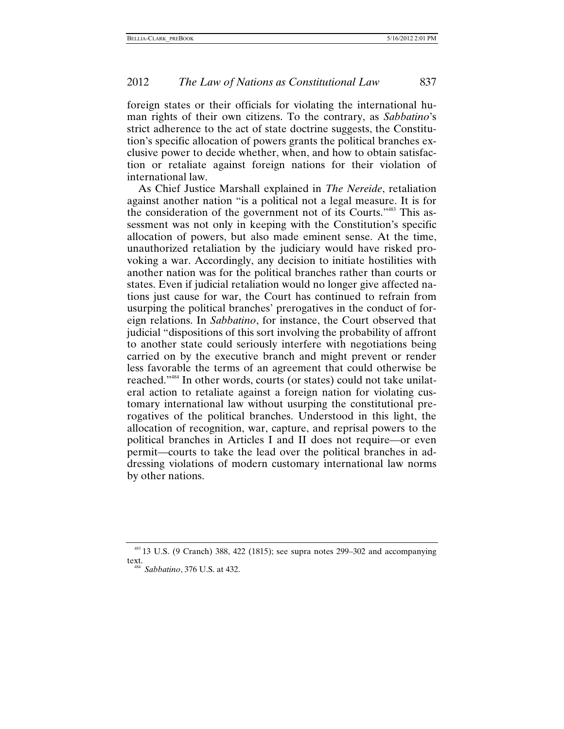## 2012 *The Law of Nations as Constitutional Law* 837

foreign states or their officials for violating the international human rights of their own citizens. To the contrary, as *Sabbatino*'s strict adherence to the act of state doctrine suggests, the Constitution's specific allocation of powers grants the political branches exclusive power to decide whether, when, and how to obtain satisfaction or retaliate against foreign nations for their violation of international law.

As Chief Justice Marshall explained in *The Nereide*, retaliation against another nation "is a political not a legal measure. It is for the consideration of the government not of its Courts."[483](#page-109-0) This assessment was not only in keeping with the Constitution's specific allocation of powers, but also made eminent sense. At the time, unauthorized retaliation by the judiciary would have risked provoking a war. Accordingly, any decision to initiate hostilities with another nation was for the political branches rather than courts or states. Even if judicial retaliation would no longer give affected nations just cause for war, the Court has continued to refrain from usurping the political branches' prerogatives in the conduct of foreign relations. In *Sabbatino*, for instance, the Court observed that judicial "dispositions of this sort involving the probability of affront to another state could seriously interfere with negotiations being carried on by the executive branch and might prevent or render less favorable the terms of an agreement that could otherwise be reached.["484](#page-109-1) In other words, courts (or states) could not take unilateral action to retaliate against a foreign nation for violating customary international law without usurping the constitutional prerogatives of the political branches. Understood in this light, the allocation of recognition, war, capture, and reprisal powers to the political branches in Articles I and II does not require—or even permit—courts to take the lead over the political branches in addressing violations of modern customary international law norms by other nations.

<span id="page-109-1"></span><span id="page-109-0"></span><sup>483</sup> 13 U.S. (9 Cranch) 388, 422 (1815); see supra notes 299–302 and accompanying text. 484 *Sabbatino*, 376 U.S. at 432.